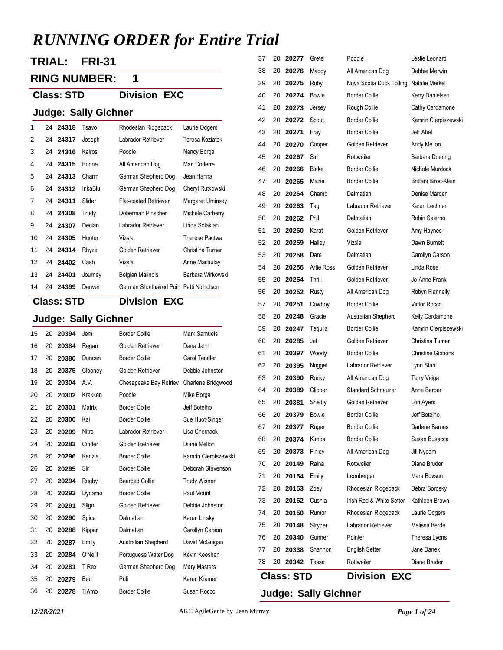# *RUNNING ORDER for Entire Trial*

**TRIAL: FRI-31**

### **RING NUMBER: 1**

**Class: STD Division EXC**

## **Judge: Sally Gichner**

| 1  |     | 24 24318 | Tsavo   | Rhodesian Ridgeback                     | Laurie Odgers     |
|----|-----|----------|---------|-----------------------------------------|-------------------|
| 2  |     | 24 24317 | Joseph  | Labrador Retriever                      | Teresa Koziatek   |
| 3  | 24. | 24316    | Kairos  | Poodle                                  | Nancy Borga       |
| 4  | 24  | 24315    | Boone   | All American Dog                        | Mari Coderre      |
| 5  | 24  | 24313    | Charm   | German Shepherd Dog                     | Jean Hanna        |
| 6  | 24  | 24312    | InkaBlu | German Shepherd Dog                     | Cheryl Rutkowski  |
| 7  |     | 24 24311 | Slider  | <b>Flat-coated Retriever</b>            | Margaret Uminsky  |
| 8  |     | 24 24308 | Trudy   | Doberman Pinscher                       | Michele Carberry  |
| 9  | 24  | 24307    | Declan  | Labrador Retriever                      | Linda Solakian    |
| 10 | 24  | 24305    | Hunter  | Vizsla                                  | Therese Pactwa    |
| 11 |     | 24 24314 | Rhyze   | Golden Retriever                        | Christina Turner  |
| 12 |     | 24 24402 | Cash    | Vizsla                                  | Anne Macaulay     |
| 13 |     | 24 24401 | Journey | <b>Belgian Malinois</b>                 | Barbara Wirkowski |
| 14 | 24  | 24399    | Denver  | German Shorthaired Poin Patti Nicholson |                   |

## **Class: STD Division EXC**

## **Judge: Sally Gichner**

| 15 | 20 | 20394 | Jem     | <b>Border Collie</b>   | <b>Mark Samuels</b>  |
|----|----|-------|---------|------------------------|----------------------|
| 16 | 20 | 20384 | Regan   | Golden Retriever       | Dana Jahn            |
| 17 | 20 | 20380 | Duncan  | <b>Border Collie</b>   | Carol Tendler        |
| 18 | 20 | 20375 | Clooney | Golden Retriever       | Debbie Johnston      |
| 19 | 20 | 20304 | A.V.    | Chesapeake Bay Retriev | Charlene Bridgwood   |
| 20 | 20 | 20302 | Krakken | Poodle                 | Mike Borga           |
| 21 | 20 | 20301 | Matrix  | <b>Border Collie</b>   | Jeff Botelho         |
| 22 | 20 | 20300 | Kai     | <b>Border Collie</b>   | Sue Huot-Singer      |
| 23 | 20 | 20299 | Nitro   | Labrador Retriever     | Lisa Chernack        |
| 24 | 20 | 20283 | Cinder  | Golden Retriever       | Diane Mellon         |
| 25 | 20 | 20296 | Kenzie  | <b>Border Collie</b>   | Kamrin Cierpiszewski |
| 26 | 20 | 20295 | Sir     | <b>Border Collie</b>   | Deborah Stevenson    |
| 27 | 20 | 20294 | Rugby   | <b>Bearded Collie</b>  | <b>Trudy Wisner</b>  |
| 28 | 20 | 20293 | Dynamo  | <b>Border Collie</b>   | Paul Mount           |
| 29 | 20 | 20291 | Sligo   | Golden Retriever       | Debbie Johnston      |
| 30 | 20 | 20290 | Spice   | Dalmatian              | Karen Linsky         |
| 31 | 20 | 20288 | Kipper  | Dalmatian              | Carollyn Carson      |
| 32 | 20 | 20287 | Emily   | Australian Shepherd    | David McGuigan       |
| 33 | 20 | 20284 | O'Neill | Portuguese Water Dog   | Kevin Keeshen        |
| 34 | 20 | 20281 | T Rex   | German Shepherd Dog    | Mary Masters         |
| 35 | 20 | 20279 | Ben     | Puli                   | Karen Kramer         |
| 36 | 20 | 20278 | TiAmo   | <b>Border Collie</b>   | Susan Rocco          |

|          |          | <b>Class: STD</b> |                   | <b>Division EXC</b>            |                                |
|----------|----------|-------------------|-------------------|--------------------------------|--------------------------------|
| 78       | 20       | 20342             | Tessa             | Rottweiler                     | Diane Bruder                   |
| 77       | 20       | 20338             | Shannon           | <b>English Setter</b>          | Jane Danek                     |
| 76       | 20       | 20340             | Gunner            | Pointer                        | Theresa Lyons                  |
| 75       | 20       | 20148             | Stryder           | Labrador Retriever             | Melissa Berde                  |
| 74       | 20       | 20150             | Rumor             | Rhodesian Ridgeback            | Laurie Odgers                  |
| 73       | 20       | 20152             | Cushla            | Irish Red & White Setter       | Kathleen Brown                 |
| 72       | 20       | 20153             | Zoey              | Rhodesian Ridgeback            | Debra Sorosky                  |
| 71       | 20       | 20154             | Emily             | Leonberger                     | Mara Bovsun                    |
| 70       | 20       | 20149             | Raina             | Rottweiler                     | Diane Bruder                   |
| 69       | 20       | 20373             | Finley            | All American Dog               | Jill Nydam                     |
| 68       | 20       | 20374             | Kimba             | <b>Border Collie</b>           | Susan Busacca                  |
| 67       | 20       | 20377             | Ruger             | <b>Border Collie</b>           | Darlene Barnes                 |
| 66       | 20       | 20379             | Bowie             | <b>Border Collie</b>           | Jeff Botelho                   |
| 65       | 20       | 20381             | Shelby            | Golden Retriever               | Lori Ayers                     |
| 64       | 20       | 20389             | Clipper           | <b>Standard Schnauzer</b>      | Anne Barber                    |
| 63       | 20       | 20390             | Rocky             | All American Dog               | <b>Terry Veiga</b>             |
| 62       | 20       | 20395             | Nugget            | Labrador Retriever             | Lynn Stahl                     |
| 61       | 20       | 20397             | Woody             | <b>Border Collie</b>           | <b>Christine Gibbons</b>       |
| 60       | 20       | 20285             | Jet               | Golden Retriever               | Christina Turner               |
| 59       | 20       | 20247             | Tequila           | <b>Border Collie</b>           | Kamrin Cierpiszewsk            |
| 58       | 20       | 20248             | Gracie            | Australian Shepherd            | Kelly Cardamone                |
| 57       | 20       | 20251             | Cowboy            | <b>Border Collie</b>           | <b>Victor Rocco</b>            |
| 56       | 20       | 20252             | Rusty             | All American Dog               | Robyn Flannelly                |
| 55       | 20       | 20254             | Thrill            | Golden Retriever               | Jo-Anne Frank                  |
| 54       | 20       | 20256             | <b>Artie Ross</b> | Golden Retriever               | Linda Rose                     |
| 53       | 20       | 20258             | Dare              | Dalmatian                      | Carollyn Carson                |
| 52       | 20       | 20259             | Halley            | Vizsla                         | Dawn Burnett                   |
| 51       | 20       | 20260             | Karat             | Golden Retriever               | Amy Haynes                     |
| 50       | 20       | 20262             | Phil              | Dalmatian                      | Robin Salerno                  |
| 49       | 20       | 20263             | Tag               | Labrador Retriever             | Karen Lechner                  |
| 48       | 20       | 20264             | Champ             | Dalmatian                      | Denise Marden                  |
| 47       | 20       | 20265             | Mazie             | <b>Border Collie</b>           | Brittani Biroc-Klein           |
| 46       | 20       | 20266             | <b>Blake</b>      | <b>Border Collie</b>           | Nichole Murdock                |
| 44<br>45 | 20<br>20 | 20270<br>20267    | Cooper<br>Siri    | Golden Retriever<br>Rottweiler | Andy Mellon<br>Barbara Doering |
| 43       | 20       | 20271             | Fray              | <b>Border Collie</b>           | Jeff Abel                      |
| 42       | 20       | 20272             | Scout             | <b>Border Collie</b>           | Kamrin Cierpiszewsk            |
| 41       | 20       | 20273             | Jersey            | Rough Collie                   | Cathy Cardamone                |
| 40       | 20       | 20274             | Bowie             | <b>Border Collie</b>           | Kerry Danielsen                |
| 39       | 20       | 20275             | Ruby              | Nova Scotia Duck Tolling       | Natalie Merkel                 |
| 38       | 20       | 20276             | Maddy             | All American Dog               | Debbie Merwin                  |
| 37       | 20       | 20277             | Gretel            | Poodle                         | Leslie Leonard                 |
|          |          |                   |                   |                                |                                |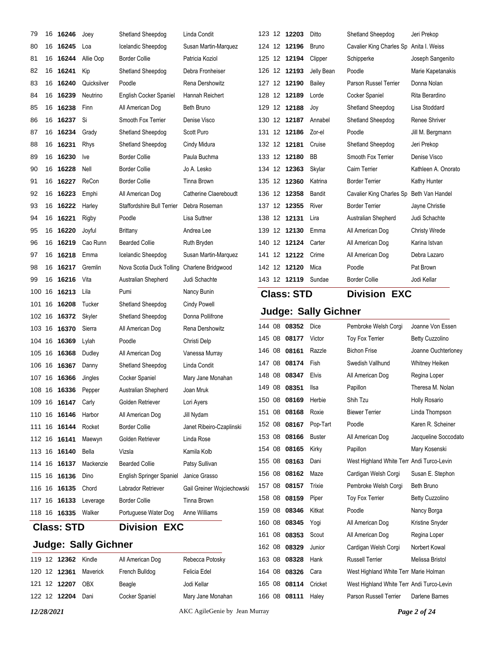| 79 |    | 16 16246            | Joey                        | Shetland Sheepdog                 | Linda Condit               |        | 123 12 12203      | Ditto                       | Shetland Sheepdog                         | Jeri Prekop            |
|----|----|---------------------|-----------------------------|-----------------------------------|----------------------------|--------|-------------------|-----------------------------|-------------------------------------------|------------------------|
| 80 |    | 16 16245            | Loa                         | Icelandic Sheepdog                | Susan Martin-Marquez       |        | 124 12 12196      | <b>Bruno</b>                | Cavalier King Charles Sp                  | Anita I. Weiss         |
| 81 | 16 | 16244               | Allie Oop                   | <b>Border Collie</b>              | Patricia Koziol            |        | 125 12 12194      | Clipper                     | Schipperke                                | Joseph Sangenito       |
| 82 |    | 16 16241            | Kip                         | Shetland Sheepdog                 | Debra Fronheiser           |        | 126 12 12193      | Jelly Bean                  | Poodle                                    | Marie Kapetanakis      |
| 83 |    | 16 16240            | Quicksilver                 | Poodle                            | Rena Dershowitz            |        | 127 12 12190      | Bailey                      | Parson Russel Terrier                     | Donna Nolan            |
| 84 |    | 16 16239            | Neutrino                    | English Cocker Spaniel            | Hannah Reichert            |        | 128 12 12189      | Lorde                       | Cocker Spaniel                            | Rita Berardino         |
| 85 |    | 16 16238            | Finn                        | All American Dog                  | <b>Beth Bruno</b>          |        | 129 12 12188      | Joy                         | Shetland Sheepdog                         | Lisa Stoddard          |
| 86 |    | 16 16237            | Si                          | Smooth Fox Terrier                | Denise Visco               |        | 130 12 12187      | Annabel                     | Shetland Sheepdog                         | Renee Shriver          |
| 87 |    | 16 16234            | Grady                       | Shetland Sheepdog                 | Scott Puro                 |        | 131 12 12186      | Zor-el                      | Poodle                                    | Jill M. Bergmann       |
| 88 |    | 16 16231            | <b>Rhys</b>                 | Shetland Sheepdog                 | Cindy Midura               |        | 132 12 12181      | Cruise                      | Shetland Sheepdog                         | Jeri Prekop            |
| 89 |    | 16 16230            | <b>Ive</b>                  | <b>Border Collie</b>              | Paula Buchma               |        | 133 12 12180      | BB                          | Smooth Fox Terrier                        | Denise Visco           |
| 90 | 16 | 16228               | Nell                        | <b>Border Collie</b>              | Jo A. Lesko                |        | 134 12 12363      | Skylar                      | Cairn Terrier                             | Kathleen A. Onorato    |
| 91 |    | 16 16227            | ReCon                       | <b>Border Collie</b>              | Tinna Brown                |        | 135 12 12360      | Katrina                     | <b>Border Terrier</b>                     | Kathy Hunter           |
| 92 |    | 16 16223            | Emphi                       | All American Dog                  | Catherine Claereboudt      |        | 136 12 12358      | Bandit                      | Cavalier King Charles Sp                  | Beth Van Handel        |
| 93 |    | 16 16222            | Harley                      | <b>Staffordshire Bull Terrier</b> | Debra Roseman              |        | 137 12 12355      | River                       | <b>Border Terrier</b>                     | Jayne Christie         |
| 94 |    | 16 16221            | Rigby                       | Poodle                            | Lisa Suttner               |        | 138 12 12131      | Lira                        | Australian Shepherd                       | Judi Schachte          |
| 95 |    | 16 16220            | Joyful                      | Brittany                          | Andrea Lee                 |        | 139 12 12130      | Emma                        | All American Dog                          | <b>Christy Wrede</b>   |
| 96 |    | 16 16219            | Cao Runn                    | <b>Bearded Collie</b>             | Ruth Bryden                |        | 140 12 12124      | Carter                      | All American Dog                          | Karina Istvan          |
| 97 |    | 16 16218            | Emma                        | Icelandic Sheepdog                | Susan Martin-Marquez       |        | 141 12 12122      | Crime                       | All American Dog                          | Debra Lazaro           |
| 98 | 16 | 16217               | Gremlin                     | Nova Scotia Duck Tolling          | Charlene Bridgwood         |        | 142 12 12120      | Mica                        | Poodle                                    | Pat Brown              |
| 99 |    | 16 16216            | Vita                        | Australian Shepherd               | Judi Schachte              |        | 143 12 12119      | Sundae                      | <b>Border Collie</b>                      | Jodi Kellar            |
|    |    | 100 16 16213        | Lila                        | Pumi                              | Nancy Bunin                |        | <b>Class: STD</b> |                             | <b>Division EXC</b>                       |                        |
|    |    | 101 16 16208        | Tucker                      | Shetland Sheepdog                 | <b>Cindy Powell</b>        |        |                   |                             |                                           |                        |
|    |    | 102 16 16372        | Skyler                      | Shetland Sheepdog                 | Donna Pollifrone           |        |                   | <b>Judge: Sally Gichner</b> |                                           |                        |
|    |    | 103 16 16370        | Sierra                      | All American Dog                  | Rena Dershowitz            |        | 144 08 08352      | Dice                        | Pembroke Welsh Corgi                      | Joanne Von Essen       |
|    |    | 104 16 16369        | Lylah                       | Poodle                            | Christi Delp               | 145 08 | 08177             | Victor                      | <b>Toy Fox Terrier</b>                    | <b>Betty Cuzzolino</b> |
|    |    | 105 16 16368        | Dudley                      | All American Dog                  | Vanessa Murray             | 146 08 | 08161             | Razzle                      | <b>Bichon Frise</b>                       | Joanne Ouchterloney    |
|    |    | 106 16 16367        | Danny                       | Shetland Sheepdog                 | Linda Condit               | 147 08 | 08174             | Fish                        | Swedish Vallhund                          | Whitney Heiken         |
|    |    | 107 16 16366        | Jingles                     | Cocker Spaniel                    | Mary Jane Monahan          | 148 08 | 08347             | Elvis                       | All American Dog                          | Regina Loper           |
|    |    | 108 16 16336        | Pepper                      | Australian Shepherd               | Joan Mruk                  |        | 149 08 08351      | llsa                        | Papillon                                  | Theresa M. Nolan       |
|    |    | 109 16 16147        | Carly                       | Golden Retriever                  | Lori Ayers                 |        | 150 08 08169      | Herbie                      | Shih Tzu                                  | Holly Rosario          |
|    |    | 110 16 16146        | Harbor                      | All American Dog                  | Jill Nydam                 |        | 151 08 08168      | Roxie                       | <b>Biewer Terrier</b>                     | Linda Thompson         |
|    |    | 111 16 16144        | Rocket                      | <b>Border Collie</b>              | Janet Ribeiro-Czaplinski   | 152 08 | 08167             | Pop-Tart                    | Poodle                                    | Karen R. Scheiner      |
|    |    | 112 16 16141        | Maewyn                      | Golden Retriever                  | Linda Rose                 |        | 153 08 08166      | <b>Buster</b>               | All American Dog                          | Jacqueline Soccodato   |
|    |    | 113 16 16140        | Bella                       | Vizsla                            | Kamila Kolb                |        | 154 08 08165      | Kirky                       | Papillon                                  | Mary Kosenski          |
|    |    | 114 16 16137        | Mackenzie                   | <b>Bearded Collie</b>             | Patsy Sullivan             |        | 155 08 08163      | Dani                        | West Highland White Terr Andi Turco-Levin |                        |
|    |    | 115 16 16136        | Dino                        | English Springer Spaniel          | Janice Grasso              |        | 156 08 08162      | Maze                        | Cardigan Welsh Corgi                      | Susan E. Stephon       |
|    |    | 116 16 16135        | Chord                       | Labrador Retriever                | Gail Greiner Wojciechowski |        | 157 08 08157      | Trixie                      | Pembroke Welsh Corgi                      | Beth Bruno             |
|    |    | 117 16 16133        | Leverage                    | <b>Border Collie</b>              | Tinna Brown                | 158 08 | 08159             | Piper                       | <b>Toy Fox Terrier</b>                    | <b>Betty Cuzzolino</b> |
|    |    | 118 16 16335 Walker |                             | Portuguese Water Dog              | Anne Williams              |        | 159 08 08346      | Kitkat                      | Poodle                                    | Nancy Borga            |
|    |    | <b>Class: STD</b>   |                             | <b>Division EXC</b>               |                            | 160 08 | 08345             | Yogi                        | All American Dog                          | Kristine Snyder        |
|    |    |                     |                             |                                   |                            |        | 161 08 08353      | Scout                       | All American Dog                          | Regina Loper           |
|    |    |                     | <b>Judge: Sally Gichner</b> |                                   |                            | 162 08 | 08329             | Junior                      | Cardigan Welsh Corgi                      | Norbert Kowal          |
|    |    | 119 12 12362 Kindle |                             | All American Dog                  | Rebecca Potosky            |        | 163 08 08328      | Hank                        | <b>Russell Terrier</b>                    | Melissa Bristol        |
|    |    |                     |                             |                                   |                            |        | 164 08 08326      | Cara                        | West Highland White Terr Marie Holman     |                        |
|    |    | 120 12 12361        | Maverick                    | French Bulldog                    | Felicia Edel               |        |                   |                             |                                           |                        |
|    |    | 121 12 12207 OBX    |                             | Beagle                            | Jodi Kellar                |        | 165 08 08114      | Cricket                     | West Highland White Terr Andi Turco-Levin |                        |

*12/28/2021* AKC AgileGenie by Jean Murray *Page 2 of 24*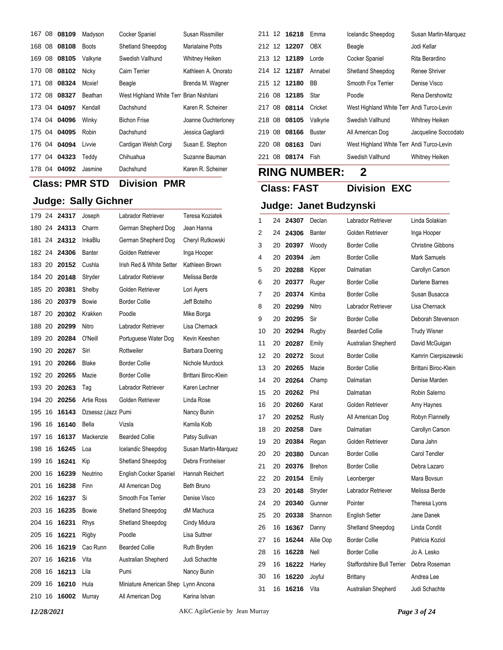|        | 167 08 08109 | Madyson      | Cocker Spaniel                           | Susan Rissmiller    |
|--------|--------------|--------------|------------------------------------------|---------------------|
| 168 08 | 08108        | <b>Boots</b> | Shetland Sheepdog                        | Marialaine Potts    |
| 169 08 | 08105        | Valkyrie     | Swedish Vallhund                         | Whitney Heiken      |
| 170 08 | 08102        | Nicky        | Cairn Terrier                            | Kathleen A. Onorato |
| 171 08 | 08324        | Moxie!       | Beagle                                   | Brenda M. Wagner    |
| 172 08 | 08327        | Beathan      | West Highland White Terr Brian Nishitani |                     |
| 173 04 | 04097        | Kendall      | Dachshund                                | Karen R. Scheiner   |
|        | 174 04 04096 | Winky        | <b>Bichon Frise</b>                      | Joanne Ouchterloney |
| 175 04 | 04095        | Robin        | Dachshund                                | Jessica Gagliardi   |
| 176 04 | 04094        | Livvie       | Cardigan Welsh Corgi                     | Susan E. Stephon    |
| 177 04 | 04323        | Teddy        | Chihuahua                                | Suzanne Bauman      |
| 178 04 | 04092        | Jasmine      | Dachshund                                | Karen R. Scheiner   |

| 177    | U4 | 04323        | <b>Teaay</b>                | Chinuanua                           | Suzanne Bauman         |          |    | 221 U8 U8174       | ⊩ısn                   | Swedish valinund           |  |
|--------|----|--------------|-----------------------------|-------------------------------------|------------------------|----------|----|--------------------|------------------------|----------------------------|--|
|        |    | 178 04 04092 | Jasmine                     | Dachshund                           | Karen R. Scheiner      |          |    |                    | <b>RING NUMBER:</b>    | $\mathbf 2$                |  |
|        |    |              | <b>Class: PMR STD</b>       | <b>Division PMR</b>                 |                        |          |    | <b>Class: FAST</b> |                        | <b>Division EXC</b>        |  |
|        |    |              | <b>Judge: Sally Gichner</b> |                                     |                        |          |    |                    | Judge: Janet Budzynski |                            |  |
|        |    | 179 24 24317 | Joseph                      | Labrador Retriever                  | Teresa Koziatek        | 1        |    | 24 24307           | Declan                 | Labrador Retriever         |  |
|        |    | 180 24 24313 | Charm                       | German Shepherd Dog                 | Jean Hanna             | 2        | 24 | 24306              | Banter                 | Golden Retriever           |  |
| 181    |    | 24 24312     | InkaBlu                     | German Shepherd Dog                 | Cheryl Rutkowski       | 3        | 20 | 20397              | Woody                  | <b>Border Collie</b>       |  |
|        |    | 182 24 24306 | Banter                      | Golden Retriever                    | Inga Hooper            | 4        | 20 | 20394              | Jem                    | <b>Border Collie</b>       |  |
|        |    | 183 20 20152 | Cushla                      | Irish Red & White Setter            | Kathleen Brown         | 5        | 20 | 20288              | Kipper                 | Dalmatian                  |  |
|        |    | 184 20 20148 | Stryder                     | Labrador Retriever                  | Melissa Berde          | 6        | 20 | 20377              | Ruger                  | <b>Border Collie</b>       |  |
|        |    | 185 20 20381 | Shelby                      | Golden Retriever                    | Lori Ayers             | 7        | 20 | 20374              | Kimba                  | <b>Border Collie</b>       |  |
| 186 20 |    | 20379        | Bowie                       | <b>Border Collie</b>                | Jeff Botelho           | 8        | 20 | 20299              | Nitro                  | Labrador Retriever         |  |
| 187    | 20 | 20302        | Krakken                     | Poodle                              | Mike Borga             | 9        | 20 | 20295              | Sir                    | <b>Border Collie</b>       |  |
|        |    | 188 20 20299 | Nitro                       | Labrador Retriever                  | Lisa Chernack          | 10       | 20 | 20294              | Rugby                  | <b>Bearded Collie</b>      |  |
|        |    | 189 20 20284 | O'Neill                     | Portuguese Water Dog                | Kevin Keeshen          | 11       | 20 | 20287              | Emily                  | Australian Shepherd        |  |
|        |    | 190 20 20267 | Siri                        | Rottweiler                          | <b>Barbara Doering</b> | 12       | 20 | 20272              | Scout                  | <b>Border Collie</b>       |  |
| 191    | 20 | 20266        | <b>Blake</b>                | <b>Border Collie</b>                | Nichole Murdock        | 13       | 20 | 20265              | Mazie                  | <b>Border Collie</b>       |  |
|        |    | 192 20 20265 | Mazie                       | <b>Border Collie</b>                | Brittani Biroc-Klein   | 14       | 20 | 20264              | Champ                  | Dalmatian                  |  |
|        |    | 193 20 20263 | Taq                         | <b>Labrador Retriever</b>           | Karen Lechner          | 15       | 20 | 20262              | Phil                   | Dalmatian                  |  |
|        |    | 194 20 20256 | <b>Artie Ross</b>           | Golden Retriever                    | Linda Rose             | 16       | 20 | 20260              | Karat                  | Golden Retriever           |  |
| 195    | 16 | 16143        | Dzsessz (Jazz Pumi          |                                     | Nancy Bunin            | 17       | 20 | 20252              | Rusty                  | All American Dog           |  |
|        |    | 196 16 16140 | Bella                       | Vizsla                              | Kamila Kolb            | 18       | 20 | 20258              | Dare                   | Dalmatian                  |  |
| 197.   |    | 16 16137     | Mackenzie                   | <b>Bearded Collie</b>               | Patsy Sullivan         | 19       | 20 | 20384              |                        | Golden Retriever           |  |
|        |    | 198 16 16245 | Loa                         | Icelandic Sheepdog                  | Susan Martin-Marquez   | 20       | 20 | 20380              | Regan<br>Duncan        | <b>Border Collie</b>       |  |
| 199    |    | 16 16241     | Kip                         | Shetland Sheepdog                   | Debra Fronheiser       | 21       | 20 | 20376              | Brehon                 | <b>Border Collie</b>       |  |
|        |    | 200 16 16239 | Neutrino                    | English Cocker Spaniel              | Hannah Reichert        |          |    | 20154              |                        |                            |  |
| 201    |    | 16 16238     | Finn                        | All American Dog                    | Beth Bruno             | 22       | 20 |                    | Emily                  | Leonberger                 |  |
|        |    | 202 16 16237 | Si                          | Smooth Fox Terrier                  | Denise Visco           | 23       | 20 | 20148              | Stryder                | Labrador Retriever         |  |
|        |    | 203 16 16235 | <b>Bowie</b>                | Shetland Sheepdog                   | dM Machuca             | 24<br>25 | 20 | 20340              | Gunner                 | Pointer                    |  |
|        |    | 204 16 16231 | Rhys                        | Shetland Sheepdog                   | Cindy Midura           |          |    | 20 20338           | Shannon                | <b>English Setter</b>      |  |
|        |    |              | Rigby                       | Poodle                              | Lisa Suttner           | 26       |    | 16 16367           | Danny                  | Shetland Sheepdog          |  |
|        |    | 206 16 16219 | Cao Runn                    | <b>Bearded Collie</b>               | Ruth Bryden            | 27       |    | 16 16244           | Allie Oop              | <b>Border Collie</b>       |  |
|        |    | 207 16 16216 | Vita                        | Australian Shepherd                 | Judi Schachte          | 28       |    | 16 16228           | Nell                   | <b>Border Collie</b>       |  |
|        |    | 208 16 16213 | Lila                        | Pumi                                | Nancy Bunin            | 29       |    | 16 16222           | Harley                 | Staffordshire Bull Terrier |  |
|        |    | 209 16 16210 | Hula                        | Miniature American Shep Lynn Ancona |                        | 30       |    | 16 16220           | Joyful                 | <b>Brittany</b>            |  |
|        |    | 210 16 16002 | Murray                      | All American Dog                    | Karina Istvan          | 31       |    | 16 16216 Vita      |                        | Australian Shepherd        |  |
|        |    |              |                             |                                     |                        |          |    |                    |                        |                            |  |

 12 **16218** Emma Icelandic Sheepdog Susan Martin-Marquez 12 **12207** OBX Beagle Jodi Kellar 213 12 12189 Lorde Cocker Spaniel Rita Berardino 12 **12187** Annabel Shetland Sheepdog Renee Shriver 12 **12180** BB Smooth Fox Terrier Denise Visco 216 08 **12185** Star Poodle Rena Dershowitz 08 **08114** Cricket West Highland White Terr Andi Turco-Levin 08 **08105** Valkyrie Swedish Vallhund Whitney Heiken 08 **08166** Buster All American Dog Jacqueline Soccodato 08 **08163** Dani West Highland White Terr Andi Turco-Levin 08 **08174** Fish Swedish Vallhund Whitney Heiken

| 1  | 24 | 24307 | Declan    | Labrador Retriever                | Linda Solakian           |
|----|----|-------|-----------|-----------------------------------|--------------------------|
| 2  | 24 | 24306 | Banter    | Golden Retriever                  | Inga Hooper              |
| 3  | 20 | 20397 | Woody     | <b>Border Collie</b>              | <b>Christine Gibbons</b> |
| 4  | 20 | 20394 | Jem       | <b>Border Collie</b>              | <b>Mark Samuels</b>      |
| 5  | 20 | 20288 | Kipper    | Dalmatian                         | Carollyn Carson          |
| 6  | 20 | 20377 | Ruger     | <b>Border Collie</b>              | Darlene Barnes           |
| 7  | 20 | 20374 | Kimba     | <b>Border Collie</b>              | Susan Busacca            |
| 8  | 20 | 20299 | Nitro     | Labrador Retriever                | Lisa Chernack            |
| 9  | 20 | 20295 | Sir       | <b>Border Collie</b>              | Deborah Stevenson        |
| 10 | 20 | 20294 | Rugby     | <b>Bearded Collie</b>             | <b>Trudy Wisner</b>      |
| 11 | 20 | 20287 | Emily     | Australian Shepherd               | David McGuigan           |
| 12 | 20 | 20272 | Scout     | <b>Border Collie</b>              | Kamrin Cierpiszewski     |
| 13 | 20 | 20265 | Mazie     | <b>Border Collie</b>              | Brittani Biroc-Klein     |
| 14 | 20 | 20264 | Champ     | Dalmatian                         | Denise Marden            |
| 15 | 20 | 20262 | Phil      | Dalmatian                         | Robin Salerno            |
| 16 | 20 | 20260 | Karat     | Golden Retriever                  | Amy Haynes               |
| 17 | 20 | 20252 | Rusty     | All American Dog                  | Robyn Flannelly          |
| 18 | 20 | 20258 | Dare      | Dalmatian                         | Carollyn Carson          |
| 19 | 20 | 20384 | Regan     | Golden Retriever                  | Dana Jahn                |
| 20 | 20 | 20380 | Duncan    | <b>Border Collie</b>              | Carol Tendler            |
| 21 | 20 | 20376 | Brehon    | <b>Border Collie</b>              | Debra Lazaro             |
| 22 | 20 | 20154 | Emily     | Leonberger                        | Mara Bovsun              |
| 23 | 20 | 20148 | Stryder   | Labrador Retriever                | Melissa Berde            |
| 24 | 20 | 20340 | Gunner    | Pointer                           | Theresa Lyons            |
| 25 | 20 | 20338 | Shannon   | <b>English Setter</b>             | Jane Danek               |
| 26 | 16 | 16367 | Danny     | Shetland Sheepdog                 | Linda Condit             |
| 27 | 16 | 16244 | Allie Oop | <b>Border Collie</b>              | Patricia Koziol          |
| 28 | 16 | 16228 | Nell      | Border Collie                     | Jo A. Lesko              |
| 29 | 16 | 16222 | Harley    | <b>Staffordshire Bull Terrier</b> | Debra Roseman            |
| 30 | 16 | 16220 | Joyful    | <b>Brittany</b>                   | Andrea Lee               |
| 31 | 16 | 16216 | Vita      | Australian Shepherd               | Judi Schachte            |
|    |    |       |           |                                   |                          |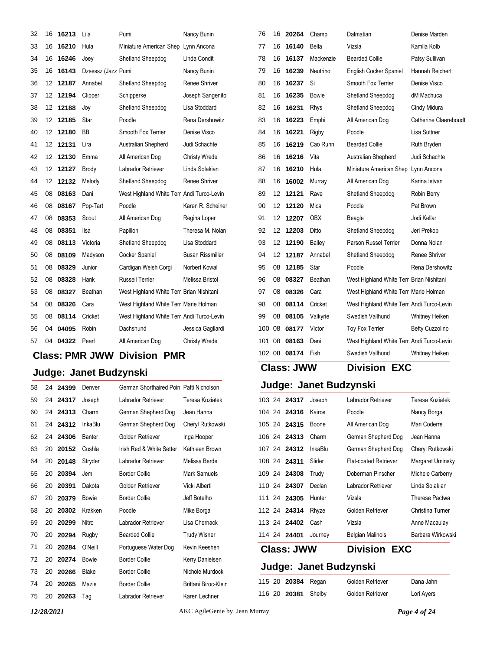| 32 | 16               | 16213    | Lila               | Pumi                                      | Nancy Bunin          | 76  | 16 | 20264        | Champ      | Dalmatian                                 | Denise Marden          |
|----|------------------|----------|--------------------|-------------------------------------------|----------------------|-----|----|--------------|------------|-------------------------------------------|------------------------|
| 33 | 16               | 16210    | Hula               | Miniature American Shep Lynn Ancona       |                      | 77  | 16 | 16140        | Bella      | Vizsla                                    | Kamila Kolb            |
| 34 | 16               | 16246    | Joey               | Shetland Sheepdog                         | Linda Condit         | 78  | 16 | 16137        | Mackenzie  | <b>Bearded Collie</b>                     | Patsy Sullivan         |
| 35 | 16               | 16143    | Dzsessz (Jazz Pumi |                                           | Nancy Bunin          | 79  | 16 | 16239        | Neutrino   | English Cocker Spaniel                    | Hannah Reichert        |
| 36 |                  | 12 12187 | Annabel            | Shetland Sheepdog                         | Renee Shriver        | 80  |    | 16 16237     | Si         | Smooth Fox Terrier                        | Denise Visco           |
| 37 |                  | 12 12194 | Clipper            | Schipperke                                | Joseph Sangenito     | 81  | 16 | 16235        | Bowie      | Shetland Sheepdog                         | dM Machuca             |
| 38 |                  | 12 12188 | Joy                | Shetland Sheepdog                         | Lisa Stoddard        | 82  | 16 | 16231        | Rhys       | Shetland Sheepdog                         | Cindy Midura           |
| 39 | 12 <sup>12</sup> | 12185    | Star               | Poodle                                    | Rena Dershowitz      | 83  | 16 | 16223        | Emphi      | All American Dog                          | Catherine Claereboud   |
| 40 |                  | 12 12180 | BB                 | Smooth Fox Terrier                        | Denise Visco         | 84  | 16 | 16221        | Rigby      | Poodle                                    | Lisa Suttner           |
| 41 |                  | 12 12131 | Lira               | Australian Shepherd                       | Judi Schachte        | 85  | 16 | 16219        | Cao Runn   | <b>Bearded Collie</b>                     | Ruth Bryden            |
| 42 |                  | 12 12130 | Emma               | All American Dog                          | <b>Christy Wrede</b> | 86  | 16 | 16216        | Vita       | <b>Australian Shepherd</b>                | Judi Schachte          |
| 43 |                  | 12 12127 | <b>Brody</b>       | Labrador Retriever                        | Linda Solakian       | 87  |    | 16 16210     | Hula       | Miniature American Shep                   | Lynn Ancona            |
| 44 |                  | 12 12132 | Melody             | Shetland Sheepdog                         | Renee Shriver        | 88  | 16 | 16002        | Murray     | All American Dog                          | Karina Istvan          |
| 45 | 08               | 08163    | Dani               | West Highland White Terr Andi Turco-Levin |                      | 89  |    | 12 12121     | Rave       | Shetland Sheepdog                         | Robin Berry            |
| 46 | 08               | 08167    | Pop-Tart           | Poodle                                    | Karen R. Scheiner    | 90  | 12 | 12120        | Mica       | Poodle                                    | Pat Brown              |
| 47 | 08               | 08353    | Scout              | All American Dog                          | Regina Loper         | 91  |    | 12 12207     | <b>OBX</b> | Beagle                                    | Jodi Kellar            |
| 48 | 08               | 08351    | Ilsa               | Papillon                                  | Theresa M. Nolan     | 92  | 12 | 12203        | Ditto      | Shetland Sheepdog                         | Jeri Prekop            |
| 49 | 08               | 08113    | Victoria           | Shetland Sheepdog                         | Lisa Stoddard        | 93  |    | 12 12190     | Bailey     | Parson Russel Terrier                     | Donna Nolan            |
| 50 | 08               | 08109    | Madyson            | Cocker Spaniel                            | Susan Rissmiller     | 94  |    | 12 12187     | Annabel    | Shetland Sheepdog                         | Renee Shriver          |
| 51 | 08               | 08329    | Junior             | Cardigan Welsh Corgi                      | Norbert Kowal        | 95  | 08 | 12185        | Star       | Poodle                                    | Rena Dershowitz        |
| 52 | 08               | 08328    | Hank               | <b>Russell Terrier</b>                    | Melissa Bristol      | 96  | 08 | 08327        | Beathan    | West Highland White Terr Brian Nishitani  |                        |
| 53 | 08               | 08327    | Beathan            | West Highland White Terr Brian Nishitani  |                      | 97  | 08 | 08326        | Cara       | West Highland White Terr Marie Holman     |                        |
| 54 | 08               | 08326    | Cara               | West Highland White Terr Marie Holman     |                      | 98  | 08 | 08114        | Cricket    | West Highland White Terr Andi Turco-Levin |                        |
| 55 | 08               | 08114    | Cricket            | West Highland White Terr Andi Turco-Levin |                      | 99  | 08 | 08105        | Valkyrie   | Swedish Vallhund                          | Whitney Heiken         |
| 56 | 04               | 04095    | Robin              | Dachshund                                 | Jessica Gagliardi    | 100 | 08 | 08177        | Victor     | <b>Toy Fox Terrier</b>                    | <b>Betty Cuzzolino</b> |
| 57 |                  | 04 04322 | Pearl              | All American Dog                          | <b>Christy Wrede</b> |     |    | 101 08 08163 | Dani       | West Highland White Terr Andi Turco-Levin |                        |

## **Class: PMR JWW Division PMR**

## **Judge: Janet Budzynski**

| 58 | 24 | 24399 | Denver         | German Shorthaired Poin Patti Nicholson |                      |
|----|----|-------|----------------|-----------------------------------------|----------------------|
| 59 | 24 | 24317 | Joseph         | Labrador Retriever                      | Teresa Koziatek      |
| 60 | 24 | 24313 | Charm          | German Shepherd Dog                     | Jean Hanna           |
| 61 | 24 | 24312 | <b>InkaBlu</b> | German Shepherd Dog                     | Cheryl Rutkowski     |
| 62 | 24 | 24306 | Banter         | Golden Retriever                        | Inga Hooper          |
| 63 | 20 | 20152 | Cushla         | Irish Red & White Setter                | Kathleen Brown       |
| 64 | 20 | 20148 | Stryder        | Labrador Retriever                      | Melissa Berde        |
| 65 | 20 | 20394 | Jem            | Border Collie                           | Mark Samuels         |
| 66 | 20 | 20391 | Dakota         | Golden Retriever                        | Vicki Alberti        |
| 67 | 20 | 20379 | <b>Bowie</b>   | <b>Border Collie</b>                    | Jeff Botelho         |
| 68 | 20 | 20302 | Krakken        | Poodle                                  | Mike Borga           |
| 69 | 20 | 20299 | Nitro          | Labrador Retriever                      | Lisa Chernack        |
| 70 | 20 | 20294 | Rugby          | <b>Bearded Collie</b>                   | <b>Trudy Wisner</b>  |
| 71 | 20 | 20284 | O'Neill        | Portuguese Water Dog                    | Kevin Keeshen        |
| 72 | 20 | 20274 | <b>Bowie</b>   | <b>Border Collie</b>                    | Kerry Danielsen      |
| 73 | 20 | 20266 | Blake          | <b>Border Collie</b>                    | Nichole Murdock      |
| 74 | 20 | 20265 | Mazie          | <b>Border Collie</b>                    | Brittani Biroc-Klein |
| 75 | 20 | 20263 | Tag            | Labrador Retriever                      | Karen Lechner        |

## **Class: JWW Division EXC**

## **Judge: Janet Budzynski**

|        | 103 24 24317 | Joseph  | Labrador Retriever           | Teresa Koziatek   |
|--------|--------------|---------|------------------------------|-------------------|
|        | 104 24 24316 | Kairos  | Poodle                       | Nancy Borga       |
|        | 105 24 24315 | Boone   | All American Dog             | Mari Coderre      |
|        | 106 24 24313 | Charm   | German Shepherd Dog          | Jean Hanna        |
|        | 107 24 24312 | InkaBlu | German Shepherd Dog          | Cheryl Rutkowski  |
|        | 108 24 24311 | Slider  | <b>Flat-coated Retriever</b> | Margaret Uminsky  |
|        | 109 24 24308 | Trudy   | Doberman Pinscher            | Michele Carberry  |
|        | 110 24 24307 | Declan  | Labrador Retriever           | Linda Solakian    |
| 111 24 | 24305        | Hunter  | Vizsla                       | Therese Pactwa    |
|        | 112 24 24314 | Rhyze   | Golden Retriever             | Christina Turner  |
| 113 24 | 24402        | Cash    | Vizsla                       | Anne Macaulay     |
|        | 114 24 24401 | Journey | <b>Belgian Malinois</b>      | Barbara Wirkowski |

08 **08174** Fish Swedish Vallhund Whitney Heiken

### **Class: JWW Division EXC**

| 115 20 20384 Regan         | Golden Retriever | Dana Jahn  |
|----------------------------|------------------|------------|
| 116 20 <b>20381</b> Shelby | Golden Retriever | Lori Ayers |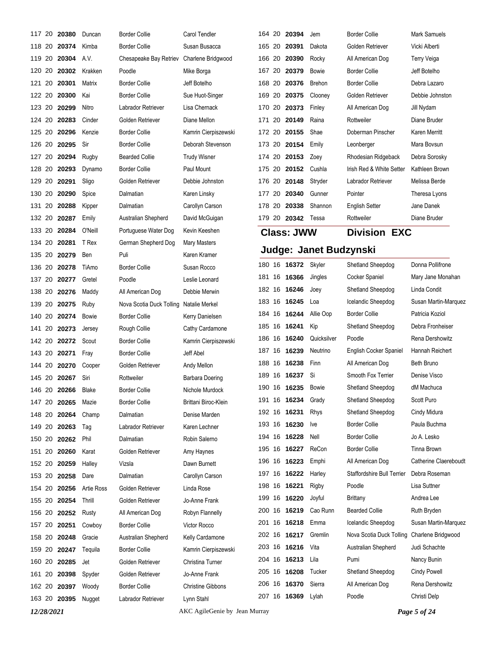|        |        | 117 20 20380        | Duncan            | <b>Border Collie</b>     | Carol Tendler            |        |    | 164 20 20394       | Jem                    | <b>Border Collie</b>       | Mark Samuels         |
|--------|--------|---------------------|-------------------|--------------------------|--------------------------|--------|----|--------------------|------------------------|----------------------------|----------------------|
| 118 20 |        | 20374               | Kimba             | <b>Border Collie</b>     | Susan Busacca            | 165 20 |    | 20391              | Dakota                 | Golden Retriever           | Vicki Alberti        |
| 119 20 |        | 20304               | A.V.              | Chesapeake Bay Retriev   | Charlene Bridgwood       | 166 20 |    | 20390              | Rocky                  | All American Dog           | Terry Veiga          |
| 120    | 20     | 20302               | Krakken           | Poodle                   | Mike Borga               | 167 20 |    | 20379              | Bowie                  | <b>Border Collie</b>       | Jeff Botelho         |
|        |        | 121 20 20301        | Matrix            | <b>Border Collie</b>     | Jeff Botelho             |        |    | 168 20 20376       | Brehon                 | <b>Border Collie</b>       | Debra Lazaro         |
| 122 20 |        | 20300               | Kai               | <b>Border Collie</b>     | Sue Huot-Singer          | 169 20 |    | 20375              | Clooney                | Golden Retriever           | Debbie Johnston      |
|        | 123 20 | 20299               | Nitro             | Labrador Retriever       | Lisa Chernack            |        |    | 170 20 20373       | Finley                 | All American Dog           | Jill Nydam           |
| 124    | 20     | 20283               | Cinder            | Golden Retriever         | Diane Mellon             | 171    | 20 | 20149              | Raina                  | Rottweiler                 | Diane Bruder         |
|        |        | 125 20 20296        | Kenzie            | <b>Border Collie</b>     | Kamrin Cierpiszewski     |        |    | 172 20 20155       | Shae                   | Doberman Pinscher          | Karen Merritt        |
| 126 20 |        | 20295               | Sir               | <b>Border Collie</b>     | Deborah Stevenson        | 173 20 |    | 20154              | Emily                  | Leonberger                 | Mara Bovsun          |
|        | 127 20 | 20294               | Rugby             | <b>Bearded Collie</b>    | <b>Trudy Wisner</b>      |        |    | 174 20 20153       | Zoey                   | Rhodesian Ridgeback        | Debra Sorosky        |
| 128 20 |        | 20293               | Dynamo            | <b>Border Collie</b>     | Paul Mount               | 175 20 |    | 20152              | Cushla                 | Irish Red & White Setter   | Kathleen Brown       |
| 129 20 |        | 20291               | Sligo             | Golden Retriever         | Debbie Johnston          |        |    | 176 20 20148       | Stryder                | Labrador Retriever         | Melissa Berde        |
| 130    | 20     | 20290               | Spice             | Dalmatian                | Karen Linsky             | 177    | 20 | 20340              | Gunner                 | Pointer                    | Theresa Lyons        |
| 131 20 |        | 20288               | Kipper            | Dalmatian                | Carollyn Carson          |        |    | 178 20 20338       | Shannon                | <b>English Setter</b>      | Jane Danek           |
| 132 20 |        | 20287               | Emily             | Australian Shepherd      | David McGuigan           |        |    | 179 20 20342 Tessa |                        | Rottweiler                 | Diane Bruder         |
| 133 20 |        | 20284               | O'Neill           | Portuguese Water Dog     | Kevin Keeshen            |        |    | <b>Class: JWW</b>  |                        | <b>Division EXC</b>        |                      |
| 134    | 20     | 20281               | T Rex             | German Shepherd Dog      | Mary Masters             |        |    |                    |                        |                            |                      |
| 135 20 |        | 20279               | Ben               | Puli                     | Karen Kramer             |        |    |                    | Judge: Janet Budzynski |                            |                      |
| 136 20 |        | 20278               | TiAmo             | <b>Border Collie</b>     | Susan Rocco              |        |    | 180 16 16372       | Skyler                 | Shetland Sheepdog          | Donna Pollifrone     |
| 137 20 |        | 20277               | Gretel            | Poodle                   | Leslie Leonard           |        |    | 181 16 16366       | Jingles                | Cocker Spaniel             | Mary Jane Monahan    |
| 138    | 20     | 20276               | Maddy             | All American Dog         | Debbie Merwin            |        |    | 182 16 16246       | Joey                   | Shetland Sheepdog          | Linda Condit         |
| 139 20 |        | 20275               | Ruby              | Nova Scotia Duck Tolling | Natalie Merkel           |        |    | 183 16 16245       | Loa                    | Icelandic Sheepdog         | Susan Martin-Marquez |
| 140    | 20     | 20274               | Bowie             | <b>Border Collie</b>     | Kerry Danielsen          |        |    | 184 16 16244       | Allie Oop              | <b>Border Collie</b>       | Patricia Koziol      |
| 141    | 20     | 20273               | Jersey            | Rough Collie             | Cathy Cardamone          |        |    | 185 16 16241       | Kip                    | Shetland Sheepdog          | Debra Fronheiser     |
| 142 20 |        | 20272               | Scout             | <b>Border Collie</b>     | Kamrin Cierpiszewski     |        |    | 186 16 16240       | Quicksilver            | Poodle                     | Rena Dershowitz      |
| 143 20 |        | 20271               | Fray              | <b>Border Collie</b>     | Jeff Abel                |        |    | 187 16 16239       | Neutrino               | English Cocker Spaniel     | Hannah Reichert      |
| 144    | 20     | 20270               | Cooper            | Golden Retriever         | Andy Mellon              |        |    | 188 16 16238       | Finn                   | All American Dog           | Beth Bruno           |
| 145 20 |        | 20267               | Siri              | Rottweiler               | Barbara Doering          |        |    | 189 16 16237       | Si                     | Smooth Fox Terrier         | Denise Visco         |
|        |        | 146 20 20266        | Blake             | <b>Border Collie</b>     | Nichole Murdock          |        |    | 190 16 16235       | Bowie                  | Shetland Sheepdog          | dM Machuca           |
| 147 20 |        | 20265               | Mazie             | <b>Border Collie</b>     | Brittani Biroc-Klein     |        |    | 191 16 16234       | Grady                  | Shetland Sheepdog          | Scott Puro           |
| 148 20 |        | 20264               | Champ             | Dalmatian                | Denise Marden            |        |    | 192 16 16231       | Rhys                   | Shetland Sheepdog          | Cindy Midura         |
| 149 20 |        | 20263               | Tag               | Labrador Retriever       | Karen Lechner            |        |    | 193 16 16230       | Ive                    | <b>Border Collie</b>       | Paula Buchma         |
|        |        | 150 20 20262        | Phil              | Dalmatian                | Robin Salerno            |        |    | 194 16 16228       | Nell                   | <b>Border Collie</b>       | Jo A. Lesko          |
| 151    | 20     | 20260               | Karat             | Golden Retriever         | Amy Haynes               |        |    | 195 16 16227       | ReCon                  | <b>Border Collie</b>       | Tinna Brown          |
| 152 20 |        | 20259               | Halley            | Vizsla                   | Dawn Burnett             |        |    | 196 16 16223       | Emphi                  | All American Dog           | Catherine Claereboud |
| 153 20 |        | 20258               | Dare              | Dalmatian                | Carollyn Carson          |        |    | 197 16 16222       | Harley                 | Staffordshire Bull Terrier | Debra Roseman        |
|        | 154 20 | 20256               | <b>Artie Ross</b> | Golden Retriever         | Linda Rose               |        |    | 198 16 16221       | Rigby                  | Poodle                     | Lisa Suttner         |
| 155 20 |        | 20254               | Thrill            | Golden Retriever         | Jo-Anne Frank            |        |    | 199 16 16220       | Joyful                 | Brittany                   | Andrea Lee           |
| 156 20 |        | 20252               | Rusty             | All American Dog         | Robyn Flannelly          |        |    | 200 16 16219       | Cao Runn               | <b>Bearded Collie</b>      | Ruth Bryden          |
| 157 20 |        | 20251               | Cowboy            | <b>Border Collie</b>     | Victor Rocco             |        |    | 201 16 16218       | Emma                   | Icelandic Sheepdog         | Susan Martin-Marquez |
| 158 20 |        | 20248               | Gracie            | Australian Shepherd      | Kelly Cardamone          |        |    | 202 16 16217       | Gremlin                | Nova Scotia Duck Tolling   | Charlene Bridgwood   |
| 159 20 |        | 20247               | Tequila           | <b>Border Collie</b>     | Kamrin Cierpiszewski     |        |    | 203 16 16216       | Vita                   | Australian Shepherd        | Judi Schachte        |
|        | 160 20 | 20285               | Jet               | Golden Retriever         | Christina Turner         |        |    | 204 16 16213       | Lila                   | Pumi                       | Nancy Bunin          |
| 161    | 20     | 20398               | Spyder            | Golden Retriever         | Jo-Anne Frank            |        |    | 205 16 16208       | Tucker                 | Shetland Sheepdog          | <b>Cindy Powell</b>  |
|        |        | 162 20 20397        | Woody             | <b>Border Collie</b>     | <b>Christine Gibbons</b> |        |    | 206 16 16370       | Sierra                 | All American Dog           | Rena Dershowitz      |
|        |        | 163 20 20395 Nugget |                   | Labrador Retriever       | Lynn Stahl               |        |    | 207 16 16369       | Lylah                  | Poodle                     | Christi Delp         |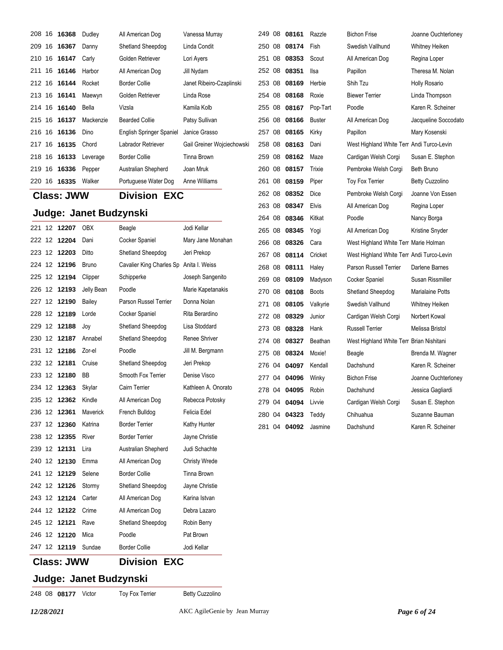|        | 208 16 16368 | Dudley    | All American Dog         | Vanessa Murray             |
|--------|--------------|-----------|--------------------------|----------------------------|
|        | 209 16 16367 | Danny     | Shetland Sheepdog        | Linda Condit               |
|        | 210 16 16147 | Carly     | Golden Retriever         | Lori Ayers                 |
|        | 211 16 16146 | Harbor    | All American Dog         | Jill Nydam                 |
|        | 212 16 16144 | Rocket    | Border Collie            | Janet Ribeiro-Czaplinski   |
|        | 213 16 16141 | Maewyn    | Golden Retriever         | Linda Rose                 |
|        | 214 16 16140 | Bella     | Vizsla                   | Kamila Kolb                |
|        | 215 16 16137 | Mackenzie | Bearded Collie           | Patsy Sullivan             |
|        | 216 16 16136 | Dino      | English Springer Spaniel | Janice Grasso              |
|        | 217 16 16135 | Chord     | Labrador Retriever       | Gail Greiner Wojciechowski |
|        | 218 16 16133 | Leverage  | <b>Border Collie</b>     | Tinna Brown                |
| 219 16 | 16336        | Pepper    | Australian Shepherd      | Joan Mruk                  |
| 220 16 | 16335        | Walker    | Portuguese Water Dog     | Anne Williams              |

### **Class: JWW Division EXC**

### **Judge: Janet Budzynski**

|        |     | Class: JWW |                 | <b>EXC</b><br>Division                  |                      |
|--------|-----|------------|-----------------|-----------------------------------------|----------------------|
| 247 12 |     | 12119      | Sundae          | <b>Border Collie</b>                    | Jodi Kellar          |
| 246    | 12  | 12120      | Mica            | Poodle                                  | Pat Brown            |
| 245    | 12  | 12121      | Rave            | Shetland Sheepdog                       | Robin Berry          |
| 244 12 |     | 12122      | Crime           | All American Dog                        | Debra Lazaro         |
| 243    | 12  | 12124      | Carter          | All American Dog                        | Karina Istvan        |
| 242    | 12  | 12126      | Stormy          | Shetland Sheepdog                       | Jayne Christie       |
| 241    | 12  | 12129      | Selene          | <b>Border Collie</b>                    | Tinna Brown          |
| 240    | 12  | 12130      | Emma            | All American Dog                        | <b>Christy Wrede</b> |
| 239    | 12  | 12131      | Lira            | Australian Shepherd                     | Judi Schachte        |
| 238    | 12  | 12355      | River           | <b>Border Terrier</b>                   | Jayne Christie       |
| 237    | 12  | 12360      | Katrina         | <b>Border Terrier</b>                   | Kathy Hunter         |
| 236    | 12  | 12361      | <b>Maverick</b> | French Bulldog                          | Felicia Edel         |
| 235    | 12  | 12362      | Kindle          | All American Dog                        | Rebecca Potosky      |
| 234    | -12 | 12363      | Skylar          | Cairn Terrier                           | Kathleen A. Onorato  |
| 233 12 |     | 12180      | ВB              | Smooth Fox Terrier                      | Denise Visco         |
| 232 12 |     | 12181      | Cruise          | Shetland Sheepdog                       | Jeri Prekop          |
| 231    | 12  | 12186      | Zor-el          | Poodle                                  | Jill M. Bergmann     |
| 230    | 12  | 12187      | Annabel         | Shetland Sheepdog                       | Renee Shriver        |
| 229    | 12  | 12188      | Joy             | Shetland Sheepdog                       | Lisa Stoddard        |
| 228    | 12  | 12189      | Lorde           | Cocker Spaniel                          | Rita Berardino       |
| 227 12 |     | 12190      | Bailey          | Parson Russel Terrier                   | Donna Nolan          |
| 226    | 12  | 12193      | Jelly Bean      | Poodle                                  | Marie Kapetanakis    |
| 225 12 |     | 12194      | Clipper         | Schipperke                              | Joseph Sangenito     |
| 224 12 |     | 12196      | <b>Bruno</b>    | Cavalier King Charles Sp Anita I. Weiss |                      |
| 223 12 |     | 12203      | Ditto           | Shetland Sheepdog                       | Jeri Prekop          |
| 222    | 12  | 12204      | Dani            | Cocker Spaniel                          | Mary Jane Monahan    |
| 221    | 12  | 12207      | OBX             | Beagle                                  | Jodi Kellar          |

| 249    | 08 | 08161                      | Razzle               |
|--------|----|----------------------------|----------------------|
|        |    | 250 08 08174               | Fish                 |
|        |    | 251 08 <b>08353</b>        | Scout                |
|        |    | 252 08 08351 Ilsa          |                      |
|        |    | 253 08 08169               | Herbie               |
|        |    | 254 08 08168 Roxie         |                      |
|        |    | 255 08 08167 Pop-Tart      |                      |
|        |    | 256 08 08166               | <b>Buster</b>        |
|        |    | 257 08 08165               | Kirky                |
|        |    | 258 08 08163 Dani          |                      |
|        |    | 259 08 08162               | Maze                 |
|        |    | 260 08 08157               | Trixie               |
|        |    | 261 08 08159 Piper         |                      |
|        |    | 262 08 08352 Dice          |                      |
|        |    | 263 08 08347               | Elvis                |
|        |    | 264 08 <b>08346</b> Kitkat |                      |
|        |    | 265 08 08345               | Yogi                 |
|        |    | 266 08 08326               | Cara                 |
|        |    | 267 08 08114 Cricket       |                      |
|        |    | 268 08 08111 Haley         |                      |
|        |    | 269 08 08109               | Madyson              |
|        |    | 270 08 08108               | <b>Boots</b>         |
|        |    | 271 08 08105 Valkyrie      |                      |
|        |    | 272 08 08329               | Junior               |
|        |    | 273 08 08328               | Hank                 |
|        |    | 274 08 08327 Beathan       |                      |
|        |    | 275 08 08324 Moxie!        |                      |
| 276 04 |    | 04097                      | Kendall              |
|        |    | 277 04 04096               | Winky                |
|        |    | 278 04 04095 Robin         |                      |
|        |    | 279 04 04094               | Livvie               |
|        |    | 280 04 04323 Teddy         |                      |
|        |    |                            | 281 04 04092 Jasmine |

 08 **08174** Fish Swedish Vallhund Whitney Heiken All American Dog Regina Loper Papillon Theresa M. Nolan 08 **08169** Herbie Shih Tzu Holly Rosario 08 **08168** Roxie Biewer Terrier Linda Thompson Poodle **Cart Poodle** Karen R. Scheiner All American Dog Jacqueline Soccodato Papillon Mary Kosenski West Highland White Terr Andi Turco-Levin Cardigan Welsh Corgi Susan E. Stephon Pembroke Welsh Corgi Beth Bruno Toy Fox Terrier **Betty Cuzzolino** Pembroke Welsh Corgi Joanne Von Essen All American Dog Regina Loper Poodle **Nancy Borga** All American Dog Kristine Snyder West Highland White Terr Marie Holman West Highland White Terr Andi Turco-Levin Parson Russell Terrier Darlene Barnes **26 Ocker Spaniel Susan Rissmiller**  08 **08108** Boots Shetland Sheepdog Marialaine Potts 08 **08105** Valkyrie Swedish Vallhund Whitney Heiken Cardigan Welsh Corgi Norbert Kowal 08 **08328** Hank Russell Terrier Melissa Bristol 08 **08327** Beathan West Highland White Terr Brian Nishitani **275 Beagle Brenda M. Wagner** Dachshund Karen R. Scheiner **277 Bichon Frise Joanne Ouchterloney** Dachshund Jessica Gagliardi Cardigan Welsh Corgi Susan E. Stephon 04 **04323** Teddy Chihuahua Suzanne Bauman

**249 Bichon Frise State Seanse Joanne Ouchterloney** Dachshund Karen R. Scheiner

## **Class: JWW Division EXC**

248 08 08177 Victor Toy Fox Terrier Betty Cuzzolino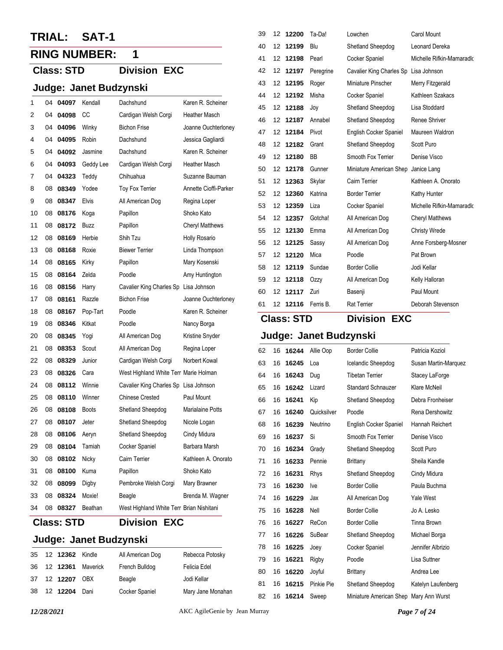## **TRIAL: SAT-1**

## **RING NUMBER: 1**

## **Class: STD Division EXC**

## **Judge: Janet Budzynski**

|    |    | <b>Class: STD</b> |              | <b>Division EXC</b>                      |                         |
|----|----|-------------------|--------------|------------------------------------------|-------------------------|
| 34 | 08 | 08327             | Beathan      | West Highland White Terr Brian Nishitani |                         |
| 33 | 08 | 08324             | Moxie!       | Beagle                                   | Brenda M. Wagner        |
| 32 | 08 | 08099             | Digby        | Pembroke Welsh Corgi                     | Mary Brawner            |
| 31 | 08 | 08100             | Kuma         | Papillon                                 | Shoko Kato              |
| 30 | 08 | 08102             | Nicky        | Cairn Terrier                            | Kathleen A. Onorato     |
| 29 | 08 | 08104             | Tamiah       | Cocker Spaniel                           | Barbara Marsh           |
| 28 | 08 | 08106             | Aeryn        | Shetland Sheepdog                        | Cindy Midura            |
| 27 | 08 | 08107             | Jeter        | Shetland Sheepdog                        | Nicole Logan            |
| 26 | 08 | 08108             | <b>Boots</b> | Shetland Sheepdog                        | <b>Marialaine Potts</b> |
| 25 | 08 | 08110             | Winner       | <b>Chinese Crested</b>                   | Paul Mount              |
| 24 | 08 | 08112             | Winnie       | Cavalier King Charles Sp Lisa Johnson    |                         |
| 23 | 08 | 08326             | Cara         | West Highland White Terr Marie Holman    |                         |
| 22 | 08 | 08329             | Junior       | Cardigan Welsh Corgi                     | Norbert Kowal           |
| 21 | 08 | 08353             | Scout        | All American Dog                         | Regina Loper            |
| 20 | 08 | 08345             | Yogi         | All American Dog                         | Kristine Snyder         |
| 19 | 08 | 08346             | Kitkat       | Poodle                                   | Nancy Borga             |
| 18 | 08 | 08167             | Pop-Tart     | Poodle                                   | Karen R. Scheiner       |
| 17 | 08 | 08161             | Razzle       | <b>Bichon Frise</b>                      | Joanne Ouchterloney     |
| 16 | 08 | 08156             | Harry        | Cavalier King Charles Sp                 | Lisa Johnson            |
| 15 | 08 | 08164             | Zelda        | Poodle                                   | Amy Huntington          |
| 14 | 08 | 08165             | Kirky        | Papillon                                 | Mary Kosenski           |
| 13 | 08 | 08168             | Roxie        | <b>Biewer Terrier</b>                    | Linda Thompson          |
| 12 | 08 | 08169             | Herbie       | Shih Tzu                                 | Holly Rosario           |
| 11 | 08 | 08172             | Buzz         | Papillon                                 | <b>Cheryl Matthews</b>  |
| 10 | 08 | 08176             | Koga         | Papillon                                 | Shoko Kato              |
| 9  | 08 | 08347             | Elvis        | All American Dog                         | Regina Loper            |
| 8  | 08 | 08349             | Yodee        | Toy Fox Terrier                          | Annette Cioffi-Parker   |
| 7  | 04 | 04323             | Teddy        | Chihuahua                                | Suzanne Bauman          |
| 6  | 04 | 04093             | Geddy Lee    | Cardigan Welsh Corgi                     | <b>Heather Masch</b>    |
| 5  | 04 | 04092             | Jasmine      | Dachshund                                | Karen R. Scheiner       |
| 4  | 04 | 04095             | <b>Robin</b> | Dachshund                                | Jessica Gagliardi       |
| 3  | 04 | 04096             | Winky        | <b>Bichon Frise</b>                      | Joanne Ouchterloney     |
| 2  | 04 | 04098             | CC           | Cardigan Welsh Corgi                     | <b>Heather Masch</b>    |
| 1  | 04 | 04097             | Kendall      | Dachshund                                | Karen R. Scheiner       |
|    |    |                   |              |                                          |                         |

| <b>Class: STD</b> |  |
|-------------------|--|
|-------------------|--|

## **Judge: Janet Budzynski**

| 35 | 12 <b>12362</b> Kindle |                      | All American Dog      | Rebecca Potosky   |
|----|------------------------|----------------------|-----------------------|-------------------|
|    |                        | 36 12 12361 Maverick | French Bulldog        | Felicia Edel      |
|    | 37 12 12207 OBX        |                      | Beagle                | Jodi Kellar       |
|    | 38 12 12204            | Dani                 | <b>Cocker Spaniel</b> | Mary Jane Monahan |

| 39 | 12 | 12200 | Ta-Da!    | Lowchen                               | Carol Mount               |
|----|----|-------|-----------|---------------------------------------|---------------------------|
| 40 | 12 | 12199 | Blu       | Shetland Sheepdog                     | Leonard Dereka            |
| 41 | 12 | 12198 | Pearl     | Cocker Spaniel                        | Michelle Rifkin-Mamaradlo |
| 42 | 12 | 12197 | Peregrine | Cavalier King Charles Sp Lisa Johnson |                           |
| 43 | 12 | 12195 | Roger     | Miniature Pinscher                    | Merry Fitzgerald          |
| 44 | 12 | 12192 | Misha     | Cocker Spaniel                        | Kathleen Szakacs          |
| 45 | 12 | 12188 | Joy       | Shetland Sheepdog                     | Lisa Stoddard             |
| 46 | 12 | 12187 | Annabel   | Shetland Sheepdog                     | Renee Shriver             |
| 47 | 12 | 12184 | Pivot     | <b>English Cocker Spaniel</b>         | Maureen Waldron           |
| 48 | 12 | 12182 | Grant     | Shetland Sheepdog                     | Scott Puro                |
| 49 | 12 | 12180 | <b>BB</b> | Smooth Fox Terrier                    | Denise Visco              |
| 50 | 12 | 12178 | Gunner    | Miniature American Shep               | Janice Lang               |
| 51 | 12 | 12363 | Skylar    | Cairn Terrier                         | Kathleen A. Onorato       |
| 52 | 12 | 12360 | Katrina   | <b>Border Terrier</b>                 | Kathy Hunter              |
| 53 | 12 | 12359 | Liza      | Cocker Spaniel                        | Michelle Rifkin-Mamaradk  |
| 54 | 12 | 12357 | Gotcha!   | All American Dog                      | <b>Cheryl Matthews</b>    |
| 55 | 12 | 12130 | Emma      | All American Dog                      | <b>Christy Wrede</b>      |
| 56 | 12 | 12125 | Sassy     | All American Dog                      | Anne Forsberg-Mosner      |
| 57 | 12 | 12120 | Mica      | Poodle                                | Pat Brown                 |
| 58 | 12 | 12119 | Sundae    | <b>Border Collie</b>                  | Jodi Kellar               |
| 59 | 12 | 12118 | Ozzy      | All American Dog                      | Kelly Halloran            |
| 60 | 12 | 12117 | Zuri      | Basenji                               | Paul Mount                |
| 61 | 12 | 12116 | Ferris B. | <b>Rat Terrier</b>                    | Deborah Stevenson         |

## **Class: STD Division EXC**

| 62 | 16 | 16244 | Allie Oop   | <b>Border Collie</b>                   | Patricia Koziol      |
|----|----|-------|-------------|----------------------------------------|----------------------|
| 63 | 16 | 16245 | Loa         | Icelandic Sheepdog                     | Susan Martin-Marquez |
| 64 | 16 | 16243 | Dug         | <b>Tibetan Terrier</b>                 | Stacey LaForge       |
| 65 | 16 | 16242 | Lizard      | <b>Standard Schnauzer</b>              | Klare McNeil         |
| 66 | 16 | 16241 | Kip         | Shetland Sheepdog                      | Debra Fronheiser     |
| 67 | 16 | 16240 | Quicksilver | Poodle                                 | Rena Dershowitz      |
| 68 | 16 | 16239 | Neutrino    | English Cocker Spaniel                 | Hannah Reichert      |
| 69 | 16 | 16237 | Si          | Smooth Fox Terrier                     | Denise Visco         |
| 70 | 16 | 16234 | Grady       | Shetland Sheepdog                      | Scott Puro           |
| 71 | 16 | 16233 | Pennie      | Brittany                               | Sheila Kandle        |
| 72 | 16 | 16231 | Rhys        | Shetland Sheepdog                      | Cindy Midura         |
| 73 | 16 | 16230 | Ive         | <b>Border Collie</b>                   | Paula Buchma         |
| 74 | 16 | 16229 | Jax         | All American Dog                       | <b>Yale West</b>     |
| 75 | 16 | 16228 | Nell        | <b>Border Collie</b>                   | Jo A. Lesko          |
| 76 | 16 | 16227 | ReCon       | <b>Border Collie</b>                   | Tinna Brown          |
| 77 | 16 | 16226 | SuBear      | Shetland Sheepdog                      | Michael Borga        |
| 78 | 16 | 16225 | Joey        | Cocker Spaniel                         | Jennifer Albrizio    |
| 79 | 16 | 16221 | Rigby       | Poodle                                 | Lisa Suttner         |
| 80 | 16 | 16220 | Joyful      | <b>Brittany</b>                        | Andrea Lee           |
| 81 | 16 | 16215 | Pinkie Pie  | Shetland Sheepdog                      | Katelyn Laufenberg   |
| 82 | 16 | 16214 | Sweep       | Miniature American Shep Mary Ann Wurst |                      |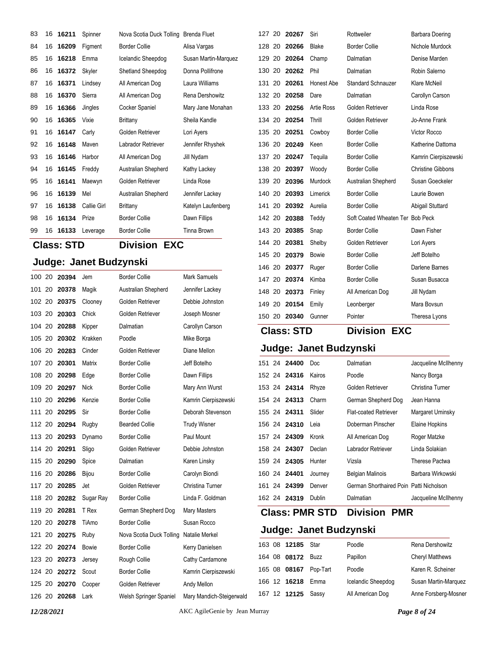| 83  |                                          | 16 16211     | Spinner                | Nova Scotia Duck Tolling Brenda Fluet |                      | 127 20 20267 |                   | Siri                   | Rottweiler                       | Barbara Doering          |
|-----|------------------------------------------|--------------|------------------------|---------------------------------------|----------------------|--------------|-------------------|------------------------|----------------------------------|--------------------------|
| 84  | 16                                       | 16209        | Figment                | <b>Border Collie</b>                  | Alisa Vargas         | 128 20       | 20266             | <b>Blake</b>           | <b>Border Collie</b>             | Nichole Murdock          |
| 85  | 16                                       | 16218        | Emma                   | Icelandic Sheepdog                    | Susan Martin-Marquez | 129<br>20    | 20264             | Champ                  | Dalmatian                        | Denise Marden            |
| 86  | 16                                       | 16372        | Skyler                 | Shetland Sheepdog                     | Donna Pollifrone     | 130 20       | 20262             | Phil                   | Dalmatian                        | Robin Salerno            |
| 87  |                                          | 16 16371     | Lindsey                | All American Dog                      | Laura Williams       | 131 20       | 20261             | <b>Honest Abe</b>      | <b>Standard Schnauzer</b>        | Klare McNeil             |
| 88  |                                          | 16 16370     | Sierra                 | All American Dog                      | Rena Dershowitz      | 132 20       | 20258             | Dare                   | Dalmatian                        | Carollyn Carson          |
| 89  | 16                                       | 16366        | Jingles                | Cocker Spaniel                        | Mary Jane Monahan    | 133 20       | 20256             | <b>Artie Ross</b>      | Golden Retriever                 | Linda Rose               |
| 90  | 16                                       | 16365        | Vixie                  | <b>Brittany</b>                       | Sheila Kandle        | 134<br>20    | 20254             | Thrill                 | Golden Retriever                 | Jo-Anne Frank            |
| 91  | 16                                       | 16147        | Carly                  | Golden Retriever                      | Lori Ayers           | 135 20       | 20251             | Cowboy                 | <b>Border Collie</b>             | Victor Rocco             |
| 92  | 16                                       | 16148        | Maven                  | Labrador Retriever                    | Jennifer Rhyshek     | 136 20       | 20249             | Keen                   | <b>Border Collie</b>             | Katherine Dattoma        |
| 93  |                                          | 16 16146     | Harbor                 | All American Dog                      | Jill Nydam           | 137 20       | 20247             | Teguila                | <b>Border Collie</b>             | Kamrin Cierpiszewski     |
| 94  |                                          | 16 16145     | Freddy                 | Australian Shepherd                   | Kathy Lackey         | 138 20       | 20397             | Woody                  | <b>Border Collie</b>             | <b>Christine Gibbons</b> |
| 95  |                                          | 16 16141     | Maewyn                 | Golden Retriever                      | Linda Rose           | 139<br>20    | 20396             | Murdock                | Australian Shepherd              | Susan Goeckeler          |
| 96  | 16                                       | 16139        | Mel                    | Australian Shepherd                   | Jennifer Lackey      | 140<br>20    | 20393             | Limerick               | <b>Border Collie</b>             | Laurie Bowen             |
| 97  | 16                                       | 16138        | Callie Girl            | <b>Brittany</b>                       | Katelyn Laufenberg   | 141 20       | 20392             | Aurelia                | <b>Border Collie</b>             | Abigail Stuttard         |
| 98  |                                          | 16 16134     | Prize                  | <b>Border Collie</b>                  | Dawn Fillips         | 142 20       | 20388             | Teddy                  | Soft Coated Wheaten Ter Bob Peck |                          |
| 99  |                                          | 16 16133     | Leverage               | <b>Border Collie</b>                  | Tinna Brown          | 143 20       | 20385             | Snap                   | <b>Border Collie</b>             | Dawn Fisher              |
|     | <b>Division EXC</b><br><b>Class: STD</b> |              |                        |                                       | 144 20               | 20381        | Shelby            | Golden Retriever       | Lori Ayers                       |                          |
|     |                                          |              |                        |                                       |                      | 145<br>20    | 20379             | Bowie                  | <b>Border Collie</b>             | Jeff Botelho             |
|     |                                          |              | Judge: Janet Budzynski |                                       |                      | 146 20       | 20377             | Ruger                  | <b>Border Collie</b>             | Darlene Barnes           |
|     | 100 20                                   | 20394        | Jem                    | <b>Border Collie</b>                  | Mark Samuels         | 147 20       | 20374             | Kimba                  | <b>Border Collie</b>             | Susan Busacca            |
|     | 101 20                                   | 20378        | Magik                  | Australian Shepherd                   | Jennifer Lackey      | 148 20       | 20373             | Finley                 | All American Dog                 | Jill Nydam               |
|     | 102 20                                   | 20375        | Clooney                | Golden Retriever                      | Debbie Johnston      | 149 20       | 20154             | Emily                  | Leonberger                       | Mara Bovsun              |
|     | 103 20                                   | 20303        | Chick                  | Golden Retriever                      | Joseph Mosner        | 150 20 20340 |                   | Gunner                 | Pointer                          | Theresa Lyons            |
|     | 104 20                                   | 20288        | Kipper                 | Dalmatian                             | Carollyn Carson      |              | <b>Class: STD</b> |                        | <b>Division EXC</b>              |                          |
| 105 | -20                                      | 20302        | Krakken                | Poodle                                | Mike Borga           |              |                   |                        |                                  |                          |
|     | 106 20                                   | 20283        | Cinder                 | Golden Retriever                      | Diane Mellon         |              |                   | Judge: Janet Budzynski |                                  |                          |
|     | 107 20                                   | 20301        | Matrix                 | <b>Border Collie</b>                  | Jeff Botelho         | 151 24 24400 |                   | Doc                    | Dalmatian                        | Jacqueline McIlhenny     |
|     | 108 20                                   | 20298        | Edge                   | <b>Border Collie</b>                  | Dawn Fillips         | 152 24 24316 |                   | Kairos                 | Poodle                           | Nancy Borga              |
|     | 109 20                                   | 20297        | Nick                   | <b>Border Collie</b>                  | Mary Ann Wurst       | 153 24 24314 |                   | Rhyze                  | Golden Retriever                 | Christina Turner         |
| 110 | 20                                       | 20296        | Kenzie                 | <b>Border Collie</b>                  | Kamrin Cierpiszewski | 154 24       | 24313             | Charm                  | German Shepherd Dog              | Jean Hanna               |
| 111 | 20                                       | 20295        | Sir                    | <b>Border Collie</b>                  | Deborah Stevenson    | 155 24       | 24311             | Slider                 | <b>Flat-coated Retriever</b>     | Margaret Uminsky         |
|     | 112 20                                   | 20294        | Rugby                  | <b>Bearded Collie</b>                 | <b>Trudy Wisner</b>  | 156 24 24310 |                   | Leia                   | Doberman Pinscher                | Elaine Hopkins           |
|     |                                          | 113 20 20293 | Dynamo                 | <b>Border Collie</b>                  | Paul Mount           | 157 24 24309 |                   | Kronk                  | All American Dog                 | Roger Matzke             |

24 **24401** Journey Belgian Malinois Barbara Wirkowski

24 **24319** Dublin Dalmatian Jacqueline McIlhenny

 24 **24307** Declan Labrador Retriever Linda Solakian 24 **24305** Hunter Vizsla Therese Pactwa

24 **24399** Denver German Shorthaired Poin Patti Nicholson

**Class: PMR STD Division PMR**

### **Judge: Janet Budzynski**

|  | 163 08 12185 Star  |          | Poodle             | Rena Dershowitz        |
|--|--------------------|----------|--------------------|------------------------|
|  | 164 08 08172       | Buzz     | Papillon           | <b>Cheryl Matthews</b> |
|  | 165 08 08167       | Pop-Tart | Poodle             | Karen R. Scheiner      |
|  | 166 12 16218       | Emma     | Icelandic Sheepdog | Susan Martin-Marquez   |
|  | 167 12 12125 Sassy |          | All American Dog   | Anne Forsberg-Mosner   |

 20 **20291** Sligo Golden Retriever Debbie Johnston 115 20 **20290** Spice Dalmatian Karen Linsky 116 20 **20286** Bijou Border Collie Carolyn Biondi 20 **20285** Jet Golden Retriever Christina Turner 118 20 20282 Sugar Ray Border Collie Linda F. Goldman 20 **20281** T Rex German Shepherd Dog Mary Masters 120 20 **20278** TiAmo Border Collie Susan Rocco 20 **20275** Ruby Nova Scotia Duck Tolling Natalie Merkel 122 20 **20274** Bowie Border Collie Kerry Danielsen 123 20 **20273** Jersey Rough Collie Cathy Cardamone 124 20 **20272** Scout Border Collie Kamrin Cierpiszewski 20 **20270** Cooper Golden Retriever Andy Mellon

20 **20268** Lark Welsh Springer Spaniel Mary Mandich-Steigerwald

*12/28/2021* AKC AgileGenie by Jean Murray *Page 8 of 24*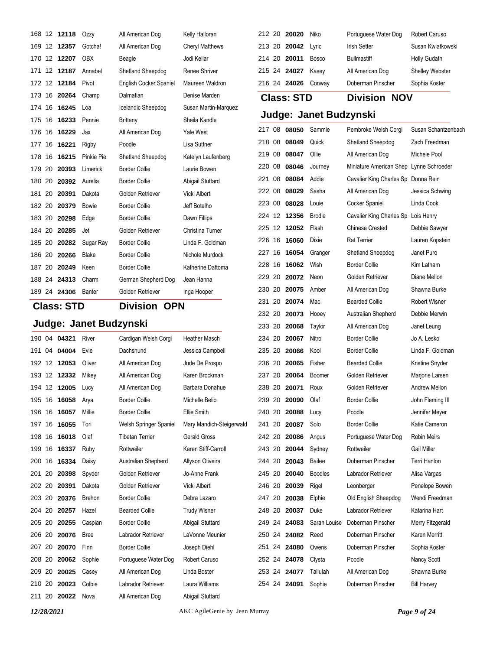|                                          | 168 12 <b>12118</b>  | Ozzy                   | All American Dog       | Kelly Halloran           |        | 212 20 20020          | Niko                   | Portuguese Water Dog                    | Robert Caruso       |
|------------------------------------------|----------------------|------------------------|------------------------|--------------------------|--------|-----------------------|------------------------|-----------------------------------------|---------------------|
|                                          | 169 12 12357         | Gotcha!                | All American Dog       | <b>Cheryl Matthews</b>   |        | 213 20 20042          | Lyric                  | <b>Irish Setter</b>                     | Susan Kwiatkowski   |
|                                          | 170 12 12207         | <b>OBX</b>             | Beagle                 | Jodi Kellar              | 214 20 | 20011                 | <b>Bosco</b>           | <b>Bullmastiff</b>                      | <b>Holly Gudath</b> |
|                                          | 171 12 <b>12187</b>  | Annabel                | Shetland Sheepdog      | Renee Shriver            |        | 215 24 24027          | Kasey                  | All American Dog                        | Shelley Webster     |
|                                          | 172 12 12184         | Pivot                  | English Cocker Spaniel | Maureen Waldron          |        | 216 24 24026 Conway   |                        | Doberman Pinscher                       | Sophia Koster       |
|                                          | 173 16 20264         | Champ                  | Dalmatian              | Denise Marden            |        | <b>Class: STD</b>     |                        | <b>Division NOV</b>                     |                     |
|                                          | 174 16 16245         | Loa                    | Icelandic Sheepdog     | Susan Martin-Marquez     |        |                       |                        |                                         |                     |
|                                          | 175 16 16233         | Pennie                 | <b>Brittany</b>        | Sheila Kandle            |        |                       | Judge: Janet Budzynski |                                         |                     |
|                                          | 176 16 16229         | Jax                    | All American Dog       | Yale West                |        | 217 08 08050          | Sammie                 | Pembroke Welsh Corgi                    | Susan Schantzenbach |
|                                          | 177 16 16221         | Rigby                  | Poodle                 | Lisa Suttner             | 218 08 | 08049                 | Quick                  | Shetland Sheepdog                       | Zach Freedman       |
|                                          | 178 16 16215         | Pinkie Pie             | Shetland Sheepdog      | Katelyn Laufenberg       |        | 219 08 08047          | Ollie                  | All American Dog                        | Michele Pool        |
|                                          | 179 20 20393         | Limerick               | <b>Border Collie</b>   | Laurie Bowen             | 220 08 | 08046                 | Journey                | Miniature American Shep Lynne Schroeder |                     |
|                                          | 180 20 20392         | Aurelia                | <b>Border Collie</b>   | Abigail Stuttard         | 221 08 | 08084                 | Addie                  | Cavalier King Charles Sp Donna Rein     |                     |
|                                          | 181 20 20391         | Dakota                 | Golden Retriever       | Vicki Alberti            | 222 08 | 08029                 | Sasha                  | All American Dog                        | Jessica Schwing     |
|                                          | 182 20 20379         | <b>Bowie</b>           | <b>Border Collie</b>   | Jeff Botelho             | 223 08 | 08028                 | Louie                  | Cocker Spaniel                          | Linda Cook          |
|                                          | 183 20 20298         | Edge                   | <b>Border Collie</b>   | Dawn Fillips             |        | 224 12 12356          | <b>Brodie</b>          | Cavalier King Charles Sp Lois Henry     |                     |
|                                          | 184 20 20285         | Jet                    | Golden Retriever       | Christina Turner         |        | 225 12 12052          | Flash                  | <b>Chinese Crested</b>                  | Debbie Sawyer       |
|                                          | 185 20 20282         | Sugar Ray              | <b>Border Collie</b>   | Linda F. Goldman         |        | 226 16 16060          | Dixie                  | <b>Rat Terrier</b>                      | Lauren Kopstein     |
|                                          | 186 20 20266         | Blake                  | <b>Border Collie</b>   | Nichole Murdock          |        | 227 16 16054          | Granger                | Shetland Sheepdog                       | Janet Puro          |
|                                          | 187 20 20249         | Keen                   | <b>Border Collie</b>   | Katherine Dattoma        | 228 16 | 16062                 | Wish                   | <b>Border Collie</b>                    | Kim Latham          |
|                                          | 188 24 24313         | Charm                  | German Shepherd Dog    | Jean Hanna               | 229 20 | 20072                 | Neon                   | Golden Retriever                        | Diane Mellon        |
|                                          | 189 24 24306 Banter  |                        | Golden Retriever       | Inga Hooper              | 230 20 | 20075                 | Amber                  | All American Dog                        | Shawna Burke        |
| <b>Class: STD</b><br><b>Division OPN</b> |                      |                        | 231 20                 | 20074                    | Mac    | <b>Bearded Collie</b> | <b>Robert Wisner</b>   |                                         |                     |
|                                          |                      |                        |                        |                          |        | 232 20 20073          | Hooey                  | Australian Shepherd                     | Debbie Merwin       |
|                                          |                      | Judge: Janet Budzynski |                        |                          | 233 20 | 20068                 | Taylor                 | All American Dog                        | Janet Leung         |
|                                          | 190 04 04321         | River                  | Cardigan Welsh Corgi   | Heather Masch            |        | 234 20 20067          | Nitro                  | <b>Border Collie</b>                    | Jo A. Lesko         |
|                                          | 191 04 04004         | Evie                   | Dachshund              | Jessica Campbell         |        | 235 20 20066          | Kool                   | <b>Border Collie</b>                    | Linda F. Goldman    |
|                                          | 192 12 12053         | Oliver                 | All American Dog       | Jude De Prospo           | 236 20 | 20065                 | Fisher                 | <b>Bearded Collie</b>                   | Kristine Snyder     |
|                                          | 193 12 12332         | Mikey                  | All American Dog       | Karen Brockman           |        | 237 20 20064          | Boomer                 | Golden Retriever                        | Marjorie Larsen     |
|                                          | 194 12 12005         | Lucy                   | All American Dog       | Barbara Donahue          |        | 238 20 20071          | Roux                   | Golden Retriever                        | Andrew Mellon       |
| 195 16                                   | 16058                | Arya                   | <b>Border Collie</b>   | Michelle Belio           |        | 239 20 20090          | Olaf                   | <b>Border Collie</b>                    | John Fleming III    |
|                                          | 196 16 16057         | Millie                 | <b>Border Collie</b>   | Ellie Smith              |        | 240 20 20088          | Lucy                   | Poodle                                  | Jennifer Meyer      |
|                                          | 197 16 1 <b>6055</b> | Tori                   | Welsh Springer Spaniel | Mary Mandich-Steigerwald |        | 241 20 20087          | Solo                   | <b>Border Collie</b>                    | Katie Cameron       |
|                                          | 198 16 16018         | Olaf                   | <b>Tibetan Terrier</b> | Gerald Gross             |        | 242 20 20086          | Angus                  | Portuguese Water Dog                    | Robin Meirs         |
|                                          | 199 16 16337         | Ruby                   | Rottweiler             | Karen Stiff-Carroll      |        | 243 20 20044          | Sydney                 | Rottweiler                              | Gail Miller         |
|                                          | 200 16 16334         | Daisy                  | Australian Shepherd    | Allyson Oliveira         |        | 244 20 20043          | Bailee                 | Doberman Pinscher                       | Terri Hanlon        |
|                                          | 201 20 <b>20398</b>  | Spyder                 | Golden Retriever       | Jo-Anne Frank            |        | 245 20 20040          | <b>Boodles</b>         | Labrador Retriever                      | Alisa Vargas        |
|                                          |                      |                        |                        |                          |        |                       |                        |                                         |                     |
|                                          | 202 20 20391         | Dakota                 | Golden Retriever       | Vicki Alberti            |        | 246 20 20039          | Rigel                  | Leonberger                              | Penelope Bowen      |
|                                          | 203 20 20376         | <b>Brehon</b>          | <b>Border Collie</b>   | Debra Lazaro             | 247 20 | 20038                 | Elphie                 | Old English Sheepdog                    | Wendi Freedman      |
|                                          | 204 20 20257         | Hazel                  | <b>Bearded Collie</b>  | <b>Trudy Wisner</b>      |        | 248 20 20037          | Duke                   | Labrador Retriever                      | Katarina Hart       |
|                                          | 205 20 <b>20255</b>  | Caspian                | <b>Border Collie</b>   | Abigail Stuttard         |        | 249 24 24083          | Sarah Louise           | Doberman Pinscher                       | Merry Fitzgerald    |
|                                          | 206 20 20076         | <b>Bree</b>            | Labrador Retriever     | LaVonne Meunier          |        | 250 24 24082          | Reed                   | Doberman Pinscher                       | Karen Merritt       |
| 207 20                                   | 20070                | Finn                   | <b>Border Collie</b>   | Joseph Diehl             |        | 251 24 24080          | Owens                  | Doberman Pinscher                       | Sophia Koster       |
|                                          | 208 20 20062         | Sophie                 | Portuguese Water Dog   | Robert Caruso            |        | 252 24 24078          | Clysta                 | Poodle                                  | Nancy Scott         |
|                                          | 209 20 20025         | Casey                  | All American Dog       | Linda Boster             |        | 253 24 24077          | Tallulah               | All American Dog                        | Shawna Burke        |
|                                          | 210 20 20023         | Colbie                 | Labrador Retriever     | Laura Williams           |        | 254 24 24091          | Sophie                 | Doberman Pinscher                       | <b>Bill Harvey</b>  |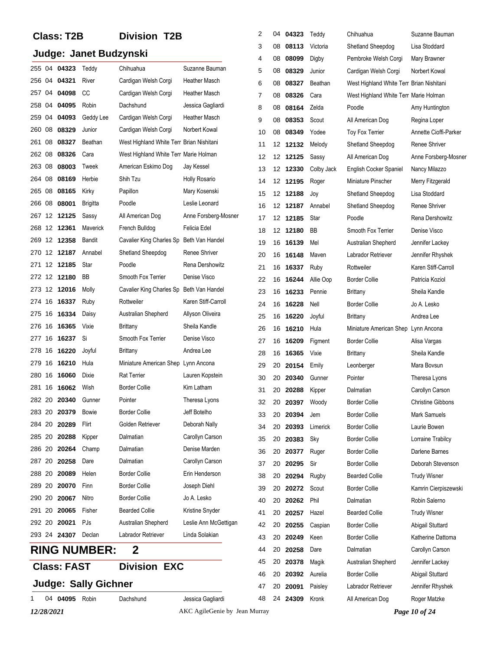## **Class: T2B Division T2B**

|            |                    | Judge: Janet Budzynski      |                                          |                               | 3<br>4 | 08       | 08113          | Victoria        | Shetland Sheepdog                            | Lisa Stoddard<br>Mary Brawner |
|------------|--------------------|-----------------------------|------------------------------------------|-------------------------------|--------|----------|----------------|-----------------|----------------------------------------------|-------------------------------|
|            | 255 04 04323       | Teddy                       | Chihuahua                                | Suzanne Bauman                | 5      | 08<br>08 | 08099<br>08329 | Digby<br>Junior | Pembroke Welsh Corgi<br>Cardigan Welsh Corgi | Norbert Kowal                 |
|            | 256 04 04321       | River                       | Cardigan Welsh Corgi                     | Heather Masch                 | 6      | 08       | 08327          | Beathan         | West Highland White Terr Brian Nishitani     |                               |
| 257 04     | 04098              | CC                          | Cardigan Welsh Corgi                     | Heather Masch                 | 7      | 08       | 08326          | Cara            | West Highland White Terr Marie Holman        |                               |
| 258 04     | 04095              | Robin                       | Dachshund                                | Jessica Gagliardi             | 8      | 08       | 08164          | Zelda           | Poodle                                       | Amy Huntington                |
| 259 04     | 04093              | Geddy Lee                   | Cardigan Welsh Corgi                     | <b>Heather Masch</b>          | 9      | 08       | 08353          | Scout           | All American Dog                             | Regina Loper                  |
|            | 260 08 08329       | Junior                      | Cardigan Welsh Corgi                     | Norbert Kowal                 | 10     | 08       | 08349          | Yodee           | <b>Toy Fox Terrier</b>                       | Annette Cioffi-Parker         |
| 08<br>261  | 08327              | Beathan                     | West Highland White Terr Brian Nishitani |                               | 11     |          | 12 12132       | Melody          | Shetland Sheepdog                            | Renee Shriver                 |
| 262 08     | 08326              | Cara                        | West Highland White Terr Marie Holman    |                               | 12     |          | 12 12125       | Sassy           | All American Dog                             | Anne Forsberg-Mosner          |
| 263 08     | 08003              | Tweek                       | American Eskimo Dog                      | Jay Kessel                    | 13     |          | 12 12330       | Colby Jack      | English Cocker Spaniel                       | Nancy Milazzo                 |
|            | 264 08 08169       | Herbie                      | Shih Tzu                                 | <b>Holly Rosario</b>          | 14     | 12       | 12195          | Roger           | Miniature Pinscher                           | Merry Fitzgerald              |
| 265 08     | 08165              | Kirky                       | Papillon                                 | Mary Kosenski                 | 15     |          | 12 12188       | Joy             | Shetland Sheepdog                            | Lisa Stoddard                 |
| 266 08     | 08001              | <b>Brigitta</b>             | Poodle                                   | Leslie Leonard                | 16     | 12       | 12187          | Annabel         | Shetland Sheepdog                            | Renee Shriver                 |
|            | 267 12 12125       | Sassy                       | All American Dog                         | Anne Forsberg-Mosner          | 17     |          | 12 12185       | Star            | Poodle                                       | Rena Dershowitz               |
|            | 268 12 12361       | Maverick                    | French Bulldog                           | Felicia Edel                  | 18     | 12       | 12180          | BB              | Smooth Fox Terrier                           | Denise Visco                  |
|            | 269 12 12358       | Bandit                      | Cavalier King Charles Sp Beth Van Handel |                               | 19     | 16       | 16139          | Mel             | Australian Shepherd                          | Jennifer Lackey               |
|            | 270 12 12187       | Annabel                     | Shetland Sheepdog                        | Renee Shriver                 | 20     | 16       | 16148          | Maven           | Labrador Retriever                           | Jennifer Rhyshek              |
|            | 271 12 12185       | Star                        | Poodle                                   | Rena Dershowitz               | 21     | 16       | 16337          | Ruby            | Rottweiler                                   | Karen Stiff-Carroll           |
|            | 272 12 12180       | BB                          | Smooth Fox Terrier                       | Denise Visco                  | 22     | 16       | 16244          | Allie Oop       | <b>Border Collie</b>                         | Patricia Koziol               |
|            | 273 12 12016       | Molly                       | Cavalier King Charles Sp Beth Van Handel |                               | 23     | 16       | 16233          | Pennie          | Brittany                                     | Sheila Kandle                 |
|            | 274 16 16337       | Ruby                        | Rottweiler                               | Karen Stiff-Carroll           | 24     | 16       | 16228          | Nell            | <b>Border Collie</b>                         | Jo A. Lesko                   |
| 275 16     | 16334              | Daisy                       | Australian Shepherd                      | Allyson Oliveira              | 25     | 16       | 16220          | Joyful          | Brittany                                     | Andrea Lee                    |
|            | 276 16 16365       | Vixie                       | <b>Brittany</b>                          | Sheila Kandle                 | 26     | 16       | 16210          | Hula            | Miniature American Shep Lynn Ancona          |                               |
| 277 16     | 16237              | Si                          | Smooth Fox Terrier                       | Denise Visco                  | 27     | 16       | 16209          | Figment         | Border Collie                                | Alisa Vargas                  |
|            | 278 16 16220       | Joyful                      | <b>Brittany</b>                          | Andrea Lee                    | 28     | 16       | 16365          | Vixie           | Brittany                                     | Sheila Kandle                 |
| 279 16     | 16210              | Hula                        | Miniature American Shep Lynn Ancona      |                               | 29     | 20       | 20154          | Emily           | Leonberger                                   | Mara Bovsun                   |
|            | 280 16 16060       | Dixie                       | <b>Rat Terrier</b>                       | Lauren Kopstein               | 30     | 20       | 20340          | Gunner          | Pointer                                      | Theresa Lyons                 |
| 281 16     | 16062              | Wish                        | <b>Border Collie</b>                     | Kim Latham                    | 31     | 20       | 20288          | Kipper          | Dalmatian                                    | Carollyn Carson               |
|            | 282 20 20340       | Gunner                      | Pointer                                  | Theresa Lyons                 | 32     | 20       | 20397          | Woody           | Border Collie                                | <b>Christine Gibbons</b>      |
|            | 283 20 20379 Bowie |                             | <b>Border Collie</b>                     | Jeff Botelho                  | 33     | 20       | 20394          | Jem             | <b>Border Collie</b>                         | Mark Samuels                  |
|            | 284 20 20289       | Flirt                       | Golden Retriever                         | Deborah Nally                 | 34     | 20       | 20393          | Limerick        | <b>Border Collie</b>                         | Laurie Bowen                  |
| 285 20     | 20288              | Kipper                      | Dalmatian                                | Carollyn Carson               | 35     |          | 20 20383       | Sky             | <b>Border Collie</b>                         | Lorraine Trabilcy             |
| 286 20     | 20264              | Champ                       | Dalmatian                                | Denise Marden                 | 36     | 20       | 20377          | Ruger           | <b>Border Collie</b>                         | Darlene Barnes                |
| 287 20     | 20258              | Dare                        | Dalmatian                                | Carollyn Carson               | 37     | 20       | 20295          | Sir             | <b>Border Collie</b>                         | Deborah Stevenson             |
| 288 20     | 20089              | Helen                       | <b>Border Collie</b>                     | Erin Henderson                | 38     | 20       | 20294          | Rugby           | <b>Bearded Collie</b>                        | <b>Trudy Wisner</b>           |
| 289 20     | 20070              | Finn                        | <b>Border Collie</b>                     | Joseph Diehl                  | 39     | 20       | 20272          | Scout           | <b>Border Collie</b>                         | Kamrin Cierpiszewski          |
| 290 20     | 20067              | Nitro                       | <b>Border Collie</b>                     | Jo A. Lesko                   | 40     | 20       | 20262          | Phil            | Dalmatian                                    | Robin Salerno                 |
| 291 20     | 20065              | Fisher                      | <b>Bearded Collie</b>                    | Kristine Snyder               | 41     | 20       | 20257          | Hazel           | <b>Bearded Collie</b>                        | <b>Trudy Wisner</b>           |
| 292 20     | 20021              | PJs                         | Australian Shepherd                      | Leslie Ann McGettigan         | 42     | 20       | 20255          | Caspian         | <b>Border Collie</b>                         | Abigail Stuttard              |
|            | 293 24 24307       | Declan                      | Labrador Retriever                       | Linda Solakian                | 43     | 20       | 20249          | Keen            | <b>Border Collie</b>                         | Katherine Dattoma             |
|            |                    | <b>RING NUMBER:</b>         | $\mathbf 2$                              |                               | 44     | 20       | 20258          | Dare            | Dalmatian                                    | Carollyn Carson               |
|            |                    |                             |                                          |                               | 45     | 20       | 20378          | Magik           | Australian Shepherd                          | Jennifer Lackey               |
|            | <b>Class: FAST</b> |                             | <b>Division EXC</b>                      |                               | 46     | 20       | 20392          | Aurelia         | <b>Border Collie</b>                         | Abigail Stuttard              |
|            |                    | <b>Judge: Sally Gichner</b> |                                          |                               | 47     | 20       | 20091          | Paisley         | Labrador Retriever                           | Jennifer Rhyshek              |
|            | 04 04095           | Robin                       | Dachshund                                | Jessica Gagliardi             | 48     |          | 24 24309       | Kronk           | All American Dog                             | Roger Matzke                  |
| 12/28/2021 |                    |                             |                                          | AKC AgileGenie by Jean Murray |        |          |                |                 |                                              | Page 10 of 24                 |

2 04 **04323** Teddy Chihuahua **Suzanne Baumar**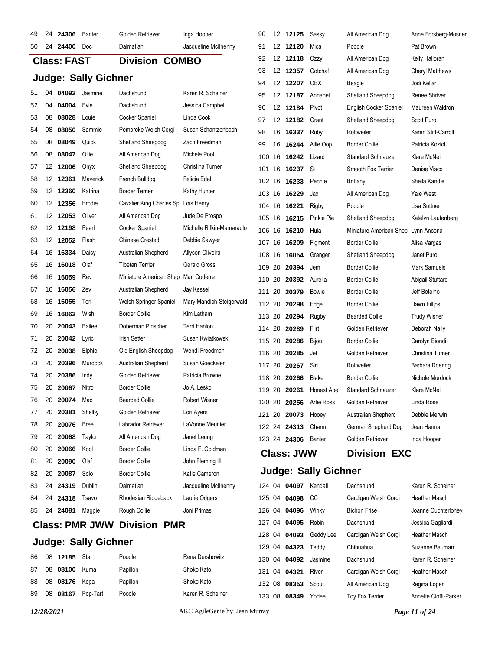| 51<br>52 | 04 | 50 24 24400<br><b>Class: FAST</b> | Doc                         | Dalmatian<br><b>Division COMBO</b>  | Jacqueline McIlhenny      | 91<br>92 | 12 12120<br>12 12118 | Mica                        | Poodle<br>All American Dog          | Pat Brown           |
|----------|----|-----------------------------------|-----------------------------|-------------------------------------|---------------------------|----------|----------------------|-----------------------------|-------------------------------------|---------------------|
|          |    |                                   |                             |                                     |                           |          |                      |                             |                                     |                     |
|          |    |                                   |                             |                                     |                           |          |                      | Ozzy                        |                                     | Kelly Halloran      |
|          |    |                                   |                             |                                     | 93                        | 12 12357 | Gotcha!              | All American Dog            | <b>Cheryl Matthews</b>              |                     |
|          |    |                                   | <b>Judge: Sally Gichner</b> |                                     |                           | 94       | 12 12207             | <b>OBX</b>                  | Beagle                              | Jodi Kellar         |
|          |    | 04092                             | Jasmine                     | Dachshund                           | Karen R. Scheiner         | 95       | 12 12187             | Annabel                     | Shetland Sheepdog                   | Renee Shriver       |
|          |    | 04 04004                          | Evie                        | Dachshund                           | Jessica Campbell          | 96       | 12 12184             | Pivot                       | <b>English Cocker Spaniel</b>       | Maureen Waldron     |
| 53       | 08 | 08028                             | Louie                       | Cocker Spaniel                      | Linda Cook                | 97       | 12 12182             | Grant                       | Shetland Sheepdog                   | Scott Puro          |
| 54       | 08 | 08050                             | Sammie                      | Pembroke Welsh Corgi                | Susan Schantzenbach       | 98       | 16 16337             | Ruby                        | Rottweiler                          | Karen Stiff-Carroll |
| 55       | 08 | 08049                             | Quick                       | Shetland Sheepdog                   | Zach Freedman             | 99       | 16 16244             | Allie Oop                   | <b>Border Collie</b>                | Patricia Koziol     |
| 56       |    | 08 08047                          | Ollie                       | All American Dog                    | Michele Pool              | 100 16   | 16242                | Lizard                      | <b>Standard Schnauzer</b>           | Klare McNeil        |
| 57       |    | 12 12006                          | Onyx                        | Shetland Sheepdog                   | Christina Turner          |          | 101 16 16237 Si      |                             | Smooth Fox Terrier                  | Denise Visco        |
| 58       |    | 12 12361                          | Maverick                    | French Bulldog                      | Felicia Edel              |          | 102 16 16233         | Pennie                      | <b>Brittany</b>                     | Sheila Kandle       |
| 59       |    | 12 12360                          | Katrina                     | <b>Border Terrier</b>               | Kathy Hunter              |          | 103 16 16229         | Jax                         | All American Dog                    | <b>Yale West</b>    |
| 60       |    | 12 12356                          | <b>Brodie</b>               | Cavalier King Charles Sp Lois Henry |                           |          | 104 16 16221         | Rigby                       | Poodle                              | Lisa Suttner        |
| 61       |    | 12 12053                          | Oliver                      | All American Dog                    | Jude De Prospo            |          | 105 16 16215         | Pinkie Pie                  | Shetland Sheepdog                   | Katelyn Laufenberg  |
| 62       |    | 12 12198                          | Pearl                       | Cocker Spaniel                      | Michelle Rifkin-Mamaradlo |          | 106 16 16210         | Hula                        | Miniature American Shep Lynn Ancona |                     |
| 63       |    | 12 12052                          | Flash                       | <b>Chinese Crested</b>              | Debbie Sawyer             |          | 107 16 16209         | Figment                     | <b>Border Collie</b>                | Alisa Vargas        |
| 64       |    | 16 16334                          | Daisy                       | Australian Shepherd                 | Allyson Oliveira          | 108 16   | 16054                | Granger                     | Shetland Sheepdog                   | Janet Puro          |
| 65       |    | 16 16018                          | Olaf                        | <b>Tibetan Terrier</b>              | <b>Gerald Gross</b>       |          | 109 20 20394         | Jem                         | <b>Border Collie</b>                | Mark Samuels        |
| 66       |    | 16 16059                          | Rev                         | Miniature American Shep             | Mari Coderre              | 110 20   | 20392                | Aurelia                     | <b>Border Collie</b>                | Abigail Stuttard    |
| 67       |    | 16 16056                          | Zev                         | Australian Shepherd                 | Jay Kessel                |          | 111 20 20379         | Bowie                       | <b>Border Collie</b>                | Jeff Botelho        |
| 68       |    | 16 16055                          | Tori                        | Welsh Springer Spaniel              | Mary Mandich-Steigerwald  | 112 20   | 20298                | Edge                        | <b>Border Collie</b>                | Dawn Fillips        |
| 69       |    | 16 16062                          | Wish                        | <b>Border Collie</b>                | Kim Latham                |          | 113 20 20294         | Rugby                       | <b>Bearded Collie</b>               | <b>Trudy Wisner</b> |
| 70       | 20 | 20043                             | Bailee                      | Doberman Pinscher                   | Terri Hanlon              |          | 114 20 20289         | Flirt                       | Golden Retriever                    | Deborah Nally       |
| 71       | 20 | 20042                             | Lyric                       | <b>Irish Setter</b>                 | Susan Kwiatkowski         |          | 115 20 20286         | <b>Bijou</b>                | <b>Border Collie</b>                | Carolyn Biondi      |
| 72       | 20 | 20038                             | Elphie                      | Old English Sheepdog                | Wendi Freedman            | 116 20   | 20285                | Jet                         | Golden Retriever                    | Christina Turner    |
| 73       | 20 | 20396                             | Murdock                     | Australian Shepherd                 | Susan Goeckeler           |          | 117 20 20267         | Siri                        | Rottweiler                          | Barbara Doering     |
| 74       | 20 | 20386                             | Indy                        | Golden Retriever                    | Patricia Browne           |          | 118 20 20266         | Blake                       | <b>Border Collie</b>                | Nichole Murdock     |
| 75       | 20 | 20067                             | Nitro                       | <b>Border Collie</b>                | Jo A. Lesko               |          | 119 20 20261         | Honest Abe                  | <b>Standard Schnauzer</b>           | Klare McNeil        |
| 76       | 20 | 20074                             | Mac                         | <b>Bearded Collie</b>               | <b>Robert Wisner</b>      |          |                      | 120 20 20256 Artie Ross     | Golden Retriever                    | Linda Rose          |
| 77       | 20 | 20381                             | Shelby                      | Golden Retriever                    | Lori Ayers                |          | 121 20 20073         | Hooey                       | Australian Shepherd                 | Debbie Merwin       |
| 78       | 20 | 20076                             | <b>Bree</b>                 | Labrador Retriever                  | LaVonne Meunier           |          | 122 24 24313         | Charm                       | German Shepherd Dog                 | Jean Hanna          |
| 79       | 20 | 20068                             | Taylor                      | All American Dog                    | Janet Leung               |          | 123 24 24306         | Banter                      | Golden Retriever                    | Inga Hooper         |
| 80       | 20 | 20066                             | Kool                        | <b>Border Collie</b>                | Linda F. Goldman          |          | <b>Class: JWW</b>    |                             | <b>Division EXC</b>                 |                     |
| 81       | 20 | 20090                             | Olaf                        | <b>Border Collie</b>                | John Fleming III          |          |                      |                             |                                     |                     |
| 82       | 20 | 20087                             | Solo                        | <b>Border Collie</b>                | Katie Cameron             |          |                      | <b>Judge: Sally Gichner</b> |                                     |                     |
| 83       | 24 | 24319                             | Dublin                      | Dalmatian                           | Jacqueline McIlhenny      |          | 124 04 04097 Kendall |                             | Dachshund                           | Karen R. Scheiner   |
| 84       |    | 24 24318                          | Tsavo                       | Rhodesian Ridgeback                 | Laurie Odgers             |          | 125 04 04098         | CC                          | Cardigan Welsh Corgi                | Heather Masch       |
| 85       |    | 24 24081                          | Maggie                      | Rough Collie                        | Joni Primas               |          | 126 04 04096         | Winky                       | <b>Bichon Frise</b>                 | Joanne Ouchterloney |
|          |    |                                   | <b>Class: PMR JWW</b>       | <b>Division PMR</b>                 |                           |          | 127 04 04095         | Robin                       | Dachshund                           | Jessica Gagliardi   |

## **Judge: Sally Gichner**

| 86 | 08 <b>12185</b> Star |                   | Poodle   | Rena Dershowitz   |
|----|----------------------|-------------------|----------|-------------------|
| 87 | 08 08100             | Kuma              | Papillon | Shoko Kato        |
|    | 88 08 08176 Koga     |                   | Papillon | Shoko Kato        |
| 89 |                      | 08 08167 Pop-Tart | Poodle   | Karen R. Scheiner |

 04 **04093** Geddy Lee Cardigan Welsh Corgi Heather Masch 129 04 **04323** Teddy Chihuahua Suzanne Bauman 130 04 **04092** Jasmine Dachshund Karen R. Scheiner 04 **04321** River Cardigan Welsh Corgi Heather Masch 08 **08353** Scout All American Dog Regina Loper 08 **08349** Yodee Toy Fox Terrier Annette Cioffi-Parker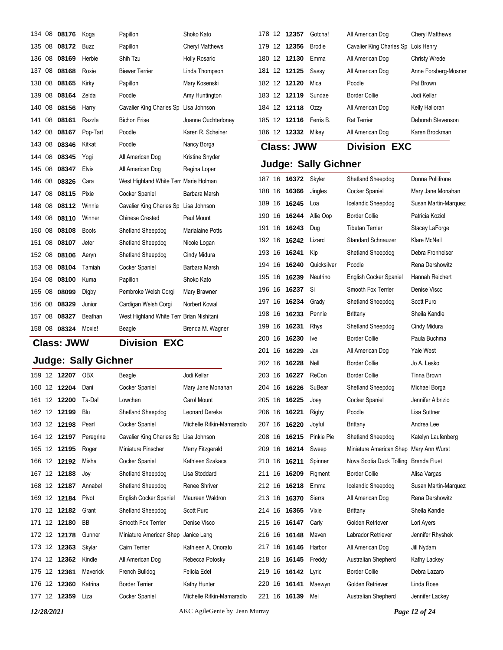|        | Judge: Sally Gichner |                   |              |                                          |                        |  |  |  |  |  |
|--------|----------------------|-------------------|--------------|------------------------------------------|------------------------|--|--|--|--|--|
|        |                      | <b>Class: JWW</b> |              | <b>Division EXC</b>                      |                        |  |  |  |  |  |
| 158 08 |                      | 08324             | Moxie!       | Beagle                                   | Brenda M. Wagner       |  |  |  |  |  |
| 157 08 |                      | 08327             | Beathan      | West Highland White Terr Brian Nishitani |                        |  |  |  |  |  |
| 156 08 |                      | 08329             | Junior       | Cardigan Welsh Corgi                     | Norbert Kowal          |  |  |  |  |  |
| 155 08 |                      | 08099             | Digby        | Pembroke Welsh Corgi                     | Mary Brawner           |  |  |  |  |  |
| 154 08 |                      | 08100             | Kuma         | Papillon                                 | Shoko Kato             |  |  |  |  |  |
| 153 08 |                      | 08104             | Tamiah       | Cocker Spaniel                           | Barbara Marsh          |  |  |  |  |  |
| 152 08 |                      | 08106             | Aeryn        | Shetland Sheepdog                        | Cindy Midura           |  |  |  |  |  |
| 151 08 |                      | 08107             | Jeter        | Shetland Sheepdog                        | Nicole Logan           |  |  |  |  |  |
| 150 08 |                      | 08108             | <b>Boots</b> | Shetland Sheepdog                        | Marialaine Potts       |  |  |  |  |  |
| 149 08 |                      | 08110             | Winner       | <b>Chinese Crested</b>                   | Paul Mount             |  |  |  |  |  |
| 148 08 |                      | 08112             | Winnie       | Cavalier King Charles Sp Lisa Johnson    |                        |  |  |  |  |  |
| 147 08 |                      | 08115             | Pixie        | Cocker Spaniel                           | Barbara Marsh          |  |  |  |  |  |
| 146 08 |                      | 08326             | Cara         | West Highland White Terr Marie Holman    |                        |  |  |  |  |  |
| 145 08 |                      | 08347             | Elvis        | All American Dog                         | Regina Loper           |  |  |  |  |  |
| 144 08 |                      | 08345             | Yogi         | All American Dog                         | Kristine Snyder        |  |  |  |  |  |
| 143 08 |                      | 08346             | Kitkat       | Poodle                                   | Nancy Borga            |  |  |  |  |  |
| 142 08 |                      | 08167             | Pop-Tart     | Poodle                                   | Karen R. Scheiner      |  |  |  |  |  |
| 141 08 |                      | 08161             | Razzle       | <b>Bichon Frise</b>                      | Joanne Ouchterloney    |  |  |  |  |  |
| 140 08 |                      | 08156             | Harry        | Cavalier King Charles Sp Lisa Johnson    |                        |  |  |  |  |  |
| 139 08 |                      | 08164             | Zelda        | Poodle                                   | Amy Huntington         |  |  |  |  |  |
| 138 08 |                      | 08165             | Kirky        | Papillon                                 | Mary Kosenski          |  |  |  |  |  |
| 137 08 |                      | 08168             | Roxie        | <b>Biewer Terrier</b>                    | Linda Thompson         |  |  |  |  |  |
| 136 08 |                      | 08169             | Herbie       | Shih Tzu                                 | Holly Rosario          |  |  |  |  |  |
| 135 08 |                      | 08172             | Buzz         | Papillon                                 | <b>Cheryl Matthews</b> |  |  |  |  |  |
| 134 08 |                      | 08176             | Koga         | Papillon                                 | Shoko Kato             |  |  |  |  |  |

|        | 159 12 12207 | <b>OBX</b>      | Beagle                                | Jodi Kellar               |
|--------|--------------|-----------------|---------------------------------------|---------------------------|
| 160 12 | 12204        | Dani            | Cocker Spaniel                        | Mary Jane Monahan         |
| 161 12 | 12200        | Ta-Da!          | Lowchen                               | Carol Mount               |
| 162 12 | 12199        | Blu             | Shetland Sheepdog                     | Leonard Dereka            |
| 163 12 | 12198        | Pearl           | Cocker Spaniel                        | Michelle Rifkin-Mamaradlo |
|        | 164 12 12197 | Peregrine       | Cavalier King Charles Sp Lisa Johnson |                           |
| 165 12 | 12195        | Roger           | Miniature Pinscher                    | Merry Fitzgerald          |
|        | 166 12 12192 | Misha           | Cocker Spaniel                        | Kathleen Szakacs          |
|        | 167 12 12188 | Joy             | Shetland Sheepdog                     | Lisa Stoddard             |
|        | 168 12 12187 | Annabel         | Shetland Sheepdog                     | Renee Shriver             |
|        | 169 12 12184 | Pivot           | English Cocker Spaniel                | Maureen Waldron           |
| 170 12 | 12182        | Grant           | Shetland Sheepdog                     | Scott Puro                |
| 171 12 | 12180        | BB              | Smooth Fox Terrier                    | Denise Visco              |
| 172 12 | 12178        | Gunner          | Miniature American Shep               | Janice Lang               |
|        | 173 12 12363 | Skylar          | Cairn Terrier                         | Kathleen A. Onorato       |
| 174 12 | 12362        | Kindle          | All American Dog                      | Rebecca Potosky           |
| 175 12 | 12361        | <b>Maverick</b> | French Bulldog                        | Felicia Edel              |
| 176 12 | 12360        | Katrina         | <b>Border Terrier</b>                 | Kathy Hunter              |
| 177 12 | 12359        | Liza            | Cocker Spaniel                        | Michelle Rifkin-Mamaradlo |
|        |              |                 |                                       |                           |

## 12 **12357** Gotcha! All American Dog Cheryl Matthews 12 **12356** Brodie Cavalier King Charles Sp Lois Henry 12 **12130** Emma All American Dog Christy Wrede 12 **12125** Sassy All American Dog Anne Forsberg-Mosner 12 **12120** Mica Poodle Pat Brown 12 **12119** Sundae Border Collie Jodi Kellar 12 **12118** Ozzy All American Dog Kelly Halloran 12 **12116** Ferris B. Rat Terrier Deborah Stevenson 12 **12332** Mikey All American Dog Karen Brockman

**Class: JWW Division EXC**

| 187 16 |    | 16372 | Skyler      | Shetland Sheepdog                      | Donna Pollifrone     |
|--------|----|-------|-------------|----------------------------------------|----------------------|
| 188    | 16 | 16366 | Jingles     | Cocker Spaniel                         | Mary Jane Monahan    |
| 189    | 16 | 16245 | Loa         | Icelandic Sheepdog                     | Susan Martin-Marquez |
| 190    | 16 | 16244 | Allie Oop   | <b>Border Collie</b>                   | Patricia Koziol      |
| 191    | 16 | 16243 | Dug         | <b>Tibetan Terrier</b>                 | Stacey LaForge       |
| 192    | 16 | 16242 | Lizard      | <b>Standard Schnauzer</b>              | Klare McNeil         |
| 193 16 |    | 16241 | Kip         | Shetland Sheepdog                      | Debra Fronheiser     |
| 194 16 |    | 16240 | Quicksilver | Poodle                                 | Rena Dershowitz      |
| 195    | 16 | 16239 | Neutrino    | English Cocker Spaniel                 | Hannah Reichert      |
| 196    | 16 | 16237 | Si          | Smooth Fox Terrier                     | Denise Visco         |
| 197    | 16 | 16234 | Grady       | Shetland Sheepdog                      | Scott Puro           |
| 198    | 16 | 16233 | Pennie      | <b>Brittany</b>                        | Sheila Kandle        |
| 199    | 16 | 16231 | <b>Rhys</b> | Shetland Sheepdog                      | Cindy Midura         |
| 200    | 16 | 16230 | Ive         | <b>Border Collie</b>                   | Paula Buchma         |
| 201    | 16 | 16229 | Jax         | All American Dog                       | <b>Yale West</b>     |
| 202    | 16 | 16228 | Nell        | <b>Border Collie</b>                   | Jo A. Lesko          |
| 203 16 |    | 16227 | ReCon       | <b>Border Collie</b>                   | Tinna Brown          |
| 204 16 |    | 16226 | SuBear      | Shetland Sheepdog                      | Michael Borga        |
| 205    | 16 | 16225 | Joey        | Cocker Spaniel                         | Jennifer Albrizio    |
| 206    | 16 | 16221 | Rigby       | Poodle                                 | Lisa Suttner         |
| 207    | 16 | 16220 | Joyful      | <b>Brittany</b>                        | Andrea Lee           |
| 208 16 |    | 16215 | Pinkie Pie  | Shetland Sheepdog                      | Katelyn Laufenberg   |
| 209    | 16 | 16214 | Sweep       | Miniature American Shep Mary Ann Wurst |                      |
| 210    | 16 | 16211 | Spinner     | Nova Scotia Duck Tolling Brenda Fluet  |                      |
| 211    | 16 | 16209 | Figment     | <b>Border Collie</b>                   | Alisa Vargas         |
| 212    | 16 | 16218 | Emma        | Icelandic Sheepdog                     | Susan Martin-Marquez |
| 213    | 16 | 16370 | Sierra      | All American Dog                       | Rena Dershowitz      |
| 214 16 |    | 16365 | Vixie       | <b>Brittany</b>                        | Sheila Kandle        |
| 215    | 16 | 16147 | Carly       | Golden Retriever                       | Lori Ayers           |
| 216    | 16 | 16148 | Maven       | Labrador Retriever                     | Jennifer Rhyshek     |
| 217 16 |    | 16146 | Harbor      | All American Dog                       | Jill Nydam           |
| 218    | 16 | 16145 | Freddy      | Australian Shepherd                    | Kathy Lackey         |
| 219    | 16 | 16142 | Lyric       | <b>Border Collie</b>                   | Debra Lazaro         |
| 220    | 16 | 16141 | Maewyn      | Golden Retriever                       | Linda Rose           |
| 221    | 16 | 16139 | Mel         | Australian Shepherd                    | Jennifer Lackey      |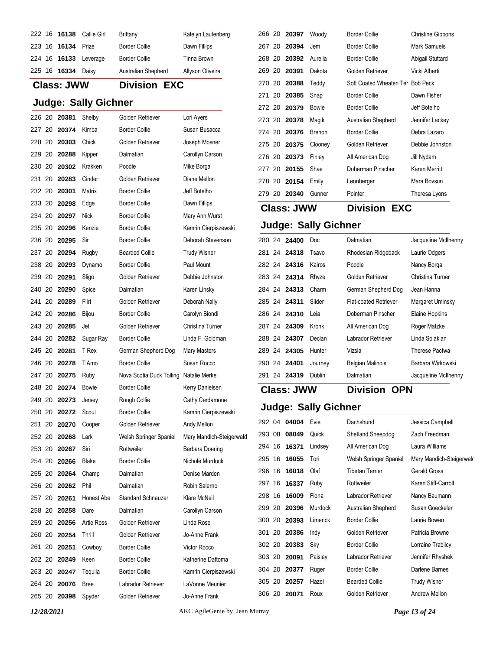|  |                    | 222 16 16138 Callie Girl | Brittany             | Katelyn Laufenberg |
|--|--------------------|--------------------------|----------------------|--------------------|
|  | 223 16 16134 Prize |                          | <b>Border Collie</b> | Dawn Fillips       |
|  |                    | 224 16 16133 Leverage    | <b>Border Collie</b> | Tinna Brown        |
|  | 225 16 16334 Daisy |                          | Australian Shepherd  | Allyson Oliveira   |

## **Class: JWW Division EXC Judge: Sally Gichner** 20 **20381** Shelby Golden Retriever Lori Ayers 227 20 **20374** Kimba Border Collie Susan Busacca 20 **20303** Chick Golden Retriever Joseph Mosner 20 **20288** Kipper Dalmatian Carollyn Carson 20 **20302** Krakken Poodle Mike Borga 20 **20283** Cinder Golden Retriever Diane Mellon 20 **20301** Matrix Border Collie Jeff Botelho 233 20 **20298** Edge Border Collie Dawn Fillips 234 20 **20297** Nick Border Collie Mary Ann Wurst 235 20 20296 Kenzie Border Collie Kamrin Cierpiszewski 20 **20295** Sir Border Collie Deborah Stevenson 237 20 **20294** Rugby Bearded Collie Trudy Wisner 20 **20293** Dynamo Border Collie Paul Mount 20 **20291** Sligo Golden Retriever Debbie Johnston 240 20 **20290** Spice Dalmatian Karen Linsky 20 **20289** Flirt Golden Retriever Deborah Nally 242 20 **20286** Bijou Border Collie Carolyn Biondi 20 **20285** Jet Golden Retriever Christina Turner 20 **20282** Sugar Ray Border Collie Linda F. Goldman 20 **20281** T Rex German Shepherd Dog Mary Masters 246 20 **20278** TiAmo Border Collie Susan Rocco 20 **20275** Ruby Nova Scotia Duck Tolling Natalie Merkel 248 20 **20274** Bowie Border Collie Kerry Danielsen 249 20 **20273** Jersey Rough Collie Cathy Cardamone 250 20 **20272** Scout Border Collie Kamrin Cierpiszewski 251 20 **20270** Cooper Golden Retriever Andy Mellon 20 **20268** Lark Welsh Springer Spaniel Mary Mandich-Steigerwald 253 20 **20267** Siri Rottweiler Barbara Doering 254 20 **20266** Blake Border Collie Nichole Murdock 20 **20264** Champ Dalmatian Denise Marden 20 **20262** Phil Dalmatian Robin Salerno 257 20 20261 Honest Abe Standard Schnauzer Klare McNeil 20 **20258** Dare Dalmatian Carollyn Carson 20 **20256** Artie Ross Golden Retriever Linda Rose 20 **20254** Thrill Golden Retriever Jo-Anne Frank 261 20 **20251** Cowboy Border Collie Victor Rocco 262 20 **20249** Keen Border Collie Katherine Dattoma 263 20 20247 Tequila Border Collie Kamrin Cierpiszewski

 20 **20076** Bree Labrador Retriever LaVonne Meunier 20 **20398** Spyder Golden Retriever Jo-Anne Frank

|        | 266 20 20397 | Woody   | <b>Border Collie</b>             | Christine Gibbons |
|--------|--------------|---------|----------------------------------|-------------------|
|        | 267 20 20394 | Jem     | Border Collie                    | Mark Samuels      |
| 268 20 | 20392        | Aurelia | Border Collie                    | Abigail Stuttard  |
|        | 269 20 20391 | Dakota  | Golden Retriever                 | Vicki Alberti     |
|        | 270 20 20388 | Teddy   | Soft Coated Wheaten Ter Bob Peck |                   |
|        | 271 20 20385 | Snap    | <b>Border Collie</b>             | Dawn Fisher       |
|        | 272 20 20379 | Bowie   | <b>Border Collie</b>             | Jeff Botelho      |
|        | 273 20 20378 | Magik   | Australian Shepherd              | Jennifer Lackey   |
|        | 274 20 20376 | Brehon  | <b>Border Collie</b>             | Debra Lazaro      |
|        | 275 20 20375 | Clooney | Golden Retriever                 | Debbie Johnston   |
|        | 276 20 20373 | Finley  | All American Dog                 | Jill Nydam        |
|        | 277 20 20155 | Shae    | Doberman Pinscher                | Karen Merritt     |
|        | 278 20 20154 | Emily   | Leonberger                       | Mara Bovsun       |
| 279 20 | 20340        | Gunner  | Pointer                          | Theresa Lyons     |
|        |              |         |                                  |                   |

### **Class: JWW Division EXC**

### **Judge: Sally Gichner**

|              | 280 24 24400 | Doc                                    | Dalmatian               | Jacqueline McIlhenny |
|--------------|--------------|----------------------------------------|-------------------------|----------------------|
|              | 281 24 24318 | Tsavo                                  | Rhodesian Ridgeback     | Laurie Odgers        |
|              | 282 24 24316 | Kairos                                 | Poodle                  | Nancy Borga          |
|              | 283 24 24314 | Rhyze                                  | Golden Retriever        | Christina Turner     |
|              | 284 24 24313 | Charm                                  | German Shepherd Dog     | Jean Hanna           |
|              | 285 24 24311 | <b>Flat-coated Retriever</b><br>Slider |                         | Margaret Uminsky     |
|              | 286 24 24310 | Leia                                   | Doberman Pinscher       | Elaine Hopkins       |
|              | 287 24 24309 | Kronk                                  | All American Dog        | Roger Matzke         |
|              | 288 24 24307 | Declan                                 | Labrador Retriever      | Linda Solakian       |
|              | 289 24 24305 | Hunter                                 | Vizsla                  | Therese Pactwa       |
|              | 290 24 24401 | Journey                                | <b>Belgian Malinois</b> | Barbara Wirkowski    |
| 291 24 24319 |              | Dublin                                 | Dalmatian               | Jacqueline McIlhenny |
|              |              |                                        |                         |                      |

### **Class: JWW Division OPN**

| 292 04 | 04004        | Evie           | Dachshund              | Jessica Campbell         |
|--------|--------------|----------------|------------------------|--------------------------|
| 293 08 | 08049        | Quick          | Shetland Sheepdog      | Zach Freedman            |
| 294 16 | 16371        | Lindsey        | All American Dog       | Laura Williams           |
| 295 16 | 16055        | Tori           | Welsh Springer Spaniel | Mary Mandich-Steigerwald |
| 296 16 | 16018        | Olaf           | Tibetan Terrier        | Gerald Gross             |
| 297 16 | 16337        | Ruby           | Rottweiler             | Karen Stiff-Carroll      |
| 298 16 | 16009        | Fiona          | Labrador Retriever     | Nancy Baumann            |
| 299 20 | 20396        | <b>Murdock</b> | Australian Shepherd    | Susan Goeckeler          |
| 300 20 | 20393        | Limerick       | <b>Border Collie</b>   | Laurie Bowen             |
|        | 301 20 20386 | Indy           | Golden Retriever       | Patricia Browne          |
| 302 20 | 20383        | Sky            | <b>Border Collie</b>   | Lorraine Trabilcy        |
|        | 303 20 20091 | Paisley        | Labrador Retriever     | Jennifer Rhyshek         |
| 304 20 | 20377        | Ruger          | <b>Border Collie</b>   | Darlene Barnes           |
| 305 20 | 20257        | Hazel          | <b>Bearded Collie</b>  | <b>Trudy Wisner</b>      |
| 306 20 | 20071        | Roux           | Golden Retriever       | Andrew Mellon            |
|        |              |                |                        |                          |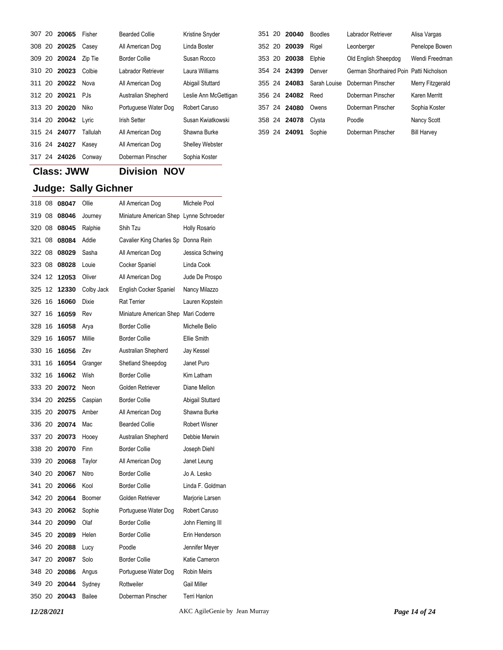|     | 307 20 20065 | Fisher   | <b>Bearded Collie</b> | Kristine Snyder        | 351    | -20 | 20040        | Boodles      | Labrador Retriever                      | Alisa Vargas       |
|-----|--------------|----------|-----------------------|------------------------|--------|-----|--------------|--------------|-----------------------------------------|--------------------|
|     | 308 20 20025 | Casey    | All American Dog      | Linda Boster           | 352 20 |     | 20039        | Rigel        | Leonberger                              | Penelope Bowen     |
|     | 309 20 20024 | Zip Tie  | <b>Border Collie</b>  | Susan Rocco            | 353 20 |     | 20038        | Elphie       | Old English Sheepdog                    | Wendi Freedmar     |
|     | 310 20 20023 | Colbie   | Labrador Retriever    | Laura Williams         | 354 24 |     | 24399        | Denver       | German Shorthaired Poin Patti Nicholson |                    |
| 311 | 20 20022     | Nova     | All American Dog      | Abigail Stuttard       | 355 24 |     | 24083        | Sarah Louise | Doberman Pinscher                       | Merry Fitzgerald   |
|     | 312 20 20021 | PJs      | Australian Shepherd   | Leslie Ann McGettigan  |        |     | 356 24 24082 | Reed         | Doberman Pinscher                       | Karen Merritt      |
|     | 313 20 20020 | Niko     | Portuguese Water Dog  | <b>Robert Caruso</b>   |        |     | 357 24 24080 | Owens        | Doberman Pinscher                       | Sophia Koster      |
|     | 314 20 20042 | Lyric    | <b>Irish Setter</b>   | Susan Kwiatkowski      |        |     | 358 24 24078 | Clysta       | Poodle                                  | <b>Nancy Scott</b> |
|     | 315 24 24077 | Tallulah | All American Dog      | Shawna Burke           | 359 24 |     | 24091        | Sophie       | Doberman Pinscher                       | <b>Bill Harvey</b> |
|     | 316 24 24027 | Kasey    | All American Dog      | <b>Shelley Webster</b> |        |     |              |              |                                         |                    |
|     | 317 24 24026 | Conway   | Doberman Pinscher     | Sophia Koster          |        |     |              |              |                                         |                    |

## **Class: JWW Division NOV**

| 318 08 |    | 08047 | Ollie      | All American Dog                        | Michele Pool         |
|--------|----|-------|------------|-----------------------------------------|----------------------|
| 319 08 |    | 08046 | Journey    | Miniature American Shep Lynne Schroeder |                      |
| 320 08 |    | 08045 | Ralphie    | Shih Tzu                                | <b>Holly Rosario</b> |
| 321 08 |    | 08084 | Addie      | Cavalier King Charles Sp Donna Rein     |                      |
| 322 08 |    | 08029 | Sasha      | All American Dog                        | Jessica Schwing      |
| 323 08 |    | 08028 | Louie      | Cocker Spaniel                          | Linda Cook           |
| 324 12 |    | 12053 | Oliver     | All American Dog                        | Jude De Prospo       |
| 325    | 12 | 12330 | Colby Jack | English Cocker Spaniel                  | Nancy Milazzo        |
| 326 16 |    | 16060 | Dixie      | <b>Rat Terrier</b>                      | Lauren Kopstein      |
| 327 16 |    | 16059 | Rev        | Miniature American Shep Mari Coderre    |                      |
| 328    | 16 | 16058 | Arya       | <b>Border Collie</b>                    | Michelle Belio       |
| 329    | 16 | 16057 | Millie     | <b>Border Collie</b>                    | Ellie Smith          |
| 330    | 16 | 16056 | Zev        | Australian Shepherd                     | Jay Kessel           |
| 331    | 16 | 16054 | Granger    | Shetland Sheepdog                       | Janet Puro           |
| 332 16 |    | 16062 | Wish       | <b>Border Collie</b>                    | Kim Latham           |
| 333 20 |    | 20072 | Neon       | Golden Retriever                        | Diane Mellon         |
| 334 20 |    | 20255 | Caspian    | <b>Border Collie</b>                    | Abigail Stuttard     |
| 335 20 |    | 20075 | Amber      | All American Dog                        | Shawna Burke         |
| 336 20 |    | 20074 | Mac        | <b>Bearded Collie</b>                   | <b>Robert Wisner</b> |
| 337 20 |    | 20073 | Hooey      | Australian Shepherd                     | Debbie Merwin        |
| 338 20 |    | 20070 | Finn       | <b>Border Collie</b>                    | Joseph Diehl         |
| 339 20 |    | 20068 | Taylor     | All American Dog                        | Janet Leung          |
| 340 20 |    | 20067 | Nitro      | <b>Border Collie</b>                    | Jo A. Lesko          |
| 341 20 |    | 20066 | Kool       | <b>Border Collie</b>                    | Linda F. Goldman     |
| 342 20 |    | 20064 | Boomer     | Golden Retriever                        | Marjorie Larsen      |
| 343 20 |    | 20062 | Sophie     | Portuguese Water Dog                    | Robert Caruso        |
| 344 20 |    | 20090 | Olaf       | <b>Border Collie</b>                    | John Fleming III     |
| 345 20 |    | 20089 | Helen      | <b>Border Collie</b>                    | Erin Henderson       |
| 346 20 |    | 20088 | Lucy       | Poodle                                  | Jennifer Meyer       |
| 347 20 |    | 20087 | Solo       | <b>Border Collie</b>                    | Katie Cameron        |
| 348 20 |    | 20086 | Angus      | Portuguese Water Dog                    | <b>Robin Meirs</b>   |
| 349 20 |    | 20044 | Sydney     | Rottweiler                              | <b>Gail Miller</b>   |
|        |    |       |            |                                         |                      |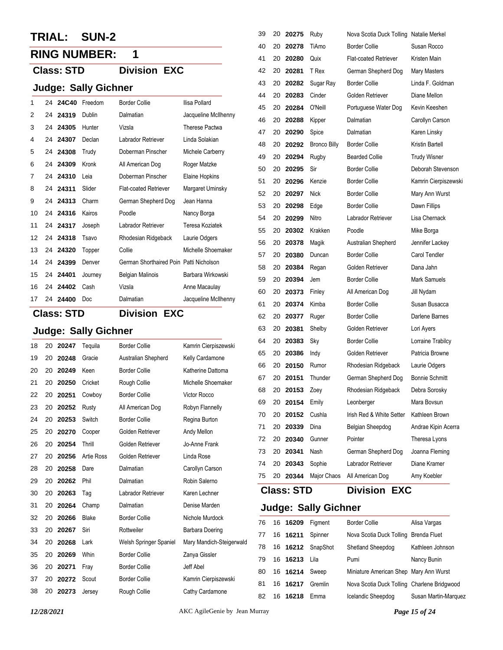## **TRIAL: SUN-2**

## **RING NUMBER: 1**

### **Class: STD Division EXC**

### **Judge: Sally Gichner**

| 1  | 24 | 24C40 | Freedom | <b>Border Collie</b>                    | Ilisa Pollard        |
|----|----|-------|---------|-----------------------------------------|----------------------|
| 2  | 24 | 24319 | Dublin  | Dalmatian                               | Jacqueline McIlhenny |
| 3  | 24 | 24305 | Hunter  | Vizsla                                  | Therese Pactwa       |
| 4  | 24 | 24307 | Declan  | Labrador Retriever                      | Linda Solakian       |
| 5  | 24 | 24308 | Trudy   | Doberman Pinscher                       | Michele Carberry     |
| 6  | 24 | 24309 | Kronk   | All American Dog                        | Roger Matzke         |
| 7  | 24 | 24310 | Leia    | Doberman Pinscher                       | Elaine Hopkins       |
| 8  | 24 | 24311 | Slider  | <b>Flat-coated Retriever</b>            | Margaret Uminsky     |
| 9  | 24 | 24313 | Charm   | German Shepherd Dog                     | Jean Hanna           |
| 10 | 24 | 24316 | Kairos  | Poodle                                  | Nancy Borga          |
| 11 | 24 | 24317 | Joseph  | Labrador Retriever                      | Teresa Koziatek      |
| 12 | 24 | 24318 | Tsavo   | Rhodesian Ridgeback                     | Laurie Odgers        |
| 13 | 24 | 24320 | Topper  | Collie                                  | Michelle Shoemaker   |
| 14 | 24 | 24399 | Denver  | German Shorthaired Poin Patti Nicholson |                      |
| 15 | 24 | 24401 | Journey | <b>Belgian Malinois</b>                 | Barbara Wirkowski    |
| 16 | 24 | 24402 | Cash    | Vizsla                                  | Anne Macaulay        |
| 17 | 24 | 24400 | Doc     | Dalmatian                               | Jacqueline McIlhenny |

**Judge: Sally Gichner**

**Class: STD Division EXC**

|    |    | ອ∽∙   | ---- <i>y</i>     |                        |                          |
|----|----|-------|-------------------|------------------------|--------------------------|
| 18 | 20 | 20247 | Tequila           | <b>Border Collie</b>   | Kamrin Cierpiszewski     |
| 19 | 20 | 20248 | Gracie            | Australian Shepherd    | Kelly Cardamone          |
| 20 | 20 | 20249 | Keen              | <b>Border Collie</b>   | Katherine Dattoma        |
| 21 | 20 | 20250 | Cricket           | Rough Collie           | Michelle Shoemaker       |
| 22 | 20 | 20251 | Cowboy            | <b>Border Collie</b>   | Victor Rocco             |
| 23 | 20 | 20252 | Rusty             | All American Dog       | Robyn Flannelly          |
| 24 | 20 | 20253 | Switch            | <b>Border Collie</b>   | Regina Burton            |
| 25 | 20 | 20270 | Cooper            | Golden Retriever       | Andy Mellon              |
| 26 | 20 | 20254 | Thrill            | Golden Retriever       | Jo-Anne Frank            |
| 27 | 20 | 20256 | <b>Artie Ross</b> | Golden Retriever       | Linda Rose               |
| 28 | 20 | 20258 | Dare              | Dalmatian              | Carollyn Carson          |
| 29 | 20 | 20262 | Phil              | Dalmatian              | Robin Salerno            |
| 30 | 20 | 20263 | Tag               | Labrador Retriever     | Karen Lechner            |
| 31 | 20 | 20264 | Champ             | Dalmatian              | Denise Marden            |
| 32 | 20 | 20266 | Blake             | <b>Border Collie</b>   | Nichole Murdock          |
| 33 | 20 | 20267 | Siri              | Rottweiler             | Barbara Doering          |
| 34 | 20 | 20268 | Lark              | Welsh Springer Spaniel | Mary Mandich-Steigerwald |
| 35 | 20 | 20269 | Whin              | <b>Border Collie</b>   | Zanya Gissler            |
| 36 | 20 | 20271 | Fray              | <b>Border Collie</b>   | Jeff Abel                |
| 37 | 20 | 20272 | Scout             | <b>Border Collie</b>   | Kamrin Cierpiszewski     |
| 38 | 20 | 20273 | Jersey            | Rough Collie           | Cathy Cardamone          |
|    |    |       |                   |                        |                          |

|    |    | <b>Class: STD</b> |                     | <b>Division EXC</b>                     |                       |
|----|----|-------------------|---------------------|-----------------------------------------|-----------------------|
| 75 | 20 | 20344             | Major Chaos         | All American Dog                        | Amy Koebler           |
| 74 | 20 | 20343             | Sophie              | Labrador Retriever                      | Diane Kramer          |
| 73 | 20 | 20341             | Nash                | German Shepherd Dog                     | Joanna Fleming        |
| 72 | 20 | 20340             | Gunner              | Pointer                                 | Theresa Lyons         |
| 71 | 20 | 20339             | Dina                | Belgian Sheepdog                        | Andrae Kipin Acerra   |
| 70 | 20 | 20152             | Cushla              | Irish Red & White Setter                | Kathleen Brown        |
| 69 | 20 | 20154             | Emily               | Leonberger                              | Mara Bovsun           |
| 68 | 20 | 20153             | Zoey                | Rhodesian Ridgeback                     | Debra Sorosky         |
| 67 | 20 | 20151             | Thunder             | German Shepherd Dog                     | <b>Bonnie Schmitt</b> |
| 66 | 20 | 20150             | Rumor               | Rhodesian Ridgeback                     | Laurie Odgers         |
| 65 | 20 | 20386             | Indy                | Golden Retriever                        | Patricia Browne       |
| 64 | 20 | 20383             | Sky                 | <b>Border Collie</b>                    | Lorraine Trabilcy     |
| 63 | 20 | 20381             | Shelby              | Golden Retriever                        | Lori Ayers            |
| 62 | 20 | 20377             | Ruger               | <b>Border Collie</b>                    | Darlene Barnes        |
| 61 | 20 | 20374             | Kimba               | <b>Border Collie</b>                    | Susan Busacca         |
| 60 | 20 | 20373             | Finley              | All American Dog                        | Jill Nydam            |
| 59 | 20 | 20394             | Jem                 | <b>Border Collie</b>                    | Mark Samuels          |
| 58 | 20 | 20384             | Regan               | Golden Retriever                        | Dana Jahn             |
| 57 | 20 | 20380             | Duncan              | <b>Border Collie</b>                    | Carol Tendler         |
| 56 | 20 | 20378             | Magik               | Australian Shepherd                     | Jennifer Lackey       |
| 55 | 20 | 20302             | Krakken             | Poodle                                  | Mike Borga            |
| 54 | 20 | 20299             | Nitro               | Labrador Retriever                      | Lisa Chernack         |
| 53 | 20 | 20298             | Edge                | <b>Border Collie</b>                    | Dawn Fillips          |
| 52 | 20 | 20297             | <b>Nick</b>         | <b>Border Collie</b>                    | Mary Ann Wurst        |
| 51 | 20 | 20296             | Kenzie              | <b>Border Collie</b>                    | Kamrin Cierpiszewski  |
| 50 | 20 | 20295             | Sir                 | <b>Border Collie</b>                    | Deborah Stevenson     |
| 49 | 20 | 20294             | Rugby               | <b>Bearded Collie</b>                   | <b>Trudy Wisner</b>   |
| 48 | 20 | 20292             | <b>Bronco Billy</b> | <b>Border Collie</b>                    | Kristin Bartell       |
| 47 | 20 | 20290             | Spice               | Dalmatian                               | Karen Linsky          |
| 46 | 20 | 20288             | Kipper              | Dalmatian                               | Carollyn Carson       |
| 45 | 20 | 20284             | O'Neill             | Portuguese Water Dog                    | Kevin Keeshen         |
| 44 | 20 | 20283             | Cinder              | Golden Retriever                        | Diane Mellon          |
| 43 | 20 | 20282             | Sugar Ray           | <b>Border Collie</b>                    | Linda F. Goldman      |
| 42 | 20 | 20281             | T Rex               | German Shepherd Dog                     | Mary Masters          |
| 41 | 20 | 20280             | Quix                | <b>Flat-coated Retriever</b>            | Kristen Main          |
| 40 | 20 | 20278             | TiAmo               | <b>Border Collie</b>                    | Susan Rocco           |
| 39 | 20 | 20275             | Ruby                | Nova Scotia Duck Tolling Natalie Merkel |                       |

|    | 76 16 16209 | Figment              | <b>Border Collie</b>                        | Alisa Vargas         |
|----|-------------|----------------------|---------------------------------------------|----------------------|
| 77 | 16 16211    | Spinner              | Nova Scotia Duck Tolling Brenda Fluet       |                      |
|    |             | 78 16 16212 SnapShot | Shetland Sheepdog                           | Kathleen Johnson     |
| 79 | 16 16213    | Lila                 | Pumi                                        | Nancy Bunin          |
| 80 | 16 16214    | Sweep                | Miniature American Shep Mary Ann Wurst      |                      |
| 81 | 16 16217    | Gremlin              | Nova Scotia Duck Tolling Charlene Bridgwood |                      |
| 82 | 16 16218    | Emma                 | Icelandic Sheepdog                          | Susan Martin-Marquez |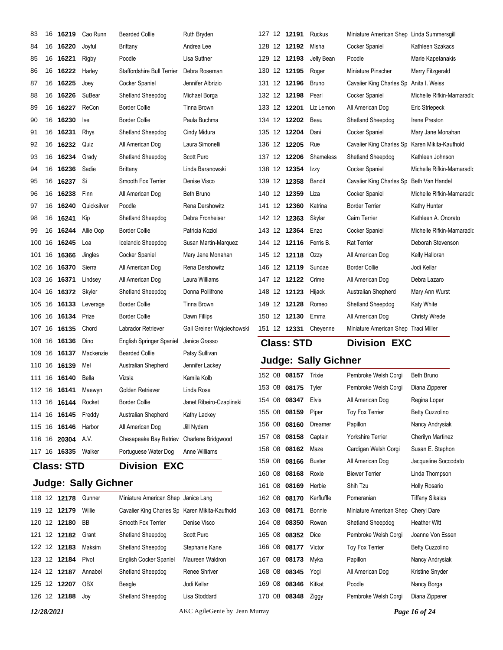| 83                |    | 16 16219            | Cao Runn    | <b>Bearded Collie</b>             | Ruth Bryden                |        | 127 12 12191        | Ruckus                      | Miniature American Shep Linda Summersgill |                           |
|-------------------|----|---------------------|-------------|-----------------------------------|----------------------------|--------|---------------------|-----------------------------|-------------------------------------------|---------------------------|
| 84                | 16 | 16220               | Joyful      | <b>Brittany</b>                   | Andrea Lee                 |        | 128 12 12192        | Misha                       | Cocker Spaniel                            | Kathleen Szakacs          |
| 85                |    | 16 16221            | Rigby       | Poodle                            | Lisa Suttner               |        | 129 12 12193        | Jelly Bean                  | Poodle                                    | Marie Kapetanakis         |
| 86                |    | 16 16222            | Harley      | <b>Staffordshire Bull Terrier</b> | Debra Roseman              |        | 130 12 12195        | Roger                       | Miniature Pinscher                        | Merry Fitzgerald          |
| 87                |    | 16 16225            | Joey        | Cocker Spaniel                    | Jennifer Albrizio          |        | 131 12 12196        | <b>Bruno</b>                | Cavalier King Charles Sp                  | Anita I. Weiss            |
| 88                | 16 | 16226               | SuBear      | Shetland Sheepdog                 | Michael Borga              |        | 132 12 12198        | Pearl                       | Cocker Spaniel                            | Michelle Rifkin-Mamaradk  |
| 89                |    | 16 16227            | ReCon       | <b>Border Collie</b>              | Tinna Brown                |        | 133 12 12201        | Liz Lemon                   | All American Dog                          | Eric Striepeck            |
| 90                |    | 16 16230            | Ive         | <b>Border Collie</b>              | Paula Buchma               |        | 134 12 12202        | Beau                        | <b>Shetland Sheepdog</b>                  | Irene Preston             |
| 91                |    | 16 16231            | Rhys        | Shetland Sheepdog                 | Cindy Midura               |        | 135 12 12204        | Dani                        | Cocker Spaniel                            | Mary Jane Monahan         |
| 92                | 16 | 16232               | Quiz        | All American Dog                  | Laura Simonelli            |        | 136 12 12205        | Rue                         | Cavalier King Charles Sp                  | Karen Mikita-Kaufhold     |
| 93                |    | 16 16234            | Grady       | Shetland Sheepdog                 | Scott Puro                 |        | 137 12 12206        | Shameless                   | Shetland Sheepdog                         | Kathleen Johnson          |
| 94                | 16 | 16236               | Sadie       | <b>Brittany</b>                   | Linda Baranowski           |        | 138 12 12354        | Izzy                        | Cocker Spaniel                            | Michelle Rifkin-Mamaradlo |
| 95                |    | 16 16237            | Si          | Smooth Fox Terrier                | Denise Visco               |        | 139 12 12358        | Bandit                      | Cavalier King Charles Sp                  | Beth Van Handel           |
| 96                | 16 | 16238               | Finn        | All American Dog                  | Beth Bruno                 | 140    | 12 12359            | Liza                        | Cocker Spaniel                            | Michelle Rifkin-Mamaradlo |
| 97                |    | 16 16240            | Quicksilver | Poodle                            | Rena Dershowitz            |        | 141 12 12360        | Katrina                     | <b>Border Terrier</b>                     | Kathy Hunter              |
| 98                | 16 | 16241               | Kip         | Shetland Sheepdog                 | Debra Fronheiser           |        | 142 12 12363        | Skylar                      | Cairn Terrier                             | Kathleen A. Onorato       |
| 99                |    | 16 16244            | Allie Oop   | <b>Border Collie</b>              | Patricia Koziol            |        | 143 12 12364        | Enzo                        | Cocker Spaniel                            | Michelle Rifkin-Mamaradlo |
| 100               | 16 | 16245               | Loa         | Icelandic Sheepdog                | Susan Martin-Marquez       |        | 144 12 12116        | Ferris B.                   | <b>Rat Terrier</b>                        | Deborah Stevenson         |
|                   |    | 101 16 16366        | Jingles     | Cocker Spaniel                    | Mary Jane Monahan          |        | 145 12 12118        | Ozzy                        | All American Dog                          | Kelly Halloran            |
| 102 16            |    | 16370               | Sierra      | All American Dog                  | Rena Dershowitz            |        | 146 12 12119        | Sundae                      | <b>Border Collie</b>                      | Jodi Kellar               |
|                   |    | 103 16 16371        | Lindsey     | All American Dog                  | Laura Williams             |        | 147 12 12122        | Crime                       | All American Dog                          | Debra Lazaro              |
| 104 16            |    | 16372               | Skyler      | Shetland Sheepdog                 | Donna Pollifrone           |        | 148 12 12123        | Hijack                      | Australian Shepherd                       | Mary Ann Wurst            |
|                   |    | 105 16 16133        | Leverage    | <b>Border Collie</b>              | <b>Tinna Brown</b>         |        | 149 12 12128        | Romeo                       | Shetland Sheepdog                         | <b>Katy White</b>         |
| 106 16            |    | 16134               | Prize       | <b>Border Collie</b>              | Dawn Fillips               |        | 150 12 12130        | Emma                        | All American Dog                          | <b>Christy Wrede</b>      |
|                   |    | 107 16 16135        | Chord       | Labrador Retriever                | Gail Greiner Wojciechowski |        | 151 12 <b>12331</b> | Cheyenne                    | Miniature American Shep Traci Miller      |                           |
| 108 16            |    | 16136               | Dino        | English Springer Spaniel          | Janice Grasso              |        | <b>Class: STD</b>   |                             | <b>Division EXC</b>                       |                           |
|                   |    | 109 16 16137        | Mackenzie   | <b>Bearded Collie</b>             | Patsy Sullivan             |        |                     |                             |                                           |                           |
| 110               | 16 | 16139               | Mel         | Australian Shepherd               | Jennifer Lackey            |        |                     | <b>Judge: Sally Gichner</b> |                                           |                           |
|                   |    | 111 16 16140        | Bella       | Vizsla                            | Kamila Kolb                |        | 152 08 08157        | Trixie                      | Pembroke Welsh Corgi                      | <b>Beth Bruno</b>         |
|                   |    | 112 16 16141        | Maewyn      | Golden Retriever                  | Linda Rose                 |        | 153 08 08175        | Tyler                       | Pembroke Welsh Corgi                      | Diana Zipperer            |
|                   |    |                     | Rocket      | <b>Border Collie</b>              | Janet Ribeiro-Czaplinski   |        | 154 08 08347        | <b>Elvis</b>                | All American Dog                          | Regina Loper              |
|                   |    | 114 16 16145        | Freddy      | Australian Shepherd               | Kathy Lackey               |        | 155 08 08159        | Piper                       | Toy Fox Terrier                           | <b>Betty Cuzzolino</b>    |
|                   |    | 115 16 16146 Harbor |             | All American Dog                  | Jill Nydam                 | 156 08 | 08160               | Dreamer                     | Papillon                                  | Nancy Andrysiak           |
|                   |    | 116 16 20304        | A.V.        | Chesapeake Bay Retriev            | Charlene Bridgwood         |        | 157 08 08158        | Captain                     | <b>Yorkshire Terrier</b>                  | <b>Cherilyn Martinez</b>  |
|                   |    | 117 16 <b>16335</b> | Walker      | Portuguese Water Dog              | Anne Williams              |        | 158 08 08162        | Maze                        | Cardigan Welsh Corgi                      | Susan E. Stephon          |
| <b>Class: STD</b> |    |                     |             | <b>Division EXC</b>               |                            |        | 159 08 08166        | <b>Buster</b>               | All American Dog                          | Jacqueline Soccodato      |

## **Judge: Sally Gichner**

|  | 118 12 12178 | Gunner     | Miniature American Shep Janice Lang            |                 | 162 |
|--|--------------|------------|------------------------------------------------|-----------------|-----|
|  | 119 12 12179 | Willie     | Cavalier King Charles Sp Karen Mikita-Kaufhold |                 | 163 |
|  | 120 12 12180 | <b>BB</b>  | Smooth Fox Terrier                             | Denise Visco    | 164 |
|  | 121 12 12182 | Grant      | Shetland Sheepdog                              | Scott Puro      | 165 |
|  | 122 12 12183 | Maksim     | Shetland Sheepdog                              | Stephanie Kane  | 166 |
|  | 123 12 12184 | Pivot      | English Cocker Spaniel                         | Maureen Waldron | 167 |
|  | 124 12 12187 | Annabel    | Shetland Sheepdog                              | Renee Shriver   | 168 |
|  | 125 12 12207 | <b>OBX</b> | Beagle                                         | Jodi Kellar     | 169 |
|  | 126 12 12188 | Jov        | Shetland Sheepdog                              | Lisa Stoddard   | 170 |
|  |              |            |                                                |                 |     |

*12/28/2021* AKC AgileGenie by Jean Murray *Page 16 of 24*

 08 **08168** Roxie Biewer Terrier Linda Thompson 161 08 08169 Herbie Shih Tzu Holly Rosario 08 08170 Kerfluffle Pomeranian Tiffany Sikalas 08 08171 Bonnie Miniature American Shep Cheryl Dare 08 08350 Rowan Shetland Sheepdog Heather Witt 08 08352 Dice Pembroke Welsh Corgi Joanne Von Essen 08 08177 Victor Toy Fox Terrier Betty Cuzzolino 08 08173 Myka Papillon Nancy Andrysiak 08 08345 Yogi All American Dog Kristine Snyder 08 08346 Kitkat Poodle Nancy Borga 08 08348 Ziggy Pembroke Welsh Corgi Diana Zipperer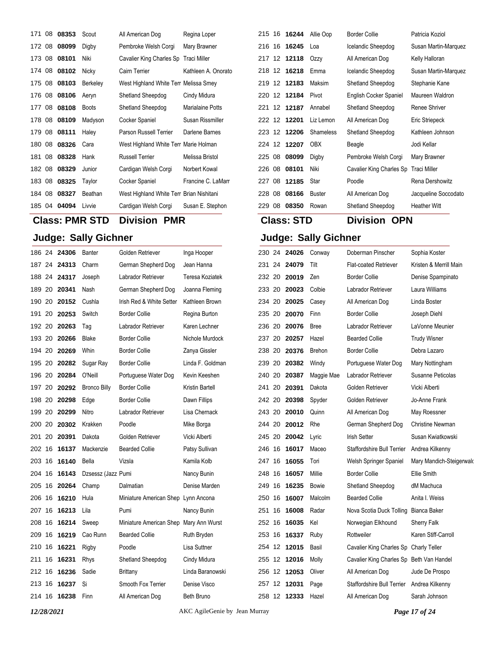| 171 08 | 08353 | Scout           | All American Dog                         | Regina Loper            |
|--------|-------|-----------------|------------------------------------------|-------------------------|
| 172 08 | 08099 | Digby           | Pembroke Welsh Corgi                     | Mary Brawner            |
| 173 08 | 08101 | Niki            | Cavalier King Charles Sp Traci Miller    |                         |
| 174 08 | 08102 | Nicky           | Cairn Terrier                            | Kathleen A. Onorato     |
| 175 08 | 08103 | <b>Berkeley</b> | West Highland White Terr Melissa Smey    |                         |
| 176 08 | 08106 | Aeryn           | Shetland Sheepdog                        | Cindy Midura            |
| 177 08 | 08108 | <b>Boots</b>    | Shetland Sheepdog                        | <b>Marialaine Potts</b> |
| 178 08 | 08109 | Madyson         | Cocker Spaniel                           | Susan Rissmiller        |
| 179 08 | 08111 | Haley           | Parson Russell Terrier                   | Darlene Barnes          |
| 180 08 | 08326 | Cara            | West Highland White Terr Marie Holman    |                         |
| 181 08 | 08328 | Hank            | <b>Russell Terrier</b>                   | Melissa Bristol         |
| 182 08 | 08329 | Junior          | Cardigan Welsh Corgi                     | Norbert Kowal           |
| 183 08 | 08325 | Taylor          | Cocker Spaniel                           | Francine C. LaMarr      |
| 184 08 | 08327 | Beathan         | West Highland White Terr Brian Nishitani |                         |
| 185 04 | 04094 | Livvie          | Cardigan Welsh Corgi                     | Susan E. Stephon        |

## **Class: PMR STD Division PMR**

## **Judge: Sally Gichner**

| 186 24 | 24306        | Banter              | Golden Retriever                       | Inga Hooper      | 230 |
|--------|--------------|---------------------|----------------------------------------|------------------|-----|
|        | 187 24 24313 | Charm               | German Shepherd Dog                    | Jean Hanna       | 231 |
|        | 188 24 24317 | Joseph              | Labrador Retriever                     | Teresa Koziatek  | 232 |
| 189 20 | 20341        | Nash                | German Shepherd Dog                    | Joanna Fleming   | 233 |
|        | 190 20 20152 | Cushla              | Irish Red & White Setter               | Kathleen Brown   | 234 |
| 191 20 | 20253        | Switch              | <b>Border Collie</b>                   | Regina Burton    | 235 |
| 192 20 | 20263        | Tag                 | Labrador Retriever                     | Karen Lechner    | 236 |
|        | 193 20 20266 | Blake               | <b>Border Collie</b>                   | Nichole Murdock  | 237 |
|        | 194 20 20269 | Whin                | <b>Border Collie</b>                   | Zanya Gissler    | 238 |
|        | 195 20 20282 | Sugar Ray           | <b>Border Collie</b>                   | Linda F. Goldman | 239 |
|        | 196 20 20284 | O'Neill             | Portuguese Water Dog                   | Kevin Keeshen    | 240 |
|        | 197 20 20292 | <b>Bronco Billy</b> | <b>Border Collie</b>                   | Kristin Bartell  | 241 |
|        | 198 20 20298 | Edge                | <b>Border Collie</b>                   | Dawn Fillips     | 242 |
| 199 20 | 20299        | Nitro               | Labrador Retriever                     | Lisa Chernack    | 243 |
| 200 20 | 20302        | Krakken             | Poodle                                 | Mike Borga       | 244 |
|        | 201 20 20391 | Dakota              | Golden Retriever                       | Vicki Alberti    | 245 |
| 202 16 | 16137        | Mackenzie           | <b>Bearded Collie</b>                  | Patsy Sullivan   | 246 |
| 203 16 | 16140        | Bella               | Vizsla                                 | Kamila Kolb      | 247 |
| 204 16 | 16143        | Dzsessz (Jazz Pumi  |                                        | Nancy Bunin      | 248 |
|        | 205 16 20264 | Champ               | Dalmatian                              | Denise Marden    | 249 |
| 206 16 | 16210        | Hula                | Miniature American Shep Lynn Ancona    |                  | 250 |
| 207 16 | 16213        | Lila                | Pumi                                   | Nancy Bunin      | 251 |
| 208 16 | 16214        | Sweep               | Miniature American Shep Mary Ann Wurst |                  | 252 |
| 209 16 | 16219        | Cao Runn            | <b>Bearded Collie</b>                  | Ruth Bryden      | 253 |
| 210 16 | 16221        | Rigby               | Poodle                                 | Lisa Suttner     | 254 |
| 211 16 | 16231        | <b>Rhys</b>         | Shetland Sheepdog                      | Cindy Midura     | 255 |
| 212 16 | 16236        | Sadie               | <b>Brittany</b>                        | Linda Baranowski | 256 |
| 213 16 | 16237        | Si                  | Smooth Fox Terrier                     | Denise Visco     | 257 |
| 214 16 | 16238        | <b>Finn</b>         | All American Dog                       | Beth Bruno       | 258 |
|        |              |                     |                                        |                  |     |

| <b>Class: STD</b> |  |              |                  | Division<br>OPN          |                      |  |  |
|-------------------|--|--------------|------------------|--------------------------|----------------------|--|--|
| 229 08            |  | 08350        | Rowan            | Shetland Sheepdog        | <b>Heather Witt</b>  |  |  |
| 228 08            |  | 08166        | <b>Buster</b>    | All American Dog         | Jacqueline Soccodato |  |  |
| 227 08            |  | 12185        | Star             | Poodle                   | Rena Dershowitz      |  |  |
| 226 08            |  | 08101        | Niki             | Cavalier King Charles Sp | Traci Miller         |  |  |
| 225 08            |  | 08099        | Digby            | Pembroke Welsh Corgi     | Mary Brawner         |  |  |
| 224 12            |  | 12207        | <b>OBX</b>       | Beagle                   | Jodi Kellar          |  |  |
| 223 12            |  | 12206        | <b>Shameless</b> | Shetland Sheepdog        | Kathleen Johnson     |  |  |
| 222 12            |  | 12201        | Liz Lemon        | All American Dog         | Eric Striepeck       |  |  |
| 221 12            |  | 12187        | Annabel          | Shetland Sheepdog        | Renee Shriver        |  |  |
|                   |  | 220 12 12184 | Pivot            | English Cocker Spaniel   | Maureen Waldron      |  |  |
| 219 12            |  | 12183        | Maksim           | Shetland Sheepdog        | Stephanie Kane       |  |  |
| 218 12            |  | 16218        | Emma             | Icelandic Sheepdog       | Susan Martin-Marquez |  |  |
|                   |  | 217 12 12118 | Ozzy             | All American Dog         | Kelly Halloran       |  |  |
| 216 16            |  | 16245        | Loa              | Icelandic Sheepdog       | Susan Martin-Marquez |  |  |
| 215 16            |  | 16244        | Allie Oop        | <b>Border Collie</b>     | Patricia Koziol      |  |  |

| 230 24 |     | 24026 | Conway        | Doberman Pinscher                        | Sophia Koster            |
|--------|-----|-------|---------------|------------------------------------------|--------------------------|
| 231 24 |     | 24079 | Tilt          | <b>Flat-coated Retriever</b>             | Kristen & Merrill Main   |
| 232 20 |     | 20019 | Zen           | <b>Border Collie</b>                     | Denise Spampinato        |
| 233 20 |     | 20023 | Colbie        | Labrador Retriever                       | Laura Williams           |
| 234 20 |     | 20025 | Casey         | All American Dog                         | Linda Boster             |
| 235 20 |     | 20070 | Finn          | <b>Border Collie</b>                     | Joseph Diehl             |
| 236 20 |     | 20076 | <b>Bree</b>   | Labrador Retriever                       | LaVonne Meunier          |
| 237 20 |     | 20257 | Hazel         | <b>Bearded Collie</b>                    | <b>Trudy Wisner</b>      |
| 238 20 |     | 20376 | <b>Brehon</b> | <b>Border Collie</b>                     | Debra Lazaro             |
| 239 20 |     | 20382 | Windy         | Portuguese Water Dog                     | Mary Nottingham          |
| 240 20 |     | 20387 | Maggie Mae    | Labrador Retriever                       | Susanne Peticolas        |
| 241 20 |     | 20391 | Dakota        | Golden Retriever                         | Vicki Alberti            |
| 242 20 |     | 20398 | Spyder        | Golden Retriever                         | Jo-Anne Frank            |
| 243 20 |     | 20010 | Quinn         | All American Dog                         | May Roessner             |
| 244 20 |     | 20012 | Rhe           | German Shepherd Dog                      | <b>Christine Newman</b>  |
| 245 20 |     | 20042 | Lyric         | <b>Irish Setter</b>                      | Susan Kwiatkowski        |
| 246    | 16  | 16017 | Maceo         | <b>Staffordshire Bull Terrier</b>        | Andrea Kilkenny          |
| 247    | 16  | 16055 | Tori          | Welsh Springer Spaniel                   | Mary Mandich-Steigerwald |
| 248    | 16  | 16057 | Millie        | <b>Border Collie</b>                     | Ellie Smith              |
| 249    | 16  | 16235 | Bowie         | Shetland Sheepdog                        | dM Machuca               |
| 250    | 16  | 16007 | Malcolm       | <b>Bearded Collie</b>                    | Anita I. Weiss           |
| 251    | 16  | 16008 | Radar         | Nova Scotia Duck Tolling                 | Bianca Baker             |
| 252    | 16  | 16035 | Kel           | Norwegian Elkhound                       | <b>Sherry Falk</b>       |
| 253    | 16  | 16337 | Ruby          | Rottweiler                               | Karen Stiff-Carroll      |
| 254    | 12  | 12015 | Basil         | Cavalier King Charles Sp Charly Teller   |                          |
| 255    | -12 | 12016 | Molly         | Cavalier King Charles Sp Beth Van Handel |                          |
| 256    | -12 | 12053 | Oliver        | All American Dog                         | Jude De Prospo           |
| 257    | 12  | 12031 | Page          | Staffordshire Bull Terrier               | Andrea Kilkenny          |
| 258 12 |     | 12333 | Hazel         | All American Dog                         | Sarah Johnson            |
|        |     |       |               |                                          |                          |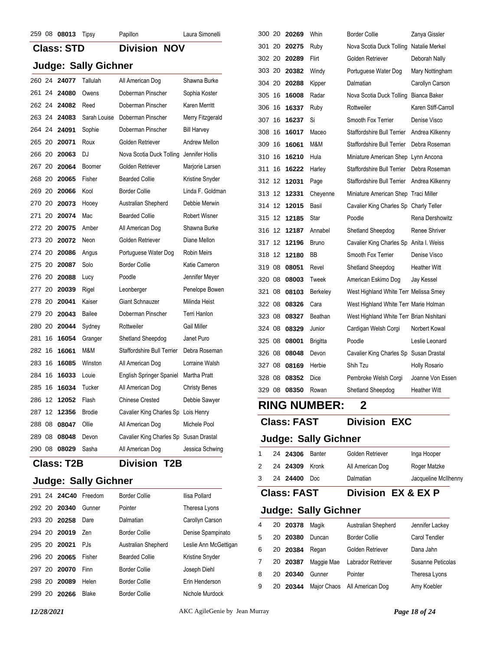| 259 08 08013 |                   | Tipsy                       | Papillon                               | Laura Simonelli      |   | 300 20 20269          | Whin                        | Border <sup>(</sup> |
|--------------|-------------------|-----------------------------|----------------------------------------|----------------------|---|-----------------------|-----------------------------|---------------------|
|              | <b>Class: STD</b> |                             | <b>Division NOV</b>                    |                      |   | 301 20 20275          | Ruby                        | Nova So             |
|              |                   | <b>Judge: Sally Gichner</b> |                                        |                      |   | 302 20 20289          | Flirt                       | Golden              |
|              |                   |                             |                                        |                      |   | 303 20 20382          | Windy                       | Portugu             |
| 260 24 24077 |                   | Tallulah                    | All American Dog                       | Shawna Burke         |   | 304 20 20288          | Kipper                      | Dalmati             |
| 261 24 24080 |                   | Owens                       | Doberman Pinscher                      | Sophia Koster        |   | 305 16 16008          | Radar                       | Nova So             |
| 262 24 24082 |                   | Reed                        | Doberman Pinscher                      | Karen Merritt        |   | 306 16 16337          | Ruby                        | Rottweil            |
| 263 24 24083 |                   | Sarah Louise                | Doberman Pinscher                      | Merry Fitzgerald     |   | 307 16 16237          | Si                          | Smooth              |
| 264 24 24091 |                   | Sophie                      | Doberman Pinscher                      | <b>Bill Harvey</b>   |   | 308 16 16017          | Maceo                       | Stafford            |
| 265 20 20071 |                   | Roux                        | Golden Retriever                       | Andrew Mellon        |   | 309 16 16061          | M&M                         | Stafford            |
| 266 20 20063 |                   | DJ                          | Nova Scotia Duck Tolling               | Jennifer Hollis      |   | 310 16 16210          | Hula                        | Miniatur            |
| 267 20 20064 |                   | Boomer                      | Golden Retriever                       | Marjorie Larsen      |   | 311 16 16222          | Harley                      | Stafford            |
| 268 20 20065 |                   | Fisher                      | <b>Bearded Collie</b>                  | Kristine Snyder      |   | 312 12 12031          | Page                        | Stafford            |
| 269 20 20066 |                   | Kool                        | <b>Border Collie</b>                   | Linda F. Goldman     |   | 313 12 12331          | Cheyenne                    | Miniatur            |
| 270 20 20073 |                   | Hooey                       | Australian Shepherd                    | Debbie Merwin        |   | 314 12 12015          | Basil                       | Cavalier            |
| 271 20 20074 |                   | Mac                         | <b>Bearded Collie</b>                  | <b>Robert Wisner</b> |   | 315 12 12185          | Star                        | Poodle              |
| 272 20 20075 |                   | Amber                       | All American Dog                       | Shawna Burke         |   | 316 12 12187          | Annabel                     | Shetlan             |
| 273 20 20072 |                   | Neon                        | Golden Retriever                       | Diane Mellon         |   | 317 12 12196          | <b>Bruno</b>                | Cavalier            |
| 274 20 20086 |                   | Angus                       | Portuguese Water Dog                   | <b>Robin Meirs</b>   |   | 318 12 12180          | <b>BB</b>                   | Smooth              |
| 275 20 20087 |                   | Solo                        | <b>Border Collie</b>                   | Katie Cameron        |   | 319 08 08051          | Revel                       | Shetlan             |
| 276 20 20088 |                   | Lucy                        | Poodle                                 | Jennifer Meyer       |   | 320 08 08003          | Tweek                       | America             |
| 277 20 20039 |                   | Rigel                       | Leonberger                             | Penelope Bowen       |   | 321 08 08103          | Berkeley                    | West Hi             |
| 278 20 20041 |                   | Kaiser                      | Giant Schnauzer                        | Milinda Heist        |   | 322 08 08326          | Cara                        | West Hi             |
| 279 20       | 20043             | Bailee                      | Doberman Pinscher                      | Terri Hanlon         |   | 323 08 08327          | Beathan                     | West Hi             |
| 280 20 20044 |                   | Sydney                      | Rottweiler                             | <b>Gail Miller</b>   |   | 324 08 08329          | Junior                      | Cardiga             |
| 281 16 16054 |                   | Granger                     | Shetland Sheepdog                      | Janet Puro           |   | 325 08 08001          | <b>Brigitta</b>             | Poodle              |
| 282 16 16061 |                   | M&M                         | Staffordshire Bull Terrier             | Debra Roseman        |   | 326 08 08048          | Devon                       | Cavalier            |
| 283 16 16085 |                   | Winston                     | All American Dog                       | Lorraine Walsh       |   | 327 08 08169          | Herbie                      | Shih Tz             |
| 284 16 16033 |                   | Louie                       | English Springer Spaniel               | Martha Pratt         |   | 328 08 08352          | Dice                        | Pembro              |
| 285 16 16034 |                   | Tucker                      | All American Dog                       | <b>Christy Benes</b> |   | 329 08 08350          | Rowan                       | Shetlan             |
| 286 12 12052 |                   | Flash                       | <b>Chinese Crested</b>                 | Debbie Sawyer        |   |                       |                             |                     |
| 287 12 12356 |                   | <b>Brodie</b>               | Cavalier King Charles Sp Lois Henry    |                      |   |                       | <b>RING NUMBER:</b>         | $\mathbf 2$         |
| 288 08 08047 |                   | Ollie                       | All American Dog                       | Michele Pool         |   | <b>Class: FAST</b>    |                             | Divi                |
| 289 08 08048 |                   | Devon                       | Cavalier King Charles Sp Susan Drastal |                      |   |                       | <b>Judge: Sally Gichner</b> |                     |
| 290 08 08029 |                   | Sasha                       | All American Dog                       | Jessica Schwing      | 1 | 24 24306 Banter       |                             | Golden              |
|              | <b>Class: T2B</b> |                             | <b>Division T2B</b>                    |                      | 2 | 24 <b>24309</b> Kronk |                             | All Ame             |
|              |                   |                             |                                        |                      |   |                       |                             |                     |

|  | Class: 12B |  |  |
|--|------------|--|--|
|  |            |  |  |

## **Judge: Sally Gichner**

|        | 291 24 24C40 Freedom |        | <b>Border Collie</b>  | Ilisa Pollard         |
|--------|----------------------|--------|-----------------------|-----------------------|
|        | 292 20 20340         | Gunner | Pointer               | Theresa Lyons         |
|        | 293 20 <b>20258</b>  | Dare   | Dalmatian             | Carollyn Carson       |
|        | 294 20 20019         | Zen    | <b>Border Collie</b>  | Denise Spampinato     |
|        |                      | PJs.   | Australian Shepherd   | Leslie Ann McGettigan |
|        | 296 20 20065         | Fisher | <b>Bearded Collie</b> | Kristine Snyder       |
|        | 297 20 20070         | Finn   | <b>Border Collie</b>  | Joseph Diehl          |
|        | 298 20 20089         | Helen  | <b>Border Collie</b>  | Erin Henderson        |
| 299 20 | 20266                | Blake  | <b>Border Collie</b>  | Nichole Murdock       |

| 300 20 |    | 20269          | Whin            | <b>Border Collie</b>                     | Zanya Gissler        |
|--------|----|----------------|-----------------|------------------------------------------|----------------------|
| 301 20 |    | 20275          | Ruby            | Nova Scotia Duck Tolling                 | Natalie Merkel       |
| 302 20 |    | 20289<br>Flirt |                 | Golden Retriever                         | Deborah Nally        |
| 303 20 |    | 20382          | Windy           | Portuguese Water Dog                     | Mary Nottingham      |
| 304 20 |    | 20288          | Kipper          | Dalmatian                                | Carollyn Carson      |
| 305    | 16 | 16008          | Radar           | Nova Scotia Duck Tolling                 | Bianca Baker         |
| 306    | 16 | 16337          | Ruby            | Rottweiler                               | Karen Stiff-Carroll  |
| 307    | 16 | 16237          | Si              | Smooth Fox Terrier                       | Denise Visco         |
| 308    | 16 | 16017          | Maceo           | <b>Staffordshire Bull Terrier</b>        | Andrea Kilkenny      |
| 309 16 |    | 16061          | M&M             | Staffordshire Bull Terrier               | Debra Roseman        |
| 310    | 16 | 16210          | Hula            | Miniature American Shep Lynn Ancona      |                      |
| 311    | 16 | 16222          | Harley          | Staffordshire Bull Terrier               | Debra Roseman        |
| 312 12 |    | 12031          | Page            | Staffordshire Bull Terrier               | Andrea Kilkenny      |
| 313 12 |    | 12331          | Cheyenne        | Miniature American Shep Traci Miller     |                      |
| 314 12 |    | 12015          | Basil           | Cavalier King Charles Sp Charly Teller   |                      |
| 315    | 12 | 12185          | Star            | Poodle                                   | Rena Dershowitz      |
| 316 12 |    | 12187          | Annabel         | Shetland Sheepdog                        | Renee Shriver        |
| 317 12 |    | 12196          | <b>Bruno</b>    | Cavalier King Charles Sp Anita I. Weiss  |                      |
| 318 12 |    | 12180          | BB              | Smooth Fox Terrier                       | Denise Visco         |
| 319 08 |    | 08051          | Revel           | Shetland Sheepdog                        | <b>Heather Witt</b>  |
| 320 08 |    | 08003          | Tweek           | American Eskimo Dog                      | Jay Kessel           |
| 321    | 08 | 08103          | Berkeley        | West Highland White Terr Melissa Smey    |                      |
| 322 08 |    | 08326          | Cara            | West Highland White Terr Marie Holman    |                      |
| 323 08 |    | 08327          | Beathan         | West Highland White Terr Brian Nishitani |                      |
| 324 08 |    | 08329          | Junior          | Cardigan Welsh Corgi                     | Norbert Kowal        |
| 325 08 |    | 08001          | <b>Brigitta</b> | Poodle                                   | Leslie Leonard       |
| 326 08 |    | 08048          | Devon           | Cavalier King Charles Sp Susan Drastal   |                      |
| 327 08 |    | 08169          | Herbie          | Shih Tzu                                 | <b>Holly Rosario</b> |
| 328 08 |    | 08352          | Dice            | Pembroke Welsh Corgi                     | Joanne Von Esser     |
| 329 08 |    | 08350          | Rowan           | Shetland Sheepdog                        | <b>Heather Witt</b>  |
|        |    |                |                 |                                          |                      |

## **Class: FAST Division EXC**

### **Judge: Sally Gichner**

| $\mathbf{1}$ | 24 24306<br>2 24 24309 Kronk | Banter | Golden Retriever<br>All American Dog | Inga Hooper<br>Roger Matzke |
|--------------|------------------------------|--------|--------------------------------------|-----------------------------|
|              | 3 24 24400 Doc               |        | Dalmatian                            | Jacqueline McIlhenny        |

## **Class: FAST Division EX & EX P**

| 4 | 20 20378  | Magik      | Australian Shepherd          | Jennifer Lackey      |
|---|-----------|------------|------------------------------|----------------------|
| 5 | 20 20380  | Duncan     | <b>Border Collie</b>         | <b>Carol Tendler</b> |
| 6 | 20 20384  | Regan      | Golden Retriever             | Dana Jahn            |
| 7 | 20 20387  | Maggie Mae | Labrador Retriever           | Susanne Peticolas    |
| 8 | 20 20 340 | Gunner     | Pointer                      | Theresa Lyons        |
| 9 | 20 20344  |            | Major Chaos All American Dog | Amy Koebler          |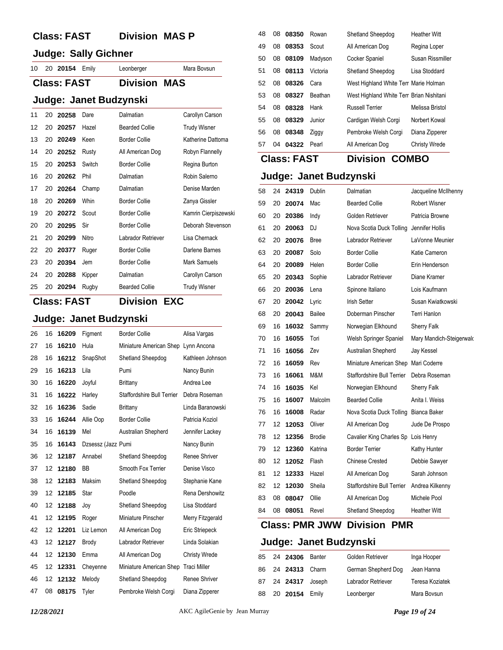## **Class: FAST Division MAS P**

## **Judge: Sally Gichner**

| 10  20  20154  Emily<br>Mara Bovsun<br>Leonberger |  |
|---------------------------------------------------|--|
|---------------------------------------------------|--|

## **Class: FAST Division MAS**

### **Judge: Janet Budzynski**

| 11 | 20 | 20258 | Dare   | Dalmatian             | Carollyn Carson      |
|----|----|-------|--------|-----------------------|----------------------|
| 12 | 20 | 20257 | Hazel  | <b>Bearded Collie</b> | <b>Trudy Wisner</b>  |
| 13 | 20 | 20249 | Keen   | Border Collie         | Katherine Dattoma    |
| 14 | 20 | 20252 | Rusty  | All American Dog      | Robyn Flannelly      |
| 15 | 20 | 20253 | Switch | Border Collie         | Regina Burton        |
| 16 | 20 | 20262 | Phil   | Dalmatian             | Robin Salerno        |
| 17 | 20 | 20264 | Champ  | Dalmatian             | Denise Marden        |
| 18 | 20 | 20269 | Whin   | Border Collie         | Zanya Gissler        |
| 19 | 20 | 20272 | Scout  | <b>Border Collie</b>  | Kamrin Cierpiszewski |
| 20 | 20 | 20295 | Sir    | <b>Border Collie</b>  | Deborah Stevenson    |
| 21 | 20 | 20299 | Nitro  | Labrador Retriever    | Lisa Chernack        |
| 22 | 20 | 20377 | Ruger  | <b>Border Collie</b>  | Darlene Barnes       |
| 23 | 20 | 20394 | Jem    | <b>Border Collie</b>  | Mark Samuels         |
| 24 | 20 | 20288 | Kipper | Dalmatian             | Carollyn Carson      |
| 25 | 20 | 20294 | Rugby  | <b>Bearded Collie</b> | <b>Trudy Wisner</b>  |

## **Class: FAST Division EXC**

|  |  | Judge: Janet Budzynski |
|--|--|------------------------|
|--|--|------------------------|

| 26 | 16 | 16209 | Figment            | <b>Border Collie</b>              | Alisa Vargas         |
|----|----|-------|--------------------|-----------------------------------|----------------------|
| 27 | 16 | 16210 | Hula               | Miniature American Shep           | Lynn Ancona          |
| 28 | 16 | 16212 | SnapShot           | Shetland Sheepdog                 | Kathleen Johnson     |
| 29 | 16 | 16213 | Lila               | Pumi                              | Nancy Bunin          |
| 30 | 16 | 16220 | Joyful             | <b>Brittany</b>                   | Andrea Lee           |
| 31 | 16 | 16222 | Harley             | <b>Staffordshire Bull Terrier</b> | Debra Roseman        |
| 32 | 16 | 16236 | Sadie              | <b>Brittany</b>                   | Linda Baranowski     |
| 33 | 16 | 16244 | Allie Oop          | <b>Border Collie</b>              | Patricia Koziol      |
| 34 | 16 | 16139 | Mel                | Australian Shepherd               | Jennifer Lackey      |
| 35 | 16 | 16143 | Dzsessz (Jazz Pumi |                                   | Nancy Bunin          |
| 36 | 12 | 12187 | Annabel            | Shetland Sheepdog                 | Renee Shriver        |
| 37 | 12 | 12180 | <b>BB</b>          | Smooth Fox Terrier                | Denise Visco         |
| 38 | 12 | 12183 | Maksim             | Shetland Sheepdog                 | Stephanie Kane       |
| 39 | 12 | 12185 | Star               | Poodle                            | Rena Dershowitz      |
| 40 | 12 | 12188 | Joy                | Shetland Sheepdog                 | Lisa Stoddard        |
| 41 | 12 | 12195 | Roger              | Miniature Pinscher                | Merry Fitzgerald     |
| 42 | 12 | 12201 | Liz Lemon          | All American Dog                  | Eric Striepeck       |
| 43 | 12 | 12127 | <b>Brody</b>       | Labrador Retriever                | Linda Solakian       |
| 44 | 12 | 12130 | Emma               | All American Dog                  | <b>Christy Wrede</b> |
| 45 | 12 | 12331 | Cheyenne           | Miniature American Shep           | <b>Traci Miller</b>  |
| 46 | 12 | 12132 | Melody             | Shetland Sheepdog                 | Renee Shriver        |
| 47 | 08 | 08175 | Tyler              | Pembroke Welsh Corgi              | Diana Zipperer       |

| 48 | 08 | 08350    | Rowan    | Shetland Sheepdog                        | <b>Heather Witt</b>  |
|----|----|----------|----------|------------------------------------------|----------------------|
| 49 | 08 | 08353    | Scout    | All American Dog                         | Regina Loper         |
| 50 |    | 08 08109 | Madyson  | Cocker Spaniel                           | Susan Rissmiller     |
| 51 |    | 08 08113 | Victoria | Shetland Sheepdog                        | Lisa Stoddard        |
| 52 | 08 | 08326    | Cara     | West Highland White Terr Marie Holman    |                      |
| 53 | 08 | 08327    | Beathan  | West Highland White Terr Brian Nishitani |                      |
| 54 | 08 | 08328    | Hank     | <b>Russell Terrier</b>                   | Melissa Bristol      |
| 55 | 08 | 08329    | Junior   | Cardigan Welsh Corgi                     | Norbert Kowal        |
| 56 | 08 | 08348    | Ziggy    | Pembroke Welsh Corgi                     | Diana Zipperer       |
| 57 | 04 | 04322    | Pearl    | All American Dog                         | <b>Christy Wrede</b> |
|    |    |          |          |                                          |                      |

**Class: FAST Division COMBO**

## **Judge: Janet Budzynski**

| 58 | 24 | 24319 | <b>Dublin</b> | Dalmatian                           | Jacqueline McIlhenny     |
|----|----|-------|---------------|-------------------------------------|--------------------------|
| 59 | 20 | 20074 | Mac           | <b>Bearded Collie</b>               | <b>Robert Wisner</b>     |
| 60 | 20 | 20386 | Indy          | Golden Retriever                    | Patricia Browne          |
| 61 | 20 | 20063 | DJ            | Nova Scotia Duck Tolling            | Jennifer Hollis          |
| 62 | 20 | 20076 | Bree          | Labrador Retriever                  | LaVonne Meunier          |
| 63 | 20 | 20087 | Solo          | <b>Border Collie</b>                | Katie Cameron            |
| 64 | 20 | 20089 | Helen         | <b>Border Collie</b>                | Erin Henderson           |
| 65 | 20 | 20343 | Sophie        | Labrador Retriever                  | Diane Kramer             |
| 66 | 20 | 20036 | Lena          | Spinone Italiano                    | Lois Kaufmann            |
| 67 | 20 | 20042 | Lyric         | <b>Irish Setter</b>                 | Susan Kwiatkowski        |
| 68 | 20 | 20043 | Bailee        | Doberman Pinscher                   | <b>Terri Hanlon</b>      |
| 69 | 16 | 16032 | Sammy         | Norwegian Elkhound                  | Sherry Falk              |
| 70 | 16 | 16055 | Tori          | Welsh Springer Spaniel              | Mary Mandich-Steigerwald |
| 71 | 16 | 16056 | Zev           | Australian Shepherd                 | Jay Kessel               |
| 72 | 16 | 16059 | Rev           | Miniature American Shep             | Mari Coderre             |
| 73 | 16 | 16061 | M&M           | Staffordshire Bull Terrier          | Debra Roseman            |
| 74 | 16 | 16035 | Kel           | Norwegian Elkhound                  | Sherry Falk              |
| 75 | 16 | 16007 | Malcolm       | <b>Bearded Collie</b>               | Anita I. Weiss           |
| 76 | 16 | 16008 | Radar         | Nova Scotia Duck Tolling            | Bianca Baker             |
| 77 | 12 | 12053 | Oliver        | All American Dog                    | Jude De Prospo           |
| 78 | 12 | 12356 | <b>Brodie</b> | Cavalier King Charles Sp Lois Henry |                          |
| 79 | 12 | 12360 | Katrina       | <b>Border Terrier</b>               | Kathy Hunter             |
| 80 | 12 | 12052 | Flash         | <b>Chinese Crested</b>              | Debbie Sawyer            |
| 81 | 12 | 12333 | Hazel         | All American Dog                    | Sarah Johnson            |
| 82 | 12 | 12030 | Sheila        | <b>Staffordshire Bull Terrier</b>   | Andrea Kilkenny          |
| 83 | 08 | 08047 | Ollie         | All American Dog                    | Michele Pool             |
| 84 | 08 | 08051 | Revel         | Shetland Sheepdog                   | <b>Heather Witt</b>      |

## **Class: PMR JWW Division PMR**

|  | 85 24 24306 Banter | Golden Retriever    | Inga Hooper     |
|--|--------------------|---------------------|-----------------|
|  | 86 24 24313 Charm  | German Shepherd Dog | Jean Hanna      |
|  | 87 24 24317 Joseph | Labrador Retriever  | Teresa Koziatek |
|  | 88 20 20154 Emily  | Leonberger          | Mara Bovsun     |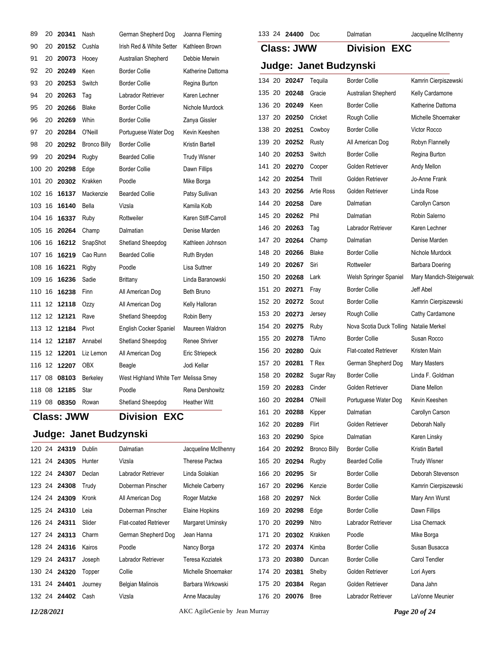| 89  | 20     | 20341               | Nash                   | German Shepherd Dog                   | Joanna Fleming        |        |    | 133 24 24400         | Doc                    | Dalmatian                    | Jacqueline McIlhenny     |
|-----|--------|---------------------|------------------------|---------------------------------------|-----------------------|--------|----|----------------------|------------------------|------------------------------|--------------------------|
| 90  | 20     | 20152               | Cushla                 | Irish Red & White Setter              | Kathleen Brown        |        |    | <b>Class: JWW</b>    |                        | <b>Division EXC</b>          |                          |
| 91  | 20     | 20073               | Hooey                  | Australian Shepherd                   | Debbie Merwin         |        |    |                      |                        |                              |                          |
| 92  | 20     | 20249               | Keen                   | <b>Border Collie</b>                  | Katherine Dattoma     |        |    |                      | Judge: Janet Budzynski |                              |                          |
| 93  | 20     | 20253               | Switch                 | <b>Border Collie</b>                  | Regina Burton         |        |    | 134 20 20247 Tequila |                        | <b>Border Collie</b>         | Kamrin Cierpiszewski     |
| 94  |        | 20 20 263           | Tag                    | Labrador Retriever                    | Karen Lechner         | 135 20 |    | 20248                | Gracie                 | Australian Shepherd          | Kelly Cardamone          |
| 95  | 20     | 20266               | <b>Blake</b>           | <b>Border Collie</b>                  | Nichole Murdock       |        |    | 136 20 20249         | Keen                   | <b>Border Collie</b>         | Katherine Dattoma        |
| 96  |        | 20 20 269           | Whin                   | <b>Border Collie</b>                  | Zanya Gissler         | 137 20 |    | 20250                | Cricket                | Rough Collie                 | Michelle Shoemaker       |
| 97  | 20     | 20284               | O'Neill                | Portuguese Water Dog                  | Kevin Keeshen         | 138 20 |    | 20251                | Cowboy                 | <b>Border Collie</b>         | Victor Rocco             |
| 98  |        | 20 20292            | <b>Bronco Billy</b>    | <b>Border Collie</b>                  | Kristin Bartell       | 139 20 |    | 20252                | Rusty                  | All American Dog             | Robyn Flannelly          |
| 99  | 20     | 20294               | Rugby                  | <b>Bearded Collie</b>                 | <b>Trudy Wisner</b>   | 140 20 |    | 20253                | Switch                 | <b>Border Collie</b>         | Regina Burton            |
|     | 100 20 | 20298               | Edge                   | <b>Border Collie</b>                  | Dawn Fillips          | 141    | 20 | 20270                | Cooper                 | Golden Retriever             | Andy Mellon              |
| 101 | 20     | 20302               | Krakken                | Poodle                                | Mike Borga            | 142 20 |    | 20254                | Thrill                 | Golden Retriever             | Jo-Anne Frank            |
|     |        | 102 16 16137        | Mackenzie              | <b>Bearded Collie</b>                 | Patsy Sullivan        | 143 20 |    | 20256                | Artie Ross             | Golden Retriever             | Linda Rose               |
|     | 103 16 | 16140               | Bella                  | Vizsla                                | Kamila Kolb           |        |    | 144 20 20258         | Dare                   | Dalmatian                    | Carollyn Carson          |
|     |        | 104 16 16337        | Ruby                   | Rottweiler                            | Karen Stiff-Carroll   | 145 20 |    | 20262                | Phil                   | Dalmatian                    | Robin Salerno            |
|     | 105 16 | 20264               | Champ                  | Dalmatian                             | Denise Marden         | 146 20 |    | 20263                | Tag                    | Labrador Retriever           | Karen Lechner            |
|     |        |                     | 106 16 16212 SnapShot  | Shetland Sheepdog                     | Kathleen Johnson      | 147    | 20 | 20264                | Champ                  | Dalmatian                    | Denise Marden            |
| 107 | 16     | 16219               | Cao Runn               | <b>Bearded Collie</b>                 | Ruth Bryden           | 148 20 |    | 20266                | Blake                  | <b>Border Collie</b>         | Nichole Murdock          |
|     |        | 108 16 16221        | Rigby                  | Poodle                                | Lisa Suttner          | 149 20 |    | 20267                | Siri                   | Rottweiler                   | <b>Barbara Doering</b>   |
|     |        | 109 16 16236        | Sadie                  | <b>Brittany</b>                       | Linda Baranowski      | 150 20 |    | 20268                | Lark                   | Welsh Springer Spaniel       | Mary Mandich-Steigerwald |
|     |        | 110 16 16238        | Finn                   | All American Dog                      | Beth Bruno            | 151    | 20 | 20271                | Fray                   | <b>Border Collie</b>         | Jeff Abel                |
|     |        | 111 12 12118        | Ozzy                   | All American Dog                      | Kelly Halloran        | 152 20 |    | 20272                | Scout                  | <b>Border Collie</b>         | Kamrin Cierpiszewski     |
|     |        | 112 12 12121        | Rave                   | Shetland Sheepdog                     | Robin Berry           | 153 20 |    | 20273                | Jersey                 | Rough Collie                 | Cathy Cardamone          |
|     |        | 113 12 12184        | Pivot                  | English Cocker Spaniel                | Maureen Waldron       | 154 20 |    | 20275                | Ruby                   | Nova Scotia Duck Tolling     | Natalie Merkel           |
|     |        | 114 12 <b>12187</b> | Annabel                | Shetland Sheepdog                     | Renee Shriver         | 155 20 |    | 20278                | TiAmo                  | <b>Border Collie</b>         | Susan Rocco              |
|     | 115 12 | 12201               | Liz Lemon              | All American Dog                      | Eric Striepeck        | 156 20 |    | 20280                | Quix                   | <b>Flat-coated Retriever</b> | Kristen Main             |
|     |        | 116 12 12207        | OBX                    | Beagle                                | Jodi Kellar           | 157 20 |    | 20281                | T Rex                  | German Shepherd Dog          | Mary Masters             |
| 117 | 08     | 08103               | Berkeley               | West Highland White Terr Melissa Smey |                       | 158 20 |    | 20282                | Sugar Ray              | <b>Border Collie</b>         | Linda F. Goldman         |
|     |        | 118 08 12185        | Star                   | Poodle                                | Rena Dershowitz       |        |    | 159 20 20283         | Cinder                 | Golden Retriever             | Diane Mellon             |
|     |        | 119 08 08350 Rowan  |                        | Shetland Sheepdog                     | <b>Heather Witt</b>   | 160 20 |    | 20284                | O'Neill                | Portuguese Water Dog         | Kevin Keeshen            |
|     |        | <b>Class: JWW</b>   |                        | <b>Division EXC</b>                   |                       |        |    | 161 20 20288         | Kipper                 | Dalmatian                    | Carollyn Carson          |
|     |        |                     |                        |                                       |                       |        |    | 162 20 20289         | Flirt                  | Golden Retriever             | Deborah Nally            |
|     |        |                     | Judge: Janet Budzynski |                                       |                       | 163 20 |    | 20290                | Spice                  | Dalmatian                    | Karen Linsky             |
|     |        | 120 24 24319        | Dublin                 | Dalmatian                             | Jacqueline McIlhenny  |        |    | 164 20 20292         | <b>Bronco Billy</b>    | <b>Border Collie</b>         | Kristin Bartell          |
| 121 | 24     | 24305               | Hunter                 | Vizsla                                | <b>Therese Pactwa</b> |        |    | 165 20 20294         | Rugby                  | <b>Bearded Collie</b>        | <b>Trudy Wisner</b>      |
|     |        | 122  24  24307      | Declan                 | Labrador Retriever                    | Linda Solakian        |        |    | 166 20 20295         | Sir                    | <b>Border Collie</b>         | Deborah Stevenson        |
|     |        | 123 24 24308        | Trudy                  | Doberman Pinscher                     | Michele Carberry      | 167 20 |    | 20296                | Kenzie                 | <b>Border Collie</b>         | Kamrin Cierpiszewski     |
|     |        | 124 24 24309        | Kronk                  | All American Dog                      | Roger Matzke          |        |    | 168 20 20297         | Nick                   | <b>Border Collie</b>         | Mary Ann Wurst           |
|     |        | 125 24 24310        | Leia                   | Doberman Pinscher                     | Elaine Hopkins        |        |    | 169 20 20298         | Edge                   | <b>Border Collie</b>         | Dawn Fillips             |
|     |        | 126 24 <b>24311</b> | Slider                 | <b>Flat-coated Retriever</b>          | Margaret Uminsky      |        |    | 170 20 20299         | Nitro                  | Labrador Retriever           | Lisa Chernack            |
|     | 127 24 | 24313               | Charm                  | German Shepherd Dog                   | Jean Hanna            | 171    | 20 | 20302                | Krakken                | Poodle                       | Mike Borga               |
|     | 128 24 | 24316               | Kairos                 | Poodle                                | Nancy Borga           | 172 20 |    | 20374                | Kimba                  | <b>Border Collie</b>         | Susan Busacca            |
|     |        | 129 24 24317        | Joseph                 | Labrador Retriever                    | Teresa Koziatek       | 173 20 |    | 20380                | Duncan                 | <b>Border Collie</b>         | Carol Tendler            |
|     |        | 130 24 24320        | Topper                 | Collie                                | Michelle Shoemaker    | 174 20 |    | 20381                | Shelby                 | Golden Retriever             | Lori Ayers               |
| 131 |        | 24 24401            | Journey                | <b>Belgian Malinois</b>               | Barbara Wirkowski     | 175 20 |    | 20384                | Regan                  | Golden Retriever             | Dana Jahn                |
|     |        | 132 24 24402 Cash   |                        | Vizsla                                | Anne Macaulay         |        |    | 176 20 20076         | <b>Bree</b>            | Labrador Retriever           | LaVonne Meunier          |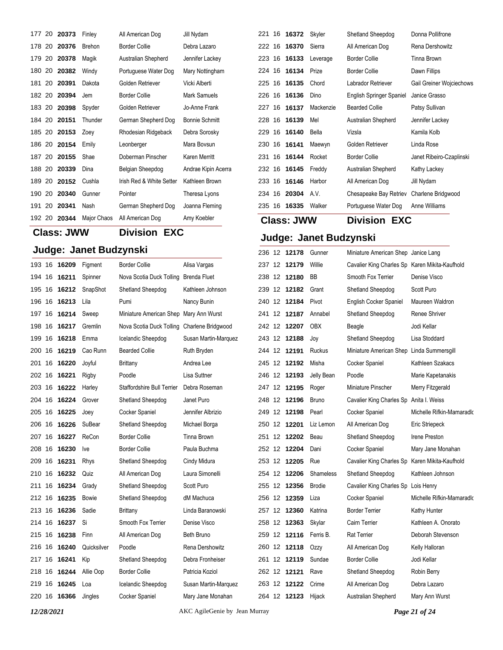|        | 177 20 20373 | Finley      | All American Dog         | Jill Nydam            |
|--------|--------------|-------------|--------------------------|-----------------------|
| 178 20 | 20376        | Brehon      | <b>Border Collie</b>     | Debra Lazaro          |
| 179 20 | 20378        | Magik       | Australian Shepherd      | Jennifer Lackey       |
| 180 20 | 20382        | Windy       | Portuguese Water Dog     | Mary Nottingham       |
| 181 20 | 20391        | Dakota      | Golden Retriever         | Vicki Alberti         |
| 182 20 | 20394        | Jem         | <b>Border Collie</b>     | Mark Samuels          |
| 183 20 | 20398        | Spyder      | Golden Retriever         | Jo-Anne Frank         |
| 184 20 | 20151        | Thunder     | German Shepherd Dog      | <b>Bonnie Schmitt</b> |
| 185 20 | 20153        | Zoey        | Rhodesian Ridgeback      | Debra Sorosky         |
| 186 20 | 20154        | Emily       | Leonberger               | Mara Bovsun           |
| 187 20 | 20155        | Shae        | Doberman Pinscher        | Karen Merritt         |
| 188 20 | 20339        | Dina        | Belgian Sheepdog         | Andrae Kipin Acerra   |
| 189 20 | 20152        | Cushla      | Irish Red & White Setter | Kathleen Brown        |
| 190 20 | 20340        | Gunner      | Pointer                  | Theresa Lyons         |
| 191 20 | 20341        | Nash        | German Shepherd Dog      | Joanna Fleming        |
| 192 20 | 20344        | Major Chaos | All American Dog         | Amy Koebler           |

**Class: JWW Division EXC**

## **Judge: Janet Budzynski**

| 193    | 16  | 16209 | Figment     | <b>Border Collie</b>       | Alisa Vargas         |
|--------|-----|-------|-------------|----------------------------|----------------------|
| 194    | 16  | 16211 | Spinner     | Nova Scotia Duck Tolling   | Brenda Fluet         |
| 195    | 16  | 16212 | SnapShot    | Shetland Sheepdog          | Kathleen Johnson     |
| 196    | 16  | 16213 | Lila        | Pumi                       | Nancy Bunin          |
| 197    | 16  | 16214 | Sweep       | Miniature American Shep    | Mary Ann Wurst       |
| 198    | 16  | 16217 | Gremlin     | Nova Scotia Duck Tolling   | Charlene Bridgwood   |
| 199    | 16  | 16218 | Emma        | Icelandic Sheepdog         | Susan Martin-Marquez |
| 200    | 16  | 16219 | Cao Runn    | <b>Bearded Collie</b>      | Ruth Bryden          |
| 201    | 16  | 16220 | Joyful      | Brittany                   | Andrea Lee           |
| 202 16 |     | 16221 | Rigby       | Poodle                     | Lisa Suttner         |
| 203    | 16  | 16222 | Harley      | Staffordshire Bull Terrier | Debra Roseman        |
| 204    | -16 | 16224 | Grover      | Shetland Sheepdog          | Janet Puro           |
| 205 16 |     | 16225 | Joey        | Cocker Spaniel             | Jennifer Albrizio    |
| 206 16 |     | 16226 | SuBear      | Shetland Sheepdog          | Michael Borga        |
| 207    | 16  | 16227 | ReCon       | <b>Border Collie</b>       | Tinna Brown          |
| 208 16 |     | 16230 | Ive         | <b>Border Collie</b>       | Paula Buchma         |
| 209 16 |     | 16231 | Rhys        | Shetland Sheepdog          | Cindy Midura         |
| 210    | 16  | 16232 | Quiz        | All American Dog           | Laura Simonelli      |
| 211    | 16  | 16234 | Grady       | Shetland Sheepdog          | Scott Puro           |
| 212    | 16  | 16235 | Bowie       | Shetland Sheepdog          | dM Machuca           |
| 213    | 16  | 16236 | Sadie       | Brittany                   | Linda Baranowski     |
| 214 16 |     | 16237 | Si          | Smooth Fox Terrier         | Denise Visco         |
| 215    | 16  | 16238 | Finn        | All American Dog           | Beth Bruno           |
| 216    | 16  | 16240 | Quicksilver | Poodle                     | Rena Dershowitz      |
| 217 16 |     | 16241 | Kip         | Shetland Sheepdog          | Debra Fronheiser     |
| 218 16 |     | 16244 | Allie Oop   | <b>Border Collie</b>       | Patricia Koziol      |
| 219    | 16  | 16245 | Loa         | Icelandic Sheepdog         | Susan Martin-Marquez |
| 220 16 |     | 16366 | Jingles     | Cocker Spaniel             | Mary Jane Monahan    |
|        |     |       |             |                            |                      |

## 16 **16372** Skyler Shetland Sheepdog Donna Pollifrone 16 **16370** Sierra All American Dog Rena Dershowitz 16 **16133** Leverage Border Collie Tinna Brown 16 **16134** Prize Border Collie Dawn Fillips 225 16 **16135** Chord Labrador Retriever Gail Greiner Wojciechows 16 **16136** Dino English Springer Spaniel Janice Grasso 227 16 16137 Mackenzie Bearded Collie Patsy Sullivan 16 **16139** Mel Australian Shepherd Jennifer Lackey 16 **16140** Bella Vizsla Kamila Kolb 16 **16141** Maewyn Golden Retriever Linda Rose 231 16 16144 Rocket Border Collie Janet Ribeiro-Czaplinski 16 **16145** Freddy Australian Shepherd Kathy Lackey 16 **16146** Harbor All American Dog Jill Nydam 16 **20304** A.V. Chesapeake Bay Retriev Charlene Bridgwood 235 16 16335 Walker Portuguese Water Dog Anne Williams **Class: JWW Division EXC**

## **Judge: Janet Budzynski**

| 236 12 |     | 12178 | Gunner           | Miniature American Shep Janice Lang            |                           |
|--------|-----|-------|------------------|------------------------------------------------|---------------------------|
| 237    | -12 | 12179 | Willie           | Cavalier King Charles Sp Karen Mikita-Kaufhold |                           |
| 238    | -12 | 12180 | ВB               | Smooth Fox Terrier                             | Denise Visco              |
| 239    | 12  | 12182 | Grant            | Shetland Sheepdog                              | Scott Puro                |
| 240 12 |     | 12184 | Pivot            | English Cocker Spaniel                         | Maureen Waldron           |
| 241    | 12  | 12187 | Annabel          | Shetland Sheepdog                              | Renee Shriver             |
| 242 12 |     | 12207 | <b>OBX</b>       | Beagle                                         | Jodi Kellar               |
| 243 12 |     | 12188 | Joy              | Shetland Sheepdog                              | Lisa Stoddard             |
| 244 12 |     | 12191 | <b>Ruckus</b>    | Miniature American Shep Linda Summersgill      |                           |
| 245 12 |     | 12192 | Misha            | Cocker Spaniel                                 | Kathleen Szakacs          |
| 246    | 12  | 12193 | Jelly Bean       | Poodle                                         | Marie Kapetanakis         |
| 247 12 |     | 12195 | Roger            | Miniature Pinscher                             | Merry Fitzgerald          |
| 248    | -12 | 12196 | <b>Bruno</b>     | Cavalier King Charles Sp Anita I. Weiss        |                           |
| 249 12 |     | 12198 | Pearl            | Cocker Spaniel                                 | Michelle Rifkin-Mamaradlo |
| 250 12 |     | 12201 | Liz Lemon        | All American Dog                               | Eric Striepeck            |
| 251    | 12  | 12202 | Beau             | Shetland Sheepdog                              | Irene Preston             |
| 252    | -12 | 12204 | Dani             | Cocker Spaniel                                 | Mary Jane Monahan         |
| 253 12 |     | 12205 | Rue              | Cavalier King Charles Sp Karen Mikita-Kaufhold |                           |
| 254 12 |     | 12206 | <b>Shameless</b> | Shetland Sheepdog                              | Kathleen Johnson          |
| 255    | 12  | 12356 | <b>Brodie</b>    | Cavalier King Charles Sp Lois Henry            |                           |
| 256 12 |     | 12359 | Liza             | Cocker Spaniel                                 | Michelle Rifkin-Mamaradlo |
| 257 12 |     | 12360 | Katrina          | <b>Border Terrier</b>                          | Kathy Hunter              |
| 258 12 |     | 12363 | Skylar           | <b>Cairn Terrier</b>                           | Kathleen A. Onorato       |
| 259    | 12  | 12116 | Ferris B.        | <b>Rat Terrier</b>                             | Deborah Stevenson         |
| 260 12 |     | 12118 | Ozzy             | All American Dog                               | Kelly Halloran            |
| 261    | 12  | 12119 | Sundae           | <b>Border Collie</b>                           | Jodi Kellar               |
| 262    | 12  | 12121 | Rave             | Shetland Sheepdog                              | Robin Berry               |
| 263    | -12 | 12122 | Crime            | All American Dog                               | Debra Lazaro              |
| 264 12 |     | 12123 | Hijack           | Australian Shepherd                            | Mary Ann Wurst            |
|        |     |       |                  |                                                |                           |

*12/28/2021* AKC AgileGenie by Jean Murray *Page 21 of 24*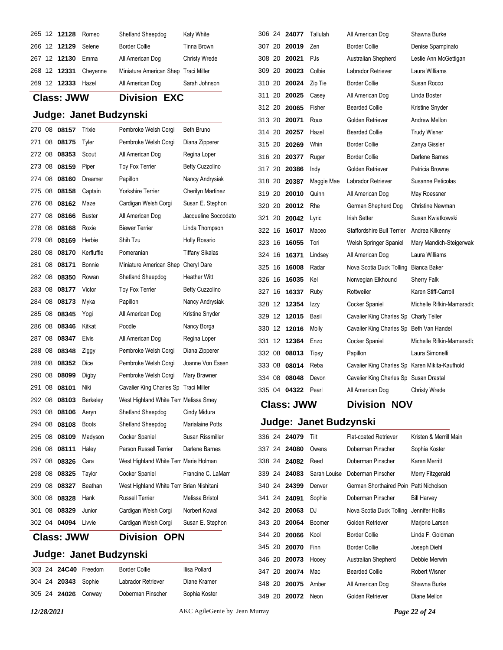|  | 265 12 12128 | Romeo    | Shetland Sheepdog                    | <b>Katy White</b>    |
|--|--------------|----------|--------------------------------------|----------------------|
|  | 266 12 12129 | Selene   | <b>Border Collie</b>                 | Tinna Brown          |
|  | 267 12 12130 | Emma     | All American Dog                     | <b>Christy Wrede</b> |
|  | 268 12 12331 | Chevenne | Miniature American Shep Traci Miller |                      |
|  | 269 12 12333 | Hazel    | All American Dog                     | Sarah Johnson        |

## **Class: JWW Division EXC**

## **Judge: Janet Budzynski**

|        |    | <b>Class: JWW</b> |               | <b>Division</b><br><b>OPN</b>            |                          |
|--------|----|-------------------|---------------|------------------------------------------|--------------------------|
| 302 04 |    | 04094             | Livvie        | Cardigan Welsh Corgi                     | Susan E. Stephon         |
| 301    | 08 | 08329             | Junior        | Cardigan Welsh Corgi                     | Norbert Kowal            |
| 300 08 |    | 08328             | Hank          | <b>Russell Terrier</b>                   | Melissa Bristol          |
| 299 08 |    | 08327             | Beathan       | West Highland White Terr Brian Nishitani |                          |
| 298 08 |    | 08325             | Taylor        | Cocker Spaniel                           | Francine C. LaMarr       |
| 297 08 |    | 08326             | Cara          | West Highland White Terr Marie Holman    |                          |
| 296 08 |    | 08111             | Haley         | Parson Russell Terrier                   | Darlene Barnes           |
| 295 08 |    | 08109             | Madyson       | Cocker Spaniel                           | Susan Rissmiller         |
| 294 08 |    | 08108             | <b>Boots</b>  | Shetland Sheepdog                        | <b>Marialaine Potts</b>  |
| 293 08 |    | 08106             | Aeryn         | Shetland Sheepdog                        | Cindy Midura             |
| 292 08 |    | 08103             | Berkeley      | West Highland White Terr Melissa Smey    |                          |
| 291 08 |    | 08101             | Niki          | Cavalier King Charles Sp                 | Traci Miller             |
| 290 08 |    | 08099             | Digby         | Pembroke Welsh Corgi                     | Mary Brawner             |
| 289 08 |    | 08352             | Dice          | Pembroke Welsh Corgi                     | Joanne Von Essen         |
| 288 08 |    | 08348             | Ziggy         | Pembroke Welsh Corgi                     | Diana Zipperer           |
| 287 08 |    | 08347             | Elvis         | All American Dog                         | Regina Loper             |
| 286 08 |    | 08346             | Kitkat        | Poodle                                   | Nancy Borga              |
| 285 08 |    | 08345             | Yogi          | All American Dog                         | Kristine Snyder          |
| 284 08 |    | 08173             | Myka          | Papillon                                 | Nancy Andrysiak          |
| 283 08 |    | 08177             | Victor        | Toy Fox Terrier                          | <b>Betty Cuzzolino</b>   |
| 282 08 |    | 08350             | Rowan         | Shetland Sheepdog                        | <b>Heather Witt</b>      |
| 281 08 |    | 08171             | Bonnie        | Miniature American Shep Cheryl Dare      |                          |
| 280 08 |    | 08170             | Kerfluffle    | Pomeranian                               | <b>Tiffany Sikalas</b>   |
| 279 08 |    | 08169             | Herbie        | Shih Tzu                                 | <b>Holly Rosario</b>     |
| 278 08 |    | 08168             | Roxie         | <b>Biewer Terrier</b>                    | Linda Thompson           |
| 277 08 |    | 08166             | <b>Buster</b> | All American Dog                         | Jacqueline Soccodato     |
| 276 08 |    | 08162             | Maze          | Cardigan Welsh Corgi                     | Susan E. Stephon         |
| 275 08 |    | 08158             | Captain       | <b>Yorkshire Terrier</b>                 | <b>Cherilyn Martinez</b> |
| 274 08 |    | 08160             | Dreamer       | Papillon                                 | Nancy Andrysiak          |
| 273 08 |    | 08159             | Piper         | <b>Toy Fox Terrier</b>                   | <b>Betty Cuzzolino</b>   |
| 272 08 |    | 08353             | Scout         | All American Dog                         | Regina Loper             |
| 271 08 |    | 08175             | Tyler         | Pembroke Welsh Corgi                     | Diana Zipperer           |
| 270 08 |    | 08157             | Trixie        | Pembroke Welsh Corgi                     | Beth Bruno               |

## **Judge: Janet Budzynski**

|  |                     | 303 24 24C40 Freedom | <b>Border Collie</b> |
|--|---------------------|----------------------|----------------------|
|  | 304 24 20343 Sophie |                      | Labrador Ret         |
|  | 305 24 24026 Conway |                      | Doberman Pi          |

triever Diane Kramer inscher Sophia Koster

**Ilisa Pollard** 

| <b>Class: JWW</b> |     |                |               | Division<br>NOV                                |                                         |
|-------------------|-----|----------------|---------------|------------------------------------------------|-----------------------------------------|
| 335 04            |     | 04322          | Pearl         | All American Dog                               | <b>Christy Wrede</b>                    |
| 334 08            |     | 08048          | Devon         | Cavalier King Charles Sp Susan Drastal         |                                         |
| 333 08            |     | 08014          | Reba          | Cavalier King Charles Sp Karen Mikita-Kaufhold |                                         |
| 332 08            |     | 08013          | Tipsy         | Papillon                                       | Laura Simonelli                         |
| 331               | 12  | 12364          | Enzo          | Cocker Spaniel                                 | Michelle Rifkin-Mamaradlo               |
| 330               | -12 | 12016          | Molly         | Cavalier King Charles Sp Beth Van Handel       |                                         |
| 329 12            |     | 12015          | Basil         | Cavalier King Charles Sp Charly Teller         |                                         |
| 328               | -12 | 12354          | Izzy          | Cocker Spaniel                                 | Michelle Rifkin-Mamaradlo               |
| 327 16            |     | 16337          | Ruby          | Rottweiler                                     | Karen Stiff-Carroll                     |
| 326               | 16  | 16035          | Kel           | Norwegian Elkhound                             | <b>Sherry Falk</b>                      |
| 325               | 16  | 16008          | Radar         | Nova Scotia Duck Tolling                       | Bianca Baker                            |
| 324 16            |     | 16371          | Lindsey       | All American Dog                               | Laura Williams                          |
| 323 16            |     | 16055          | Tori          | Welsh Springer Spaniel                         | Mary Mandich-Steigerwald                |
| 322 16            |     | 16017          | Maceo         | <b>Staffordshire Bull Terrier</b>              | Andrea Kilkenny                         |
| 321 20            |     | 20042          | Lyric         | <b>Irish Setter</b>                            | Susan Kwiatkowski                       |
| 320 20            |     | 20012          | Rhe           | German Shepherd Dog                            | <b>Christine Newman</b>                 |
| 319 20            |     | 20010          | Quinn         | All American Dog                               | May Roessner                            |
| 318 20            |     | 20387          | Maggie Mae    | Labrador Retriever                             | Susanne Peticolas                       |
| 317 20            |     | 20386          | Indy          | Golden Retriever                               | Patricia Browne                         |
| 316 20            |     | 20377          | Ruger         | <b>Border Collie</b>                           | Darlene Barnes                          |
| 315 20            |     | 20269          | Whin          | <b>Border Collie</b>                           | Zanya Gissler                           |
| 314 20            |     | 20257          | Hazel         | <b>Bearded Collie</b>                          | <b>Trudy Wisner</b>                     |
| 313 20            |     | 20071          | Roux          | Golden Retriever                               | Andrew Mellon                           |
| 312 20            |     | 20065          | Fisher        | <b>Bearded Collie</b>                          | Kristine Snyder                         |
| 311 20            |     | 20025          | Casey         | All American Dog                               | Linda Boster                            |
| 310 20            |     | 20024          | Zip Tie       | <b>Border Collie</b>                           | Susan Rocco                             |
| 308 20<br>309 20  |     | 20021<br>20023 | PJs<br>Colbie | Australian Shepherd<br>Labrador Retriever      | Leslie Ann McGettigan<br>Laura Williams |
| 307 20            |     | 20019          | Zen           | <b>Border Collie</b>                           | Denise Spampinato                       |
| 306 24            |     | 24077          | Tallulah      | All American Dog                               | Shawna Burke                            |
|                   |     |                |               |                                                |                                         |

|        | 336 24 24079        | Tilt         | <b>Flat-coated Retriever</b>            | Kristen & Merrill Main |
|--------|---------------------|--------------|-----------------------------------------|------------------------|
|        | 337 24 24080        | Owens        | Doberman Pinscher                       | Sophia Koster          |
|        | 338 24 24082        | Reed         | Doberman Pinscher                       | Karen Merritt          |
|        | 339 24 24083        | Sarah Louise | Doberman Pinscher                       | Merry Fitzgerald       |
|        | 340 24 24399        | Denver       | German Shorthaired Poin Patti Nicholson |                        |
|        | 341 24 <b>24091</b> | Sophie       | Doberman Pinscher                       | <b>Bill Harvey</b>     |
|        | 342 20 20063        | DJ           | Nova Scotia Duck Tolling                | Jennifer Hollis        |
|        | 343 20 20064        | Boomer       | Golden Retriever                        | Marjorie Larsen        |
|        | 344 20 20066        | Kool         | Border Collie                           | Linda F. Goldman       |
|        | 345 20 20070        | Finn         | Border Collie                           | Joseph Diehl           |
|        | 346 20 20073        | Hooey        | Australian Shepherd                     | Debbie Merwin          |
| 347 20 | 20074               | Mac          | <b>Bearded Collie</b>                   | <b>Robert Wisner</b>   |
|        | 348 20 20075        | Amber        | All American Dog                        | Shawna Burke           |
|        | 349 20 20072        | Neon         | Golden Retriever                        | Diane Mellon           |